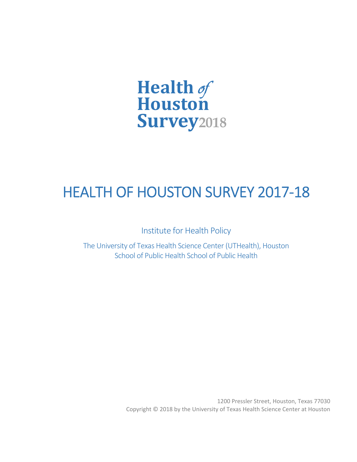

# HEALTH OF HOUSTON SURVEY 2017‐18

Institute for Health Policy

The University of Texas Health Science Center (UTHealth), Houston School of Public Health School of Public Health

> 1200 Pressler Street, Houston, Texas 77030 Copyright © 2018 by the University of Texas Health Science Center at Houston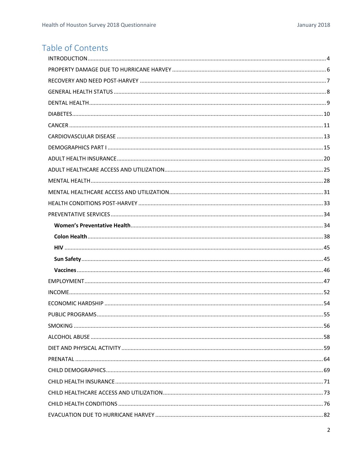## Table of Contents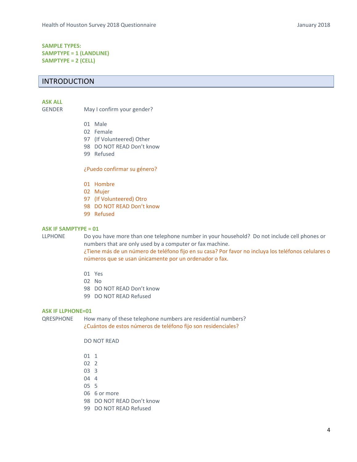## **SAMPLE TYPES: SAMPTYPE = 1 (LANDLINE) SAMPTYPE = 2 (CELL)**

## INTRODUCTION

#### **ASK ALL**

GENDER May I confirm your gender?

- 01 Male
- 02 Female
- 97 (If Volunteered) Other
- 98 DO NOT READ Don't know
- 99 Refused

#### ¿Puedo confirmar su género?

- 01 Hombre
- 02 Mujer
- 97 (If Volunteered) Otro
- 98 DO NOT READ Don't know
- 99 Refused

#### **ASK IF SAMPTYPE = 01**

LLPHONE Do you have more than one telephone number in your household? Do not include cell phones or numbers that are only used by a computer or fax machine.

¿Tiene más de un número de teléfono fijo en su casa? Por favor no incluya los teléfonos celulares o números que se usan únicamente por un ordenador o fax.

- 01 Yes
- 02 No
- 98 DO NOT READ Don't know
- 99 DO NOT READ Refused

#### **ASK IF LLPHONE=01**

QRESPHONE How many of these telephone numbers are residential numbers? ¿Cuántos de estos números de teléfono fijo son residenciales?

DO NOT READ

- 01 1
- 02 2
- 03 3
- 04 4
- 05 5
- 06 6 or more
- 98 DO NOT READ Don't know
- 99 DO NOT READ Refused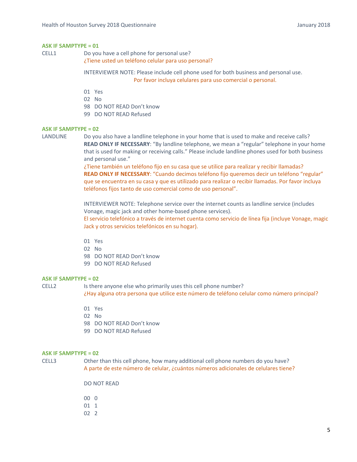CELL1 Do you have a cell phone for personal use?

¿Tiene usted un teléfono celular para uso personal?

INTERVIEWER NOTE: Please include cell phone used for both business and personal use. Por favor incluya celulares para uso comercial o personal.

- 01 Yes
- 02 No
- 98 DO NOT READ Don't know
- 99 DO NOT READ Refused

#### **ASK IF SAMPTYPE = 02**

LANDLINE Do you also have a landline telephone in your home that is used to make and receive calls? **READ ONLY IF NECESSARY**: "By landline telephone, we mean a "regular" telephone in your home that is used for making or receiving calls." Please include landline phones used for both business and personal use."

> ¿Tiene también un teléfono fijo en su casa que se utilice para realizar y recibir llamadas? **READ ONLY IF NECESSARY**: "Cuando decimos teléfono fijo queremos decir un teléfono "regular" que se encuentra en su casa y que es utilizado para realizar o recibir llamadas. Por favor incluya teléfonos fijos tanto de uso comercial como de uso personal".

INTERVIEWER NOTE: Telephone service over the internet counts as landline service (includes Vonage, magic jack and other home‐based phone services).

El servicio telefónico a través de internet cuenta como servicio de línea fija (incluye Vonage, magic Jack y otros servicios telefónicos en su hogar).

- 01 Yes
- 02 No
- 98 DO NOT READ Don't know
- 99 DO NOT READ Refused

#### **ASK IF SAMPTYPE = 02**

CELL2 Is there anyone else who primarily uses this cell phone number? ¿Hay alguna otra persona que utilice este número de teléfono celular como número principal?

- 01 Yes
- 02 No
- 98 DO NOT READ Don't know
- 99 DO NOT READ Refused

#### **ASK IF SAMPTYPE = 02**

CELL3 Other than this cell phone, how many additional cell phone numbers do you have? A parte de este número de celular, ¿cuántos números adicionales de celulares tiene?

DO NOT READ

- 00 0  $01 \quad 1$  $02 \quad 2$ 
	-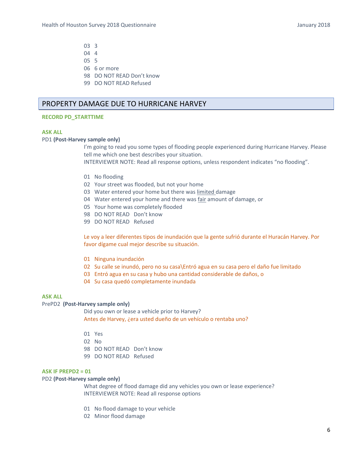- 03 3  $04 \quad 4$
- 05 5
- 06 6 or more
- 98 DO NOT READ Don't know
- 99 DO NOT READ Refused

## PROPERTY DAMAGE DUE TO HURRICANE HARVEY

#### **RECORD PD\_STARTTIME**

#### **ASK ALL**

#### PD1 (Post-Harvey sample only)

 I'm going to read you some types of flooding people experienced during Hurricane Harvey. Please tell me which one best describes your situation.

INTERVIEWER NOTE: Read all response options, unless respondent indicates "no flooding".

- 01 No flooding
- 02 Your street was flooded, but not your home
- 03 Water entered your home but there was limited damage
- 04 Water entered your home and there was fair amount of damage, or
- 05 Your home was completely flooded
- 98 DO NOT READ Don't know
- 99 DO NOT READ Refused

Le voy a leer diferentes tipos de inundación que la gente sufrió durante el Huracán Harvey. Por favor dígame cual mejor describe su situación.

- 01 Ninguna inundación
- 02 Su calle se inundó, pero no su casa\Entró agua en su casa pero el daño fue limitado
- 03 Entró agua en su casa y hubo una cantidad considerable de daños, o
- 04 Su casa quedó completamente inundada

#### **ASK ALL**

#### PrePD2 (Post-Harvey sample only)

 Did you own or lease a vehicle prior to Harvey? Antes de Harvey, ¿era usted dueño de un vehículo o rentaba uno?

- 01 Yes
- 02 No
- 98 DO NOT READ Don't know
- 99 DO NOT READ Refused

#### **ASK IF PREPD2 = 01**

#### PD2 (Post-Harvey sample only)

 What degree of flood damage did any vehicles you own or lease experience? INTERVIEWER NOTE: Read all response options

- 01 No flood damage to your vehicle
- 02 Minor flood damage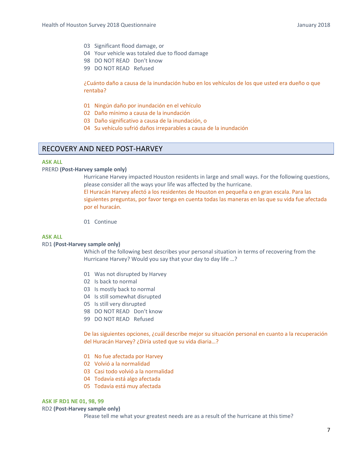- 03 Significant flood damage, or
- 04 Your vehicle was totaled due to flood damage
- 98 DO NOT READ Don't know
- 99 DO NOT READ Refused

¿Cuánto daño a causa de la inundación hubo en los vehículos de los que usted era dueño o que rentaba?

- 01 Ningún daño por inundación en el vehículo
- 02 Daño mínimo a causa de la inundación
- 03 Daño significativo a causa de la inundación, o
- 04 Su vehículo sufrió daños irreparables a causa de la inundación

## RECOVERY AND NEED POST‐HARVEY

#### **ASK ALL**

#### PRERD **(Post‐Harvey sample only)**

 Hurricane Harvey impacted Houston residents in large and small ways. For the following questions, please consider all the ways your life was affected by the hurricane.

El Huracán Harvey afectó a los residentes de Houston en pequeña o en gran escala. Para las siguientes preguntas, por favor tenga en cuenta todas las maneras en las que su vida fue afectada por el huracán.

01 Continue

#### **ASK ALL**

#### RD1 **(Post‐Harvey sample only)**

 Which of the following best describes your personal situation in terms of recovering from the Hurricane Harvey? Would you say that your day to day life …?

- 01 Was not disrupted by Harvey
- 02 Is back to normal
- 03 Is mostly back to normal
- 04 Is still somewhat disrupted
- 05 Is still very disrupted
- 98 DO NOT READ Don't know
- 99 DO NOT READ Refused

De las siguientes opciones, ¿cuál describe mejor su situación personal en cuanto a la recuperación del Huracán Harvey? ¿Diría usted que su vida diaria…?

- 01 No fue afectada por Harvey
- 02 Volvió a la normalidad
- 03 Casi todo volvió a la normalidad
- 04 Todavía está algo afectada
- 05 Todavía está muy afectada

#### **ASK IF RD1 NE 01, 98, 99**

#### RD2 **(Post‐Harvey sample only)**

Please tell me what your greatest needs are as a result of the hurricane at this time?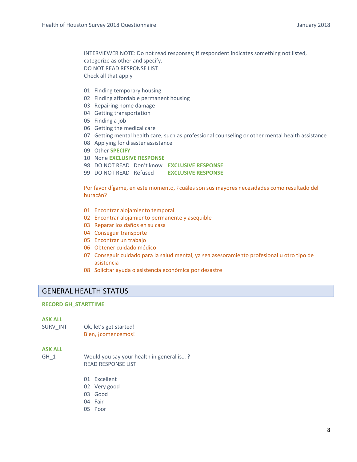INTERVIEWER NOTE: Do not read responses; if respondent indicates something not listed, categorize as other and specify. DO NOT READ RESPONSE LIST Check all that apply

- 01 Finding temporary housing
- 02 Finding affordable permanent housing
- 03 Repairing home damage
- 04 Getting transportation
- 05 Finding a job
- 06 Getting the medical care
- 07 Getting mental health care, such as professional counseling or other mental health assistance
- 08 Applying for disaster assistance
- 09 Other **SPECIFY**
- 10 None **EXCLUSIVE RESPONSE**
- 98 DO NOT READ Don't know **EXCLUSIVE RESPONSE**
- 99 DO NOT READ Refused **EXCLUSIVE RESPONSE**

Por favor dígame, en este momento, ¿cuáles son sus mayores necesidades como resultado del huracán?

- 01 Encontrar alojamiento temporal
- 02 Encontrar alojamiento permanente y asequible
- 03 Reparar los daños en su casa
- 04 Conseguir transporte
- 05 Encontrar un trabajo
- 06 Obtener cuidado médico
- 07 Conseguir cuidado para la salud mental, ya sea asesoramiento profesional u otro tipo de asistencia
- 08 Solicitar ayuda o asistencia económica por desastre

## GENERAL HEALTH STATUS

#### **RECORD GH\_STARTTIME**

#### **ASK ALL**

SURV\_INT Ok, let's get started! Bien, ¡comencemos!

#### **ASK ALL**

- GH 1 Would you say your health in general is...? READ RESPONSE LIST
	- 01 Excellent
	- 02 Very good
	- 03 Good
	- 04 Fair
	- 05 Poor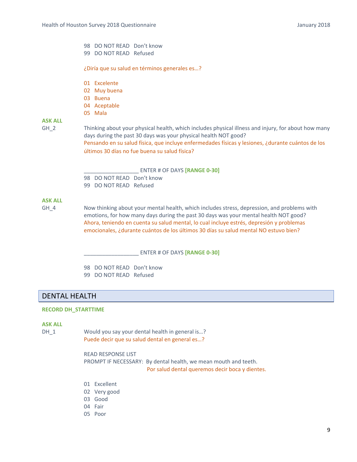## 98 DO NOT READ Don't know

99 DO NOT READ Refused

¿Diría que su salud en términos generales es…?

- 01 Excelente
- 02 Muy buena
- 03 Buena
- 04 Aceptable
- 05 Mala

## **ASK ALL**

GH 2 Thinking about your physical health, which includes physical illness and injury, for about how many days during the past 30 days was your physical health NOT good? Pensando en su salud física, que incluye enfermedades físicas y lesiones, ¿durante cuántos de los últimos 30 días no fue buena su salud física?

#### \_\_\_\_\_\_\_\_\_\_\_\_\_\_\_\_\_\_ ENTER # OF DAYS **[RANGE 0‐30]**

98 DO NOT READ Don't know

99 DO NOT READ Refused

## **ASK ALL**

GH\_4 Now thinking about your mental health, which includes stress, depression, and problems with emotions, for how many days during the past 30 days was your mental health NOT good? Ahora, teniendo en cuenta su salud mental, lo cual incluye estrés, depresión y problemas emocionales, ¿durante cuántos de los últimos 30 días su salud mental NO estuvo bien?

\_\_\_\_\_\_\_\_\_\_\_\_\_\_\_\_\_\_ ENTER # OF DAYS **[RANGE 0‐30]**

98 DO NOT READ Don't know 99 DO NOT READ Refused

## DENTAL HEALTH

#### **RECORD DH\_STARTTIME**

#### **ASK ALL**

DH\_1 Would you say your dental health in general is...? Puede decir que su salud dental en general es…?

> READ RESPONSE LIST PROMPT IF NECESSARY: By dental health, we mean mouth and teeth. Por salud dental queremos decir boca y dientes.

- 01 Excellent
- 02 Very good
- 03 Good
- 04 Fair
- 05 Poor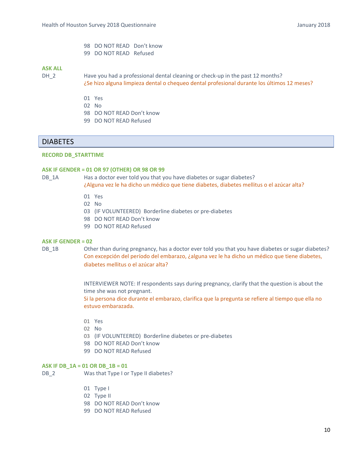- 98 DO NOT READ Don't know
- 99 DO NOT READ Refused

- DH\_2 
Have you had a professional dental cleaning or check-up in the past 12 months? ¿Se hizo alguna limpieza dental o chequeo dental profesional durante los últimos 12 meses?
	- 01 Yes
	- 02 No
	- 98 DO NOT READ Don't know
	- 99 DO NOT READ Refused

## **DIABETES**

#### **RECORD DB\_STARTTIME**

#### **ASK IF GENDER = 01 OR 97 (OTHER) OR 98 OR 99**

DB 1A Has a doctor ever told you that you have diabetes or sugar diabetes? ¿Alguna vez le ha dicho un médico que tiene diabetes, diabetes mellitus o el azúcar alta?

- 01 Yes
- 02 No
- 03 (IF VOLUNTEERED) Borderline diabetes or pre-diabetes
- 98 DO NOT READ Don't know
- 99 DO NOT READ Refused

#### **ASK IF GENDER = 02**

DB 1B Other than during pregnancy, has a doctor ever told you that you have diabetes or sugar diabetes? Con excepción del período del embarazo, ¿alguna vez le ha dicho un médico que tiene diabetes, diabetes mellitus o el azúcar alta?

> INTERVIEWER NOTE: If respondents says during pregnancy, clarify that the question is about the time she was not pregnant.

> Si la persona dice durante el embarazo, clarifica que la pregunta se refiere al tiempo que ella no estuvo embarazada.

- 01 Yes
- 02 No
- 03 (IF VOLUNTEERED) Borderline diabetes or pre-diabetes
- 98 DO NOT READ Don't know
- 99 DO NOT READ Refused

#### **ASK IF DB\_1A = 01 OR DB\_1B = 01**

DB 2 Was that Type I or Type II diabetes?

- 01 Type I
- 02 Type II
- 98 DO NOT READ Don't know
- 99 DO NOT READ Refused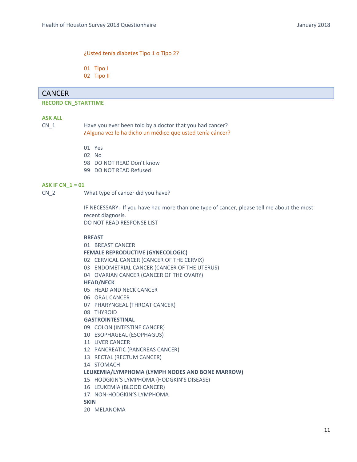#### ¿Usted tenía diabetes Tipo 1 o Tipo 2?

01 Tipo I

02 Tipo II

## CANCER

## **RECORD CN\_STARTTIME**

#### **ASK ALL**

CN 1 Have you ever been told by a doctor that you had cancer? ¿Alguna vez le ha dicho un médico que usted tenía cáncer?

- 01 Yes
- 02 No
- 98 DO NOT READ Don't know
- 99 DO NOT READ Refused

#### **ASK IF CN\_1 = 01**

CN\_2 What type of cancer did you have?

IF NECESSARY: If you have had more than one type of cancer, please tell me about the most recent diagnosis. DO NOT READ RESPONSE LIST

#### **BREAST**

#### 01 BREAST CANCER

**FEMALE REPRODUCTIVE (GYNECOLOGIC)** 

- 02 CERVICAL CANCER (CANCER OF THE CERVIX)
- 03 ENDOMETRIAL CANCER (CANCER OF THE UTERUS)
- 04 OVARIAN CANCER (CANCER OF THE OVARY)

#### **HEAD/NECK**

- 05 HEAD AND NECK CANCER
- 06 ORAL CANCER
- 07 PHARYNGEAL (THROAT CANCER)
- 08 THYROID

#### **GASTROINTESTINAL**

- 09 COLON (INTESTINE CANCER)
- 10 ESOPHAGEAL (ESOPHAGUS)
- 11 LIVER CANCER
- 12 PANCREATIC (PANCREAS CANCER)
- 13 RECTAL (RECTUM CANCER)

14 STOMACH

#### **LEUKEMIA/LYMPHOMA (LYMPH NODES AND BONE MARROW)**

- 15 HODGKIN'S LYMPHOMA (HODGKIN'S DISEASE)
- 16 LEUKEMIA (BLOOD CANCER)
- 17 NON‐HODGKIN'S LYMPHOMA

**SKIN** 

20 MELANOMA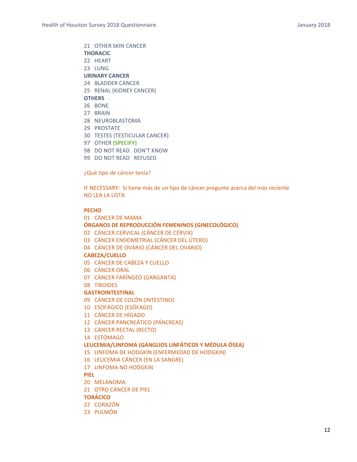21 OTHER SKIN CANCER **THORACIC**  22 HEART 23 LUNG **URINARY CANCER**  24 BLADDER CANCER 25 RENAL (KIDNEY CANCER) **OTHERS**  26 BONE 27 BRAIN 28 NEUROBLASTOMA 29 PROSTATE 30 TESTES (TESTICULAR CANCER)

- 97 OTHER **(SPECIFY)**
- 98 DO NOT READ DON'T KNOW
- 99 DO NOT READ REFUSED

¿Qué tipo de cáncer tenía?

IF NECESSARY: Si tiene más de un tipo de cáncer pregunte acerca del más reciente NO LEA LA LISTA

#### **PECHO**

01 CÁNCER DE MAMA

#### **ÓRGANOS DE REPRODUCCIÓN FEMENINOS (GINECOLÓGICO)**

- 02 CÁNCER CERVICAL (CÁNCER DE CÉRVIX)
- 03 CÁNCER ENDOMETRIAL (CÁNCER DEL ÚTERO)
- 04 CÁNCER DE OVARIO (CÁNCER DEL OVARIO)

#### **CABEZA/CUELLO**

- 05 CÁNCER DE CABEZA Y CUELLO
- 06 CÁNCER ORAL
- 07 CÁNCER FARÍNGEO (GARGANTA)
- 08 TIROIDES

#### **GASTROINTESTINAL**

- 09 CÁNCER DE COLÓN (INTESTINO)
- 10 ESOFÁGICO (ESÓFAGO)
- 11 CÁNCER DE HÍGADO
- 12 CÁNCER PANCREÁTICO (PÁNCREAS)
- 13 CÁNCER RECTAL (RECTO)

#### 14 ESTÓMAGO

#### **LEUCEMIA/LINFOMA (GÁNGLIOS LINFÁTICOS Y MÉDULA ÓSEA)**

- 15 LINFOMA DE HODGKIN (ENFERMEDAD DE HODGKIN)
- 16 LEUCEMIA CÁNCER (EN LA SANGRE)
- 17 LINFOMA NO HODGKIN

#### **PIEL**

- 20 MELANOMA
- 21 OTRO CÁNCER DE PIEL

#### **TORÁCICO**

- 22 CORAZÓN
- 23 PULMÓN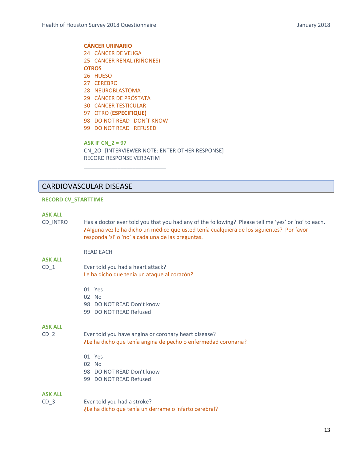**CÁNCER URINARIO**  24 CÁNCER DE VEJIGA 25 CÁNCER RENAL (RIÑONES) **OTROS**  26 HUESO 27 CEREBRO

- 28 NEUROBLASTOMA
- 29 CÁNCER DE PRÓSTATA
- 30 CÁNCER TESTICULAR
- 97 OTRO (**ESPECIFIQUE)**
- 98 DO NOT READ DON'T KNOW

\_\_\_\_\_\_\_\_\_\_\_\_\_\_\_\_\_\_\_\_\_\_\_\_\_\_\_

99 DO NOT READ REFUSED

**ASK IF CN\_2 = 97**  CN\_2O [INTERVIEWER NOTE: ENTER OTHER RESPONSE] RECORD RESPONSE VERBATIM

## CARDIOVASCULAR DISEASE

#### **RECORD CV\_STARTTIME**

#### **ASK ALL**

- CD INTRO Has a doctor ever told you that you had any of the following? Please tell me 'yes' or 'no' to each. ¿Alguna vez le ha dicho un médico que usted tenía cualquiera de los siguientes? Por favor responda 'sí' o 'no' a cada una de las preguntas.
	- READ EACH

## **ASK ALL**

- CD 1 Ever told you had a heart attack? Le ha dicho que tenía un ataque al corazón?
	- 01 Yes
	- 02 No
	- 98 DO NOT READ Don't know
	- 99 DO NOT READ Refused

#### **ASK ALL**

- CD\_2 Ever told you have angina or coronary heart disease? ¿Le ha dicho que tenía angina de pecho o enfermedad coronaria?
	- 01 Yes
	- 02 No
	- 98 DO NOT READ Don't know
	- 99 DO NOT READ Refused

#### **ASK ALL**

CD 3 Ever told you had a stroke? ¿Le ha dicho que tenía un derrame o infarto cerebral?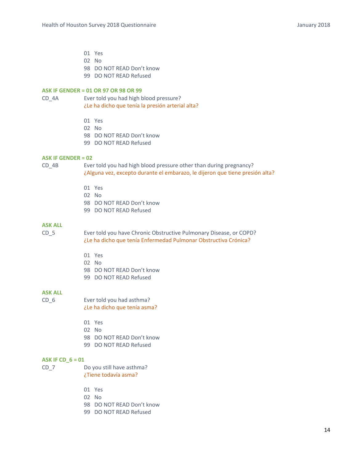- 01 Yes
- 02 No
- 98 DO NOT READ Don't know
- 99 DO NOT READ Refused

#### **ASK IF GENDER = 01 OR 97 OR 98 OR 99**

CD 4A Ever told you had high blood pressure? ¿Le ha dicho que tenía la presión arterial alta?

- 01 Yes
- 02 No
- 98 DO NOT READ Don't know
- 99 DO NOT READ Refused

#### **ASK IF GENDER = 02**

CD\_4B Ever told you had high blood pressure other than during pregnancy? ¿Alguna vez, excepto durante el embarazo, le dijeron que tiene presión alta?

- 01 Yes
- 02 No
- 98 DO NOT READ Don't know
- 99 DO NOT READ Refused

#### **ASK ALL**

CD\_5 Ever told you have Chronic Obstructive Pulmonary Disease, or COPD? ¿Le ha dicho que tenía Enfermedad Pulmonar Obstructiva Crónica?

- 01 Yes
- 02 No
- 98 DO NOT READ Don't know
- 99 DO NOT READ Refused

## **ASK ALL**

| CD 6 | Ever told you had asthma?    |
|------|------------------------------|
|      | ¿Le ha dicho que tenía asma? |

- 01 Yes
- 02 No
- 98 DO NOT READ Don't know
- 99 DO NOT READ Refused

#### **ASK IF CD\_6 = 01**

- CD\_7 Do you still have asthma? ¿Tiene todavía asma?
	- 01 Yes
	- 02 No
	- 98 DO NOT READ Don't know
	- 99 DO NOT READ Refused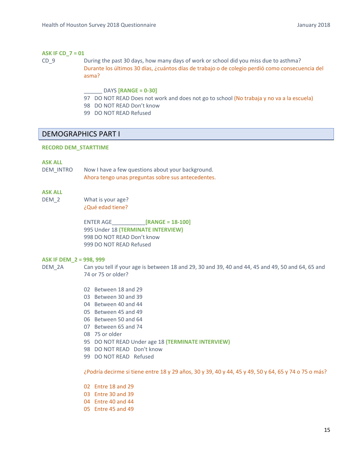#### **ASK IF CD\_7 = 01**

- CD\_9 During the past 30 days, how many days of work or school did you miss due to asthma? Durante los últimos 30 días, ¿cuántos días de trabajo o de colegio perdió como consecuencia del asma?
	- \_\_\_\_\_\_ DAYS **[RANGE = 0‐30]**
	- 97 DO NOT READ Does not work and does not go to school (No trabaja y no va a la escuela)
	- 98 DO NOT READ Don't know
	- 99 DO NOT READ Refused

## DEMOGRAPHICS PART I

#### **RECORD DEM\_STARTTIME**

#### **ASK ALL**

DEM\_INTRO Now I have a few questions about your background. Ahora tengo unas preguntas sobre sus antecedentes.

#### **ASK ALL**

DEM 2 What is your age? ¿Qué edad tiene?

> ENTER AGE\_\_\_\_\_\_\_\_\_\_\_**[RANGE = 18‐100]** 995 Under 18 **(TERMINATE INTERVIEW)**  998 DO NOT READ Don't know 999 DO NOT READ Refused

#### **ASK IF DEM\_2 = 998, 999**

DEM 2A Can you tell if your age is between 18 and 29, 30 and 39, 40 and 44, 45 and 49, 50 and 64, 65 and 74 or 75 or older?

- 02 Between 18 and 29
- 03 Between 30 and 39
- 04 Between 40 and 44
- 05 Between 45 and 49
- 06 Between 50 and 64
- 07 Between 65 and 74
- 08 75 or older
- 95 DO NOT READ Under age 18 **(TERMINATE INTERVIEW)**
- 98 DO NOT READ Don't know
- 99 DO NOT READ Refused

¿Podría decirme si tiene entre 18 y 29 años, 30 y 39, 40 y 44, 45 y 49, 50 y 64, 65 y 74 o 75 o más?

- 02 Entre 18 and 29
- 03 Entre 30 and 39
- 04 Entre 40 and 44
- 05 Entre 45 and 49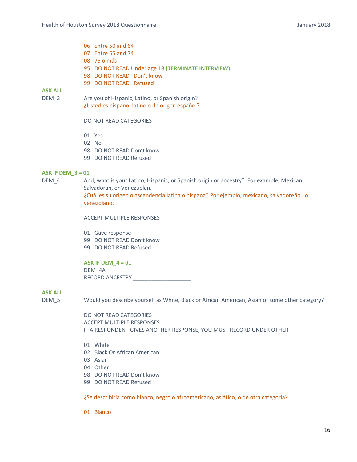- 06 Entre 50 and 64
- 07 Entre 65 and 74
- 08 75 o más
- 95 DO NOT READ Under age 18 **(TERMINATE INTERVIEW)**
- 98 DO NOT READ Don't know
- 99 DO NOT READ Refused

DEM 3 Are you of Hispanic, Latino, or Spanish origin? ¿Usted es hispano, latino o de origen español?

#### DO NOT READ CATEGORIES

- 01 Yes
- 02 No
- 98 DO NOT READ Don't know
- 99 DO NOT READ Refused

#### **ASK IF DEM\_3 = 01**

DEM<sub>\_4</sub> And, what is your Latino, Hispanic, or Spanish origin or ancestry? For example, Mexican, Salvadoran, or Venezuelan.

¿Cuál es su origen o ascendencia latina o hispana? Por ejemplo, mexicano, salvadoreño, o venezolano.

ACCEPT MULTIPLE RESPONSES

- 01 Gave response
- 99 DO NOT READ Don't know
- 99 DO NOT READ Refused

## **ASK IF DEM\_4 = 01**

DEM\_4A RECORD ANCESTRY \_\_\_\_\_\_\_\_\_\_\_\_\_\_\_\_\_\_\_

## **ASK ALL**

DEM 5 Would you describe yourself as White, Black or African American, Asian or some other category?

DO NOT READ CATEGORIES ACCEPT MULTIPLE RESPONSES IF A RESPONDENT GIVES ANOTHER RESPONSE, YOU MUST RECORD UNDER OTHER

- 01 White
- 02 Black Or African American
- 03 Asian
- 04 Other
- 98 DO NOT READ Don't know
- 99 DO NOT READ Refused

¿Se describiría como blanco, negro o afroamericano, asiático, o de otra categoría?

01 Blanco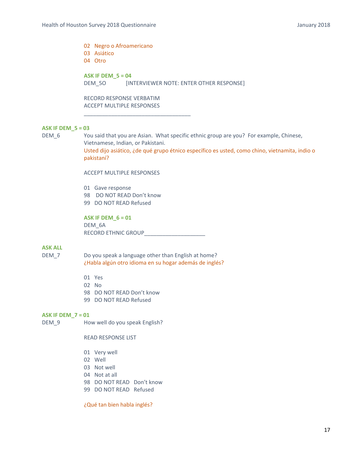02 Negro o Afroamericano 03 Asiático 04 Otro

\_\_\_\_\_\_\_\_\_\_\_\_\_\_\_\_\_\_\_\_\_\_\_\_\_\_\_\_\_\_\_\_\_\_\_

**ASK IF DEM\_5 = 04**  DEM\_5O [INTERVIEWER NOTE: ENTER OTHER RESPONSE]

RECORD RESPONSE VERBATIM ACCEPT MULTIPLE RESPONSES

#### **ASK IF DEM\_5 = 03**

DEM 6 You said that you are Asian. What specific ethnic group are you? For example, Chinese, Vietnamese, Indian, or Pakistani. Usted dijo asiático, ¿de qué grupo étnico específico es usted, como chino, vietnamita, indio o pakistaní?

ACCEPT MULTIPLE RESPONSES

01 Gave response 98 DO NOT READ Don't know 99 DO NOT READ Refused

**ASK IF DEM\_6 = 01**  DEM 6A RECORD ETHNIC GROUP\_\_\_\_\_\_\_\_\_\_\_\_\_\_\_\_\_\_\_\_

#### **ASK ALL**

- DEM\_7 Do you speak a language other than English at home? ¿Habla algún otro idioma en su hogar además de inglés?
	- 01 Yes
	- 02 No
	- 98 DO NOT READ Don't know
	- 99 DO NOT READ Refused

#### **ASK IF DEM\_7 = 01**

DEM\_9 How well do you speak English?

#### READ RESPONSE LIST

- 01 Very well
- 02 Well
- 03 Not well
- 04 Not at all
- 98 DO NOT READ Don't know
- 99 DO NOT READ Refused

¿Qué tan bien habla inglés?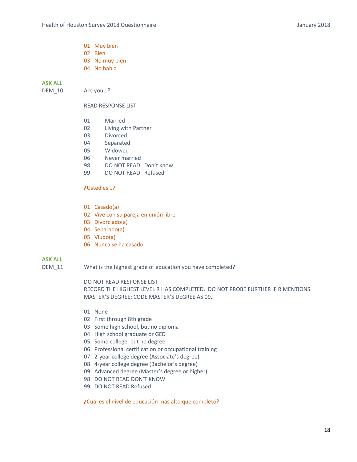- 01 Muy bien
- 02 Bien
- 03 No muy bien
- 04 No habla

DEM\_10 Are you...?

#### READ RESPONSE LIST

- 01 Married
- 02 Living with Partner
- 03 Divorced
- 04 Separated
- 05 Widowed
- 06 Never married
- 98 DO NOT READ Don't know
- 99 DO NOT READ Refused

#### ¿Usted es…?

- 01 Casado(a)
- 02 Vive con su pareja en unión libre
- 03 Divorciado(a)
- 04 Separado(a)
- 05 Viudo(a)
- 06 Nunca se ha casado

#### **ASK ALL**

DEM\_11 What is the highest grade of education you have completed?

#### DO NOT READ RESPONSE LIST

RECORD THE HIGHEST LEVEL R HAS COMPLETED. DO NOT PROBE FURTHER IF R MENTIONS MASTER'S DEGREE; CODE MASTER'S DEGREE AS 09.

- 01 None
- 02 First through 8th grade
- 03 Some high school, but no diploma
- 04 High school graduate or GED
- 05 Some college, but no degree
- 06 Professional certification or occupational training
- 07 2‐year college degree (Associate's degree)
- 08 4‐year college degree (Bachelor's degree)
- 09 Advanced degree (Master's degree or higher)
- 98 DO NOT READ DON'T KNOW
- 99 DO NOT READ Refused

¿Cuál es el nivel de educación más alto que completó?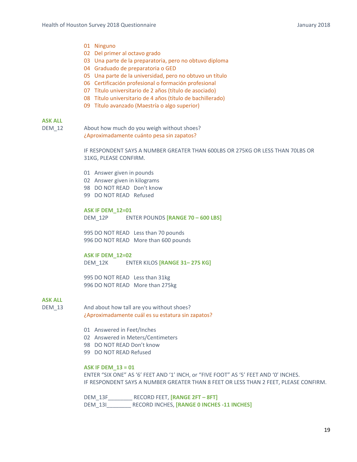- 01 Ninguno
- 02 Del primer al octavo grado
- 03 Una parte de la preparatoria, pero no obtuvo diploma
- 04 Graduado de preparatoria o GED
- 05 Una parte de la universidad, pero no obtuvo un título
- 06 Certificación profesional o formación profesional
- 07 Título universitario de 2 años (título de asociado)
- 08 Título universitario de 4 años (título de bachillerado)
- 09 Título avanzado (Maestría o algo superior)

DEM 12 About how much do you weigh without shoes? ¿Aproximadamente cuánto pesa sin zapatos?

> IF RESPONDENT SAYS A NUMBER GREATER THAN 600LBS OR 275KG OR LESS THAN 70LBS OR 31KG, PLEASE CONFIRM.

- 01 Answer given in pounds
- 02 Answer given in kilograms
- 98 DO NOT READ Don't know
- 99 DO NOT READ Refused

**ASK IF DEM\_12=01** DEM\_12P ENTER POUNDS **[RANGE 70 – 600 LBS]**

995 DO NOT READ Less than 70 pounds 996 DO NOT READ More than 600 pounds

**ASK IF DEM\_12=02**

DEM\_12K ENTER KILOS **[RANGE 31– 275 KG]**

995 DO NOT READ Less than 31kg 996 DO NOT READ More than 275kg

#### **ASK ALL**

- DEM 13 And about how tall are you without shoes? ¿Aproximadamente cuál es su estatura sin zapatos?
	- 01 Answered in Feet/Inches
	- 02 Answered in Meters/Centimeters
	- 98 DO NOT READ Don't know
	- 99 DO NOT READ Refused

#### **ASK IF DEM\_13 = 01**

ENTER "SIX ONE" AS '6' FEET AND '1' INCH, or "FIVE FOOT" AS '5' FEET AND '0' INCHES. IF RESPONDENT SAYS A NUMBER GREATER THAN 8 FEET OR LESS THAN 2 FEET, PLEASE CONFIRM.

DEM\_13F\_\_\_\_\_\_\_\_ RECORD FEET, **[RANGE 2FT – 8FT]**  DEM\_13I\_\_\_\_\_\_\_\_\_\_\_\_\_ RECORD INCHES, **[RANGE 0 INCHES -11 INCHES]**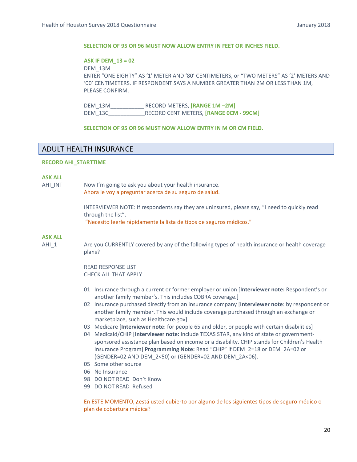#### **SELECTION OF 95 OR 96 MUST NOW ALLOW ENTRY IN FEET OR INCHES FIELD.**

#### **ASK IF DEM\_13 = 02**

DEM\_13M ENTER "ONE EIGHTY" AS '1' METER AND '80' CENTIMETERS, or "TWO METERS" AS '2' METERS AND '00' CENTIMETERS. IF RESPONDENT SAYS A NUMBER GREATER THAN 2M OR LESS THAN 1M, PLEASE CONFIRM.

DEM\_13M\_\_\_\_\_\_\_\_\_\_\_ RECORD METERS, **[RANGE 1M –2M]** DEM\_13C\_\_\_\_\_\_\_\_\_\_\_\_RECORD CENTIMETERS, **[RANGE 0CM ‐ 99CM]**

#### **SELECTION OF 95 OR 96 MUST NOW ALLOW ENTRY IN M OR CM FIELD.**

## ADULT HEALTH INSURANCE

#### **RECORD AHI\_STARTTIME**

#### **ASK ALL**

AHI\_INT Mow I'm going to ask you about your health insurance. Ahora le voy a preguntar acerca de su seguro de salud.

> INTERVIEWER NOTE: If respondents say they are uninsured, please say, "I need to quickly read through the list".

"Necesito leerle rápidamente la lista de tipos de seguros médicos."

#### **ASK ALL**

AHI\_1 Are you CURRENTLY covered by any of the following types of health insurance or health coverage plans?

#### READ RESPONSE LIST CHECK ALL THAT APPLY

- 01 Insurance through a current or former employer or union [**Interviewer note:** Respondent's or another family member's. This includes COBRA coverage.]
- 02 Insurance purchased directly from an insurance company [**Interviewer note**: by respondent or another family member. This would include coverage purchased through an exchange or marketplace, such as Healthcare.gov]
- 03 Medicare [**Interviewer note**: for people 65 and older, or people with certain disabilities]
- 04 Medicaid/CHIP [**Interviewer note:** include TEXAS STAR, any kind of state or government‐ sponsored assistance plan based on income or a disability. CHIP stands for Children's Health Insurance Program] **Programming Note:** Read "CHIP" if DEM\_2=18 or DEM\_2A=02 or (GENDER=02 AND DEM\_2<50) or (GENDER=02 AND DEM\_2A<06).
- 05 Some other source
- 06 No Insurance
- 98 DO NOT READ Don't Know
- 99 DO NOT READ Refused

En ESTE MOMENTO, ¿está usted cubierto por alguno de los siguientes tipos de seguro médico o plan de cobertura médica?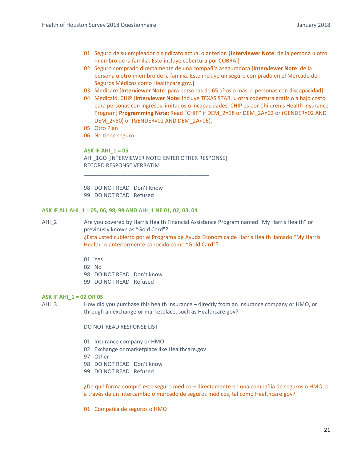- 01 Seguro de su empleador o sindicato actual o anterior. [**Interviewer Note**: de la persona u otro miembro de la familia. Esto incluye cobertura por COBRA.]
- 02 Seguro comprado directamente de una compañía aseguradora [**Interviewer Note**: de la persona u otro miembro de la familia. Esto incluye un seguro comprado en el Mercado de Seguros Médicos como Healthcare.gov.]
- 03 Medicare [**Interviewer Note**: para personas de 65 años o más, o personas con discapacidad]
- 04 Medicaid, CHIP [**Interviewer Note**: incluye TEXAS STAR, u otra cobertura gratis o a bajo costo para personas con ingresos limitados o incapacidades. CHIP es por Children's Health Insurance Program] **Programming Note:** Read "CHIP" if DEM\_2=18 or DEM\_2A=02 or (GENDER=02 AND DEM\_2<50) or (GENDER=02 AND DEM\_2A<06).
- 05 Otro Plan
- 06 No tiene seguro

**ASK IF AHI\_1 = 05**  AHI\_1GO [INTERVIEWER NOTE: ENTER OTHER RESPONSE] RECORD RESPONSE VERBATIM

\_\_\_\_\_\_\_\_\_\_\_\_\_\_\_\_\_\_\_\_\_\_\_\_\_\_\_\_\_\_\_\_\_\_\_\_\_\_\_\_\_

98 DO NOT READ Don't Know 99 DO NOT READ Refused

#### **ASK IF ALL AHI\_1 = 05, 06, 98, 99 AND AHI\_1 NE 01, 02, 03, 04**

AHI\_2 
Are you covered by Harris Health Financial Assistance Program named "My Harris Health" or previously known as "Gold Card"? ¿Esta usted cubierto por el Programa de Ayuda Economica de Harris Health llamado "My Harris Health" o anteriormente conocido como "Gold Card"?

- 01 Yes
- 02 No
- 98 DO NOT READ Don't know
- 99 DO NOT READ Refused

#### **ASK IF AHI\_1 = 02 OR 05**

AHI\_3 How did you purchase this health insurance – directly from an insurance company or HMO, or through an exchange or marketplace, such as Healthcare.gov?

DO NOT READ RESPONSE LIST

- 01 Insurance company or HMO
- 02 Exchange or marketplace like Healthcare.gov
- 97 Other
- 98 DO NOT READ Don't know
- 99 DO NOT READ Refused

¿De qué forma compró este seguro médico – directamente en una compañía de seguros o HMO, o a través de un intercambio o mercado de seguros médicos, tal como Healthcare.gov?

01 Compañía de seguros o HMO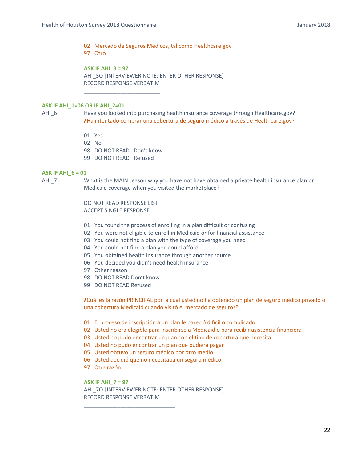02 Mercado de Seguros Médicos, tal como Healthcare.gov

97 Otro

## **ASK IF AHI\_3 = 97**

AHI\_3O [INTERVIEWER NOTE: ENTER OTHER RESPONSE] RECORD RESPONSE VERBATIM

#### **ASK IF AHI\_1=06 OR IF AHI\_2=01**

- AHI\_6 Have you looked into purchasing health insurance coverage through Healthcare.gov? ¿Ha intentado comprar una cobertura de seguro médico a través de Healthcare.gov?
	- 01 Yes
	- 02 No
	- 98 DO NOT READ Don't know

\_\_\_\_\_\_\_\_\_\_\_\_\_\_\_\_\_\_\_\_\_\_\_\_\_

99 DO NOT READ Refused

#### **ASK IF AHI\_6 = 01**

AHIZ What is the MAIN reason why you have not have obtained a private health insurance plan or Medicaid coverage when you visited the marketplace?

> DO NOT READ RESPONSE LIST ACCEPT SINGLE RESPONSE

- 01 You found the process of enrolling in a plan difficult or confusing
- 02 You were not eligible to enroll in Medicaid or for financial assistance
- 03 You could not find a plan with the type of coverage you need
- 04 You could not find a plan you could afford
- 05 You obtained health insurance through another source
- 06 You decided you didn't need health insurance
- 97 Other reason
- 98 DO NOT READ Don't know
- 99 DO NOT READ Refused

¿Cuál es la razón PRINCIPAL por la cual usted no ha obtenido un plan de seguro médico privado o una cobertura Medicaid cuando visitó el mercado de seguros?

- 01 El proceso de inscripción a un plan le pareció difícil o complicado
- 02 Usted no era elegible para inscribirse a Medicaid o para recibir asistencia financiera
- 03 Usted no pudo encontrar un plan con el tipo de cobertura que necesita
- 04 Usted no pudo encontrar un plan que pudiera pagar
- 05 Usted obtuvo un seguro médico por otro medio
- 06 Usted decidió que no necesitaba un seguro médico
- 97 Otra razón

**ASK IF AHI\_7 = 97**  AHI\_7O [INTERVIEWER NOTE: ENTER OTHER RESPONSE] RECORD RESPONSE VERBATIM

\_\_\_\_\_\_\_\_\_\_\_\_\_\_\_\_\_\_\_\_\_\_\_\_\_\_\_\_\_\_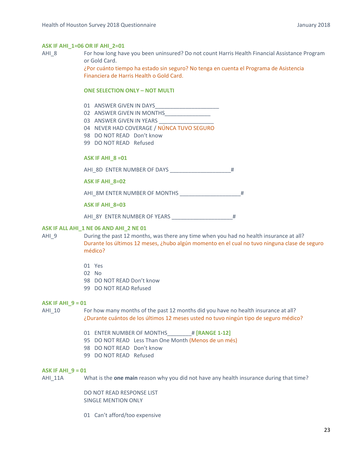#### **ASK IF AHI\_1=06 OR IF AHI\_2=01**

AHI 8 For how long have you been uninsured? Do not count Harris Health Financial Assistance Program or Gold Card.

> ¿Por cuánto tiempo ha estado sin seguro? No tenga en cuenta el Programa de Asistencia Financiera de Harris Health o Gold Card.

#### **ONE SELECTION ONLY – NOT MULTI**

- 01 ANSWER GIVEN IN DAYS
- 02 ANSWER GIVEN IN MONTHS
- 03 ANSWER GIVEN IN YEARS
- 04 NEVER HAD COVERAGE / NÚNCA TUVO SEGURO
- 98 DO NOT READ Don't know
- 99 DO NOT READ Refused

#### **ASK IF AHI\_8 =01**

AHI\_8D\_ENTER NUMBER OF DAYS #

**ASK IF AHI\_8=02** 

AHI\_8M ENTER NUMBER OF MONTHS \_\_\_\_\_\_\_\_\_\_\_\_\_\_\_\_\_\_\_\_#

#### **ASK IF AHI\_8=03**

AHI\_8Y ENTER NUMBER OF YEARS \_\_\_\_\_\_\_\_\_\_\_\_\_\_\_\_\_\_\_\_#

#### **ASK IF ALL AHI\_1 NE 06 AND AHI\_2 NE 01**

AHI\_9 During the past 12 months, was there any time when you had no health insurance at all? Durante los últimos 12 meses, ¿hubo algún momento en el cual no tuvo ninguna clase de seguro médico?

- 01 Yes
- 02 No
- 98 DO NOT READ Don't know
- 99 DO NOT READ Refused

#### **ASK IF AHI\_9 = 01**

AHI\_10 For how many months of the past 12 months did you have no health insurance at all? ¿Durante cuántos de los últimos 12 meses usted no tuvo ningún tipo de seguro médico?

- 01 ENTER NUMBER OF MONTHS\_\_\_\_\_\_\_\_# **[RANGE 1‐12]**
- 95 DO NOT READ Less Than One Month (Menos de un més)
- 98 DO NOT READ Don't know
- 99 DO NOT READ Refused

#### **ASK IF AHI\_9 = 01**

AHI\_11A What is the **one main** reason why you did not have any health insurance during that time?

DO NOT READ RESPONSE LIST SINGLE MENTION ONLY

01 Can't afford/too expensive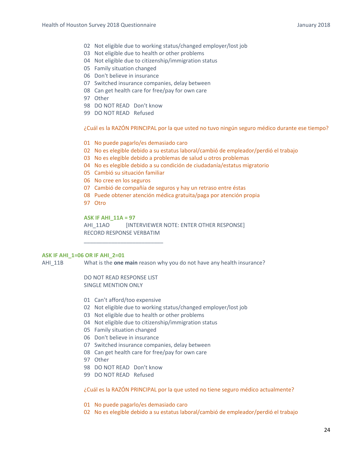- 02 Not eligible due to working status/changed employer/lost job
- 03 Not eligible due to health or other problems
- 04 Not eligible due to citizenship/immigration status
- 05 Family situation changed
- 06 Don't believe in insurance
- 07 Switched insurance companies, delay between
- 08 Can get health care for free/pay for own care
- 97 Other
- 98 DO NOT READ Don't know
- 99 DO NOT READ Refused

¿Cuál es la RAZÓN PRINCIPAL por la que usted no tuvo ningún seguro médico durante ese tiempo?

- 01 No puede pagarlo/es demasiado caro
- 02 No es elegible debido a su estatus laboral/cambió de empleador/perdió el trabajo
- 03 No es elegible debido a problemas de salud u otros problemas
- 04 No es elegible debido a su condición de ciudadanía/estatus migratorio
- 05 Cambió su situación familiar
- 06 No cree en los seguros
- 07 Cambió de compañía de seguros y hay un retraso entre éstas
- 08 Puede obtener atención médica gratuita/paga por atención propia
- 97 Otro

**ASK IF AHI\_11A = 97** 

AHI\_11AO [INTERVIEWER NOTE: ENTER OTHER RESPONSE] RECORD RESPONSE VERBATIM

#### **ASK IF AHI\_1=06 OR IF AHI\_2=01**

AHI\_11B What is the **one main** reason why you do not have any health insurance?

DO NOT READ RESPONSE LIST SINGLE MENTION ONLY

\_\_\_\_\_\_\_\_\_\_\_\_\_\_\_\_\_\_\_\_\_\_\_\_\_\_

- 01 Can't afford/too expensive
- 02 Not eligible due to working status/changed employer/lost job
- 03 Not eligible due to health or other problems
- 04 Not eligible due to citizenship/immigration status
- 05 Family situation changed
- 06 Don't believe in insurance
- 07 Switched insurance companies, delay between
- 08 Can get health care for free/pay for own care
- 97 Other
- 98 DO NOT READ Don't know
- 99 DO NOT READ Refused

¿Cuál es la RAZÓN PRINCIPAL por la que usted no tiene seguro médico actualmente?

- 01 No puede pagarlo/es demasiado caro
- 02 No es elegible debido a su estatus laboral/cambió de empleador/perdió el trabajo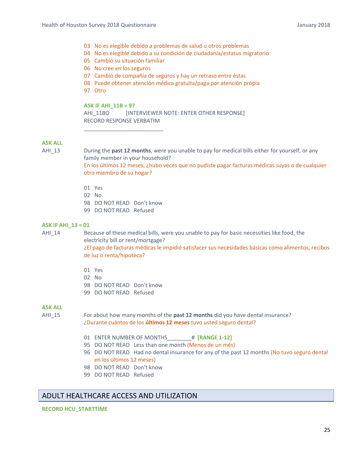- 03 No es elegible debido a problemas de salud u otros problemas
- 04 No es elegible debido a su condición de ciudadanía/estatus migratorio
- 05 Cambió su situación familiar

\_\_\_\_\_\_\_\_\_\_\_\_\_\_\_\_\_\_\_\_\_\_\_\_\_\_

- 06 No cree en los seguros
- 07 Cambió de compañía de seguros y hay un retraso entre éstas
- 08 Puede obtener atención médica gratuita/paga por atención propia
- 97 Otro

#### **ASK IF AHI\_11B = 97**

AHI\_11BO [INTERVIEWER NOTE: ENTER OTHER RESPONSE] RECORD RESPONSE VERBATIM

## **ASK ALL**

AHI\_13 During the **past 12 months**, were you unable to pay for medical bills either for yourself, or any family member in your household?

> En los últimos 12 meses, ¿hubo veces que no pudiste pagar facturas médicas suyas o de cualquier otro miembro de su hogar?

- 01 Yes
- 02 No
- 98 DO NOT READ Don't know
- 99 DO NOT READ Refused

#### **ASK IF AHI\_13 = 01**

AHI\_14 Because of these medical bills, were you unable to pay for basic necessities like food, the electricity bill or rent/mortgage?

¿El pago de facturas médicas le impidió satisfacer sus necesidades básicas como alimentos, recibos de luz o renta/hipoteca?

- 01 Yes
- 02 No
- 98 DO NOT READ Don't know
- 99 DO NOT READ Refused

#### **ASK ALL**

AHI $15$  For about how many months of the **past 12 months** did you have dental insurance? ¿Durante cuántos de los **últimos 12 meses** tuvo usted seguro dental?

- 01 ENTER NUMBER OF MONTHS\_\_\_\_\_\_\_\_# **[RANGE 1‐12]**
- 95 DO NOT READ Less than one month (Menos de un més)
- 96 DO NOT READ Had no dental insurance for any of the past 12 months (No tuvo seguro dental en los últimos 12 meses)
- 98 DO NOT READ Don't know
- 99 DO NOT READ Refused

## ADULT HEALTHCARE ACCESS AND UTILIZATION

#### **RECORD HCU\_STARTTIME**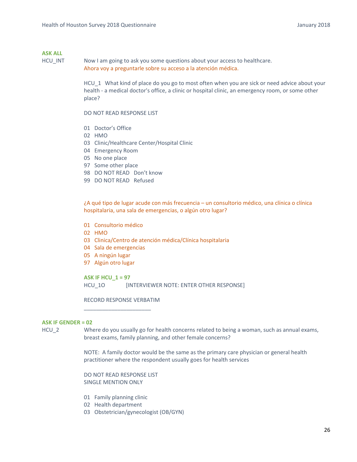HCU\_INT Now I am going to ask you some questions about your access to healthcare. Ahora voy a preguntarle sobre su acceso a la atención médica.

> HCU\_1 What kind of place do you go to most often when you are sick or need advice about your health - a medical doctor's office, a clinic or hospital clinic, an emergency room, or some other place?

DO NOT READ RESPONSE LIST

- 01 Doctor's Office
- 02 HMO
- 03 Clinic/Healthcare Center/Hospital Clinic
- 04 Emergency Room
- 05 No one place
- 97 Some other place
- 98 DO NOT READ Don't know
- 99 DO NOT READ Refused

¿A qué tipo de lugar acude con más frecuencia – un consultorio médico, una clínica o clínica hospitalaria, una sala de emergencias, o algún otro lugar?

- 01 Consultorio médico
- 02 HMO
- 03 Clinica/Centro de atención médica/Clínica hospitalaria
- 04 Sala de emergencias
- 05 A ningún lugar
- 97 Algún otro lugar

**ASK IF HCU\_1 = 97**  HCU 10 [INTERVIEWER NOTE: ENTER OTHER RESPONSE]

RECORD RESPONSE VERBATIM

\_\_\_\_\_\_\_\_\_\_\_\_\_\_\_\_\_\_\_\_\_\_

#### **ASK IF GENDER = 02**

HCU\_2 Where do you usually go for health concerns related to being a woman, such as annual exams, breast exams, family planning, and other female concerns?

> NOTE: A family doctor would be the same as the primary care physician or general health practitioner where the respondent usually goes for health services

DO NOT READ RESPONSE LIST SINGLE MENTION ONLY

- 01 Family planning clinic
- 02 Health department
- 03 Obstetrician/gynecologist (OB/GYN)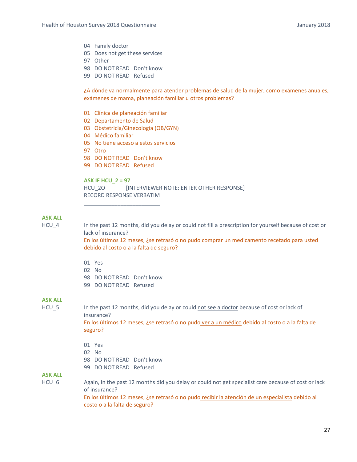- 04 Family doctor
- 05 Does not get these services
- 97 Other
- 98 DO NOT READ Don't know
- 99 DO NOT READ Refused

¿A dónde va normalmente para atender problemas de salud de la mujer, como exámenes anuales, exámenes de mama, planeación familiar u otros problemas?

- 01 Clínica de planeación familiar
- 02 Departamento de Salud
- 03 Obstetricia/Ginecología (OB/GYN)
- 04 Médico familiar
- 05 No tiene acceso a estos servicios
- 97 Otro
- 98 DO NOT READ Don't know

\_\_\_\_\_\_\_\_\_\_\_\_\_\_\_\_\_\_\_\_\_\_\_\_\_

99 DO NOT READ Refused

**ASK IF HCU\_2 = 97**  HCU 2O [INTERVIEWER NOTE: ENTER OTHER RESPONSE] RECORD RESPONSE VERBATIM

#### **ASK ALL**

HCU\_4 In the past 12 months, did you delay or could not fill a prescription for yourself because of cost or lack of insurance?

> En los últimos 12 meses, ¿se retrasó o no pudo comprar un medicamento recetado para usted debido al costo o a la falta de seguro?

- 01 Yes
- 02 No
- 98 DO NOT READ Don't know
- 99 DO NOT READ Refused

#### **ASK ALL**

HCU 5 In the past 12 months, did you delay or could not see a doctor because of cost or lack of insurance?

En los últimos 12 meses, ¿se retrasó o no pudo ver a un médico debido al costo o a la falta de seguro?

- 01 Yes
- 02 No
- 98 DO NOT READ Don't know
- 99 DO NOT READ Refused

**ASK ALL**

HCU 6 Again, in the past 12 months did you delay or could not get specialist care because of cost or lack of insurance? En los últimos 12 meses, ¿se retrasó o no pudo recibir la atención de un especialista debido al costo o a la falta de seguro?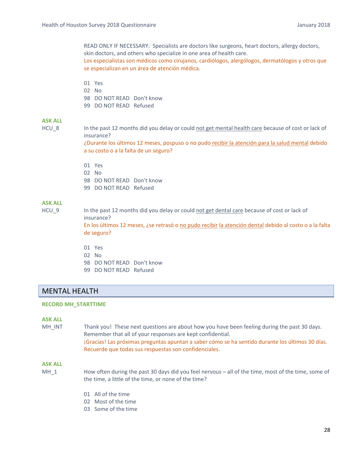READ ONLY IF NECESSARY: Specialists are doctors like surgeons, heart doctors, allergy doctors, skin doctors, and others who specialize in one area of health care. Los especialistas son médicos como cirujanos, cardiólogos, alergólogos, dermatólogos y otros que se especializan en un área de atención médica.

- 01 Yes
- 02 No
- 98 DO NOT READ Don't know
- 99 DO NOT READ Refused

## **ASK ALL**

HCU 8 In the past 12 months did you delay or could not get mental health care because of cost or lack of insurance?

> ¿Durante los últimos 12 meses, pospuso o no pudo recibir la atención para la salud mental debido a su costo o a la falta de un seguro?

- 01 Yes
- 02 No
- 98 DO NOT READ Don't know
- 99 DO NOT READ Refused

## **ASK ALL**

HCU 9 In the past 12 months did you delay or could not get dental care because of cost or lack of insurance?

En los últimos 12 meses, ¿se retrasó o no pudo recibir la atención dental debido al costo o a la falta de seguro?

- 01 Yes
- 02 No
- 98 DO NOT READ Don't know
- 99 DO NOT READ Refused

## MENTAL HEALTH

#### **RECORD MH\_STARTTIME**

#### **ASK ALL**

MH\_INT Thank you! These next questions are about how you have been feeling during the past 30 days. Remember that all of your responses are kept confidential. ¡Gracias! Las próximas preguntas apuntan a saber cómo se ha sentido durante los últimos 30 días. Recuerde que todas sus respuestas son confidenciales.

#### **ASK ALL**

- MH\_1 
How often during the past 30 days did you feel nervous all of the time, most of the time, some of the time, a little of the time, or none of the time?
	- 01 All of the time
	- 02 Most of the time
	- 03 Some of the time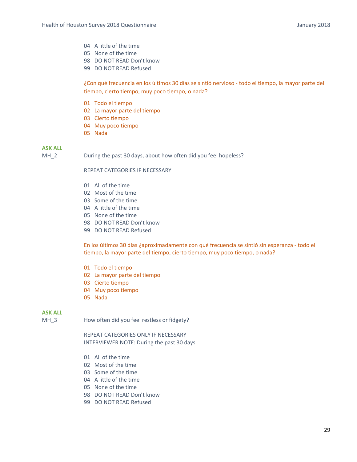- 04 A little of the time
- 05 None of the time
- 98 DO NOT READ Don't know
- 99 DO NOT READ Refused

¿Con qué frecuencia en los últimos 30 días se sintió nervioso ‐ todo el tiempo, la mayor parte del tiempo, cierto tiempo, muy poco tiempo, o nada?

- 01 Todo el tiempo
- 02 La mayor parte del tiempo
- 03 Cierto tiempo
- 04 Muy poco tiempo
- 05 Nada

#### **ASK ALL**

MH 2 During the past 30 days, about how often did you feel hopeless?

## REPEAT CATEGORIES IF NECESSARY

- 01 All of the time
- 02 Most of the time
- 03 Some of the time
- 04 A little of the time
- 05 None of the time
- 98 DO NOT READ Don't know
- 99 DO NOT READ Refused

En los últimos 30 días ¿aproximadamente con qué frecuencia se sintió sin esperanza ‐ todo el tiempo, la mayor parte del tiempo, cierto tiempo, muy poco tiempo, o nada?

- 01 Todo el tiempo
- 02 La mayor parte del tiempo
- 03 Cierto tiempo
- 04 Muy poco tiempo
- 05 Nada

#### **ASK ALL**

MH<sub>\_3</sub> How often did you feel restless or fidgety?

REPEAT CATEGORIES ONLY IF NECESSARY INTERVIEWER NOTE: During the past 30 days

- 01 All of the time
- 02 Most of the time
- 03 Some of the time
- 04 A little of the time
- 05 None of the time
- 98 DO NOT READ Don't know
- 99 DO NOT READ Refused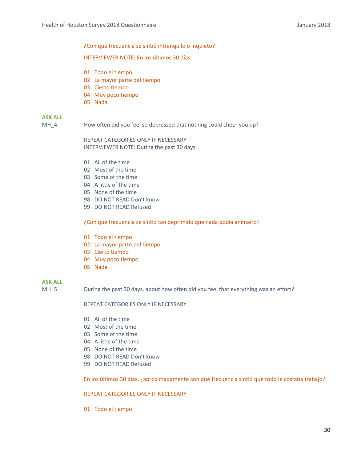¿Con qué frecuencia se sintió intranquilo o inquieto?

#### INTERVIEWER NOTE: En los últimos 30 días

- 01 Todo el tiempo
- 02 La mayor parte del tiempo
- 03 Cierto tiempo
- 04 Muy poco tiempo
- 05 Nada

## **ASK ALL**

MH\_4 How often did you feel so depressed that nothing could cheer you up?

REPEAT CATEGORIES ONLY IF NECESSARY INTERVIEWER NOTE: During the past 30 days

- 01 All of the time
- 02 Most of the time
- 03 Some of the time
- 04 A little of the time
- 05 None of the time
- 98 DO NOT READ Don't know
- 99 DO NOT READ Refused

¿Con qué frecuencia se sintió tan deprimido que nada podía animarlo?

- 01 Todo el tiempo
- 02 La mayor parte del tiempo
- 03 Cierto tiempo
- 04 Muy poco tiempo
- 05 Nada

## **ASK ALL**

MH 5 During the past 30 days, about how often did you feel that everything was an effort?

#### REPEAT CATEGORIES ONLY IF NECESSARY

- 01 All of the time
- 02 Most of the time
- 03 Some of the time
- 04 A little of the time
- 05 None of the time
- 98 DO NOT READ Don't know
- 99 DO NOT READ Refused

En los últimos 30 días, ¿aproximadamente con qué frecuencia sintió que todo le costaba trabajo?

#### REPEAT CATEGORIES ONLY IF NECESSARY

01 Todo el tiempo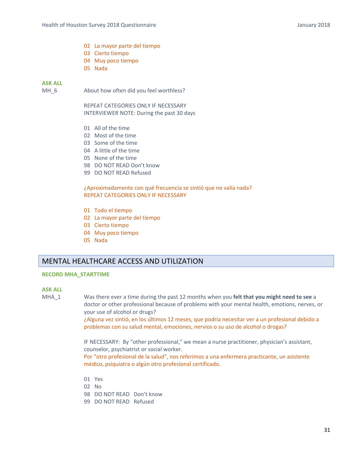- 02 La mayor parte del tiempo
- 03 Cierto tiempo
- 04 Muy poco tiempo
- 05 Nada

MH 6 About how often did you feel worthless?

REPEAT CATEGORIES ONLY IF NECESSARY INTERVIEWER NOTE: During the past 30 days

- 01 All of the time
- 02 Most of the time
- 03 Some of the time
- 04 A little of the time
- 05 None of the time
- 98 DO NOT READ Don't know
- 99 DO NOT READ Refused

#### ¿Aproximadamente con qué frecuencia se sintió que no valía nada? REPEAT CATEGORIES ONLY IF NECESSARY

- 01 Todo el tiempo
- 02 La mayor parte del tiempo
- 03 Cierto tiempo
- 04 Muy poco tiempo
- 05 Nada

## MENTAL HEALTHCARE ACCESS AND UTILIZATION

#### **RECORD MHA\_STARTTIME**

#### **ASK ALL**

MHA\_1 Was there ever a time during the past 12 months when you **felt that you might need to see** a doctor or other professional because of problems with your mental health, emotions, nerves, or your use of alcohol or drugs?

> ¿Alguna vez sintió, en los últimos 12 meses, que podría necesitar ver a un profesional debido a problemas con su salud mental, emociones, nervios o su uso de alcohol o drogas?

IF NECESSARY: By "other professional," we mean a nurse practitioner, physician's assistant, counselor, psychiatrist or social worker.

Por "otro profesional de la salud", nos referimos a una enfermera practicante, un asistente médico, psiquiatra o algún otro profesional certificado.

- 01 Yes
- 02 No
- 98 DO NOT READ Don't know
- 99 DO NOT READ Refused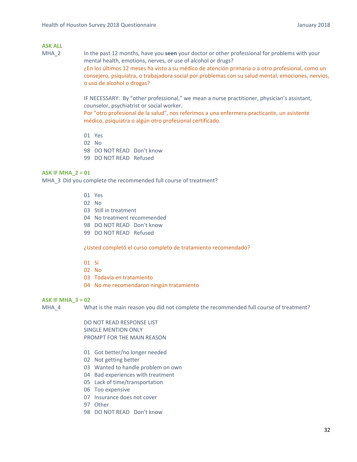MHA\_2 In the past 12 months, have you **seen** your doctor or other professional for problems with your mental health, emotions, nerves, or use of alcohol or drugs? ¿En los últimos 12 meses ha visto a su médico de atención primaria o a otro profesional, como un consejero, psiquiatra, o trabajadora social por problemas con su salud mental, emociones, nervios, o uso de alcohol o drogas?

> IF NECESSARY: By "other professional," we mean a nurse practitioner, physician's assistant, counselor, psychiatrist or social worker.

> Por "otro profesional de la salud", nos referimos a una enfermera practicante, un asistente médico, psiquiatra o algún otro profesional certificado.

- 01 Yes
- 02 No
- 98 DO NOT READ Don't know
- 99 DO NOT READ Refused

#### **ASK IF MHA\_2 = 01**

MHA 3 Did you complete the recommended full course of treatment?

- 01 Yes
- 02 No
- 03 Still in treatment
- 04 No treatment recommended
- 98 DO NOT READ Don't know
- 99 DO NOT READ Refused

#### ¿Usted completó el curso completo de tratamiento recomendado?

- 01 Sí
- 02 No
- 03 Todavía en tratamiento
- 04 No me recomendaron ningún tratamiento

#### **ASK IF MHA\_3 = 02**

MHA 4 What is the main reason you did not complete the recommended full course of treatment?

DO NOT READ RESPONSE LIST SINGLE MENTION ONLY PROMPT FOR THE MAIN REASON

- 01 Got better/no longer needed
- 02 Not getting better
- 03 Wanted to handle problem on own
- 04 Bad experiences with treatment
- 05 Lack of time/transportation
- 06 Too expensive
- 07 Insurance does not cover
- 97 Other
- 98 DO NOT READ Don't know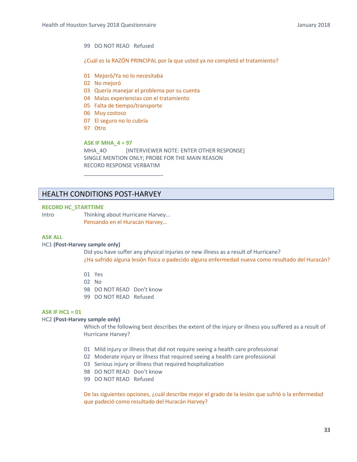#### 99 DO NOT READ Refused

¿Cuál es la RAZÓN PRINCIPAL por la que usted ya no completó el tratamiento?

- 01 Mejoró/Ya no lo necesitaba
- 02 No mejoró
- 03 Quería manejar el problema por su cuenta
- 04 Malas experiencias con el tratamiento
- 05 Falta de tiempo/transporte

\_\_\_\_\_\_\_\_\_\_\_\_\_\_\_\_\_\_\_\_\_\_\_\_\_\_

- 06 Muy costoso
- 07 El seguro no lo cubría
- 97 Otro

**ASK IF MHA\_4 = 97** MHA\_4O [INTERVIEWER NOTE: ENTER OTHER RESPONSE] SINGLE MENTION ONLY; PROBE FOR THE MAIN REASON RECORD RESPONSE VERBATIM

## HEALTH CONDITIONS POST‐HARVEY

#### **RECORD HC\_STARTTIME**

Intro Thinking about Hurricane Harvey… Pensando en el Huracán Harvey…

#### **ASK ALL**

#### HC1 **(Post‐Harvey sample only)**

 Did you have suffer any physical injuries or new illness as a result of Hurricane? ¿Ha sufrido alguna lesión física o padecido alguna enfermedad nueva como resultado del Huracán?

- 01 Yes
- 02 No
- 98 DO NOT READ Don't know
- 99 DO NOT READ Refused

#### **ASK IF HC1 = 01**

#### HC2 **(Post‐Harvey sample only)**

 Which of the following best describes the extent of the injury or illness you suffered as a result of Hurricane Harvey?

- 01 Mild injury or illness that did not require seeing a health care professional
- 02 Moderate injury or illness that required seeing a health care professional
- 03 Serious injury or illness that required hospitalization
- 98 DO NOT READ Don't know
- 99 DO NOT READ Refused

De las siguientes opciones, ¿cuál describe mejor el grado de la lesión que sufrió o la enfermedad que padeció como resultado del Huracán Harvey?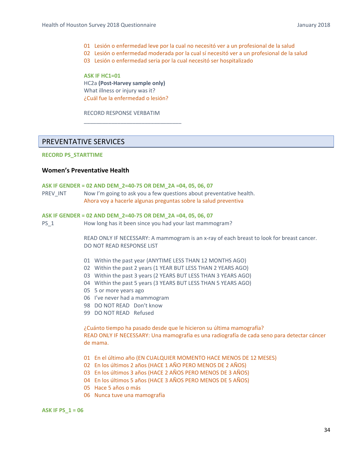- 01 Lesión o enfermedad leve por la cual no necesitó ver a un profesional de la salud
- 02 Lesión o enfermedad moderada por la cual sí necesitó ver a un profesional de la salud
- 03 Lesión o enfermedad seria por la cual necesitó ser hospitalizado

**ASK IF HC1=01**  HC2a **(Post‐Harvey sample only)**  What illness or injury was it? ¿Cuál fue la enfermedad o lesión?

RECORD RESPONSE VERBATIM

\_\_\_\_\_\_\_\_\_\_\_\_\_\_\_\_\_\_\_\_\_\_\_\_\_\_\_\_\_\_\_\_

## PREVENTATIVE SERVICES

#### **RECORD PS\_STARTTIME**

#### **Women's Preventative Health**

#### **ASK IF GENDER = 02 AND DEM\_2=40‐75 OR DEM\_2A =04, 05, 06, 07**

PREV INT Now I'm going to ask you a few questions about preventative health. Ahora voy a hacerle algunas preguntas sobre la salud preventiva

#### **ASK IF GENDER = 02 AND DEM\_2=40‐75 OR DEM\_2A =04, 05, 06, 07**

PS\_1 How long has it been since you had your last mammogram?

READ ONLY IF NECESSARY: A mammogram is an x-ray of each breast to look for breast cancer. DO NOT READ RESPONSE LIST

- 01 Within the past year (ANYTIME LESS THAN 12 MONTHS AGO)
- 02 Within the past 2 years (1 YEAR BUT LESS THAN 2 YEARS AGO)
- 03 Within the past 3 years (2 YEARS BUT LESS THAN 3 YEARS AGO)
- 04 Within the past 5 years (3 YEARS BUT LESS THAN 5 YEARS AGO)
- 05 5 or more years ago
- 06 I've never had a mammogram
- 98 DO NOT READ Don't know
- 99 DO NOT READ Refused

¿Cuánto tiempo ha pasado desde que le hicieron su última mamografía? READ ONLY IF NECESSARY: Una mamografía es una radiografía de cada seno para detectar cáncer de mama.

- 01 En el último año (EN CUALQUIER MOMENTO HACE MENOS DE 12 MESES)
- 02 En los últimos 2 años (HACE 1 AÑO PERO MENOS DE 2 AÑOS)
- 03 En los últimos 3 años (HACE 2 AÑOS PERO MENOS DE 3 AÑOS)
- 04 En los últimos 5 años (HACE 3 AÑOS PERO MENOS DE 5 AÑOS)
- 05 Hace 5 años o más
- 06 Nunca tuve una mamografía

**ASK IF PS\_1 = 06**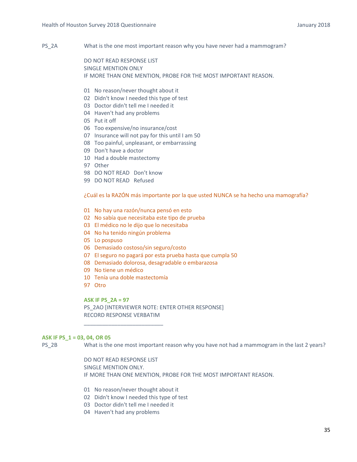PS 2A What is the one most important reason why you have never had a mammogram?

DO NOT READ RESPONSE LIST SINGLE MENTION ONLY IF MORE THAN ONE MENTION, PROBE FOR THE MOST IMPORTANT REASON.

- 01 No reason/never thought about it
- 02 Didn't know I needed this type of test
- 03 Doctor didn't tell me I needed it
- 04 Haven't had any problems
- 05 Put it off
- 06 Too expensive/no insurance/cost
- 07 Insurance will not pay for this until I am 50
- 08 Too painful, unpleasant, or embarrassing
- 09 Don't have a doctor
- 10 Had a double mastectomy
- 97 Other
- 98 DO NOT READ Don't know
- 99 DO NOT READ Refused

¿Cuál es la RAZÓN más importante por la que usted NUNCA se ha hecho una mamografía?

- 01 No hay una razón/nunca pensó en esto
- 02 No sabía que necesitaba este tipo de prueba
- 03 El médico no le dijo que lo necesitaba
- 04 No ha tenido ningún problema
- 05 Lo pospuso
- 06 Demasiado costoso/sin seguro/costo
- 07 El seguro no pagará por esta prueba hasta que cumpla 50
- 08 Demasiado dolorosa, desagradable o embarazosa
- 09 No tiene un médico
- 10 Tenía una doble mastectomía

\_\_\_\_\_\_\_\_\_\_\_\_\_\_\_\_\_\_\_\_\_\_\_\_\_\_

97 Otro

**ASK IF PS\_2A = 97** 

PS\_2AO [INTERVIEWER NOTE: ENTER OTHER RESPONSE] RECORD RESPONSE VERBATIM

#### **ASK IF PS\_1 = 03, 04, OR 05**

PS 2B What is the one most important reason why you have not had a mammogram in the last 2 years?

DO NOT READ RESPONSE LIST SINGLE MENTION ONLY. IF MORE THAN ONE MENTION, PROBE FOR THE MOST IMPORTANT REASON.

- 01 No reason/never thought about it
- 02 Didn't know I needed this type of test
- 03 Doctor didn't tell me I needed it
- 04 Haven't had any problems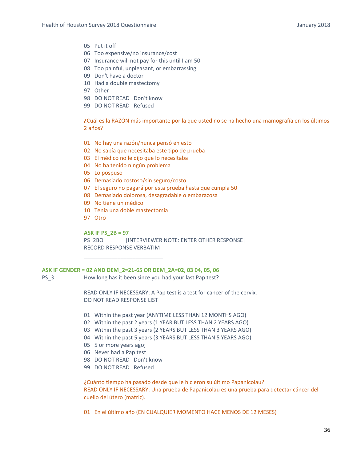- 05 Put it off
- 06 Too expensive/no insurance/cost
- 07 Insurance will not pay for this until I am 50
- 08 Too painful, unpleasant, or embarrassing
- 09 Don't have a doctor
- 10 Had a double mastectomy
- 97 Other
- 98 DO NOT READ Don't know
- 99 DO NOT READ Refused

¿Cuál es la RAZÓN más importante por la que usted no se ha hecho una mamografía en los últimos 2 años?

- 01 No hay una razón/nunca pensó en esto
- 02 No sabía que necesitaba este tipo de prueba
- 03 El médico no le dijo que lo necesitaba
- 04 No ha tenido ningún problema
- 05 Lo pospuso
- 06 Demasiado costoso/sin seguro/costo
- 07 El seguro no pagará por esta prueba hasta que cumpla 50
- 08 Demasiado dolorosa, desagradable o embarazosa
- 09 No tiene un médico
- 10 Tenía una doble mastectomía
- 97 Otro

#### **ASK IF PS\_2B = 97**

PS\_2BO [INTERVIEWER NOTE: ENTER OTHER RESPONSE] RECORD RESPONSE VERBATIM

#### **ASK IF GENDER = 02 AND DEM\_2=21‐65 OR DEM\_2A=02, 03 04, 05, 06**

\_\_\_\_\_\_\_\_\_\_\_\_\_\_\_\_\_\_\_\_\_\_\_\_\_\_

PS\_3 How long has it been since you had your last Pap test?

READ ONLY IF NECESSARY: A Pap test is a test for cancer of the cervix. DO NOT READ RESPONSE LIST

- 01 Within the past year (ANYTIME LESS THAN 12 MONTHS AGO)
- 02 Within the past 2 years (1 YEAR BUT LESS THAN 2 YEARS AGO)
- 03 Within the past 3 years (2 YEARS BUT LESS THAN 3 YEARS AGO)
- 04 Within the past 5 years (3 YEARS BUT LESS THAN 5 YEARS AGO)
- 05 5 or more years ago;
- 06 Never had a Pap test
- 98 DO NOT READ Don't know
- 99 DO NOT READ Refused

¿Cuánto tiempo ha pasado desde que le hicieron su último Papanicolau? READ ONLY IF NECESSARY: Una prueba de Papanicolau es una prueba para detectar cáncer del cuello del útero (matriz).

01 En el último año (EN CUALQUIER MOMENTO HACE MENOS DE 12 MESES)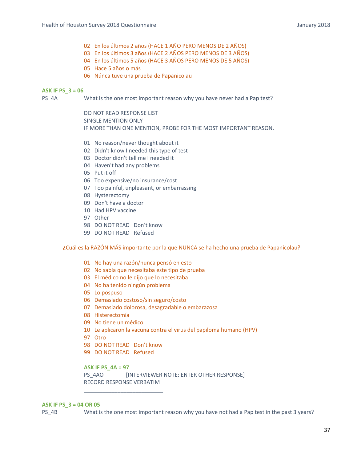- 02 En los últimos 2 años (HACE 1 AÑO PERO MENOS DE 2 AÑOS)
- 03 En los últimos 3 años (HACE 2 AÑOS PERO MENOS DE 3 AÑOS)
- 04 En los últimos 5 años (HACE 3 AÑOS PERO MENOS DE 5 AÑOS)
- 05 Hace 5 años o más
- 06 Núnca tuve una prueba de Papanicolau

### **ASK IF PS\_3 = 06**

PS\_4A What is the one most important reason why you have never had a Pap test?

 DO NOT READ RESPONSE LIST SINGLE MENTION ONLY IF MORE THAN ONE MENTION, PROBE FOR THE MOST IMPORTANT REASON.

- 01 No reason/never thought about it
- 02 Didn't know I needed this type of test
- 03 Doctor didn't tell me I needed it
- 04 Haven't had any problems
- 05 Put it off
- 06 Too expensive/no insurance/cost
- 07 Too painful, unpleasant, or embarrassing
- 08 Hysterectomy
- 09 Don't have a doctor
- 10 Had HPV vaccine
- 97 Other
- 98 DO NOT READ Don't know
- 99 DO NOT READ Refused

¿Cuál es la RAZÓN MÁS importante por la que NUNCA se ha hecho una prueba de Papanicolau?

- 01 No hay una razón/nunca pensó en esto
- 02 No sabía que necesitaba este tipo de prueba
- 03 El médico no le dijo que lo necesitaba
- 04 No ha tenido ningún problema
- 05 Lo pospuso
- 06 Demasiado costoso/sin seguro/costo
- 07 Demasiado dolorosa, desagradable o embarazosa
- 08 Histerectomía
- 09 No tiene un médico
- 10 Le aplicaron la vacuna contra el virus del papiloma humano (HPV)
- 97 Otro
- 98 DO NOT READ Don't know

\_\_\_\_\_\_\_\_\_\_\_\_\_\_\_\_\_\_\_\_\_\_\_\_\_\_

99 DO NOT READ Refused

# **ASK IF PS\_4A = 97**

PS\_4AO [INTERVIEWER NOTE: ENTER OTHER RESPONSE] RECORD RESPONSE VERBATIM

### **ASK IF PS\_3 = 04 OR 05**

PS 4B What is the one most important reason why you have not had a Pap test in the past 3 years?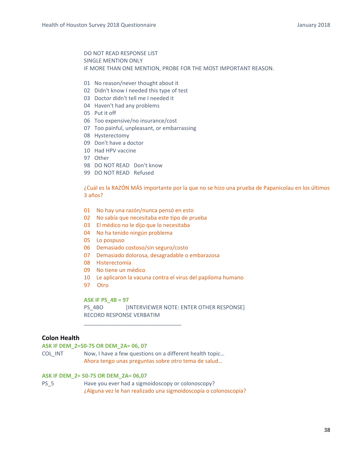DO NOT READ RESPONSE LIST SINGLE MENTION ONLY IF MORE THAN ONE MENTION, PROBE FOR THE MOST IMPORTANT REASON.

- 01 No reason/never thought about it
- 02 Didn't know I needed this type of test
- 03 Doctor didn't tell me I needed it
- 04 Haven't had any problems
- 05 Put it off
- 06 Too expensive/no insurance/cost
- 07 Too painful, unpleasant, or embarrassing
- 08 Hysterectomy
- 09 Don't have a doctor
- 10 Had HPV vaccine
- 97 Other
- 98 DO NOT READ Don't know
- 99 DO NOT READ Refused

¿Cuál es la RAZÓN MÁS importante por la que no se hizo una prueba de Papanicolau en los últimos 3 años?

- 01 No hay una razón/nunca pensó en esto
- 02 No sabía que necesitaba este tipo de prueba
- 03 El médico no le dijo que lo necesitaba
- 04 No ha tenido ningún problema
- 05 Lo pospuso
- 06 Demasiado costoso/sin seguro/costo
- 07 Demasiado dolorosa, desagradable o embarazosa
- 08 Histerectomía
- 09 No tiene un médico
- 10 Le aplicaron la vacuna contra el virus del papiloma humano
- 97 Otro

### **ASK IF PS\_4B = 97**

PS\_4BO [INTERVIEWER NOTE: ENTER OTHER RESPONSE] RECORD RESPONSE VERBATIM

# **Colon Health**

# **ASK IF DEM\_2=50‐75 OR DEM\_2A= 06, 07**

COL INT Now, I have a few questions on a different health topic... Ahora tengo unas preguntas sobre otro tema de salud…

\_\_\_\_\_\_\_\_\_\_\_\_\_\_\_\_\_\_\_\_\_\_\_\_\_\_\_\_\_\_\_\_

## **ASK IF DEM\_2= 50‐75 OR DEM\_2A= 06,07**

PS\_5 Have you ever had a sigmoidoscopy or colonoscopy? ¿Alguna vez le han realizado una sigmoidoscopía o colonoscopía?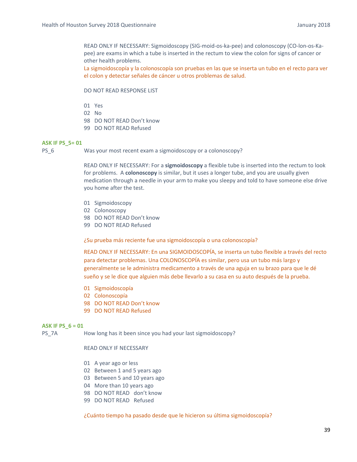READ ONLY IF NECESSARY: Sigmoidoscopy (SIG‐moid‐os‐ka‐pee) and colonoscopy (CO‐lon‐os‐Ka‐ pee) are exams in which a tube is inserted in the rectum to view the colon for signs of cancer or other health problems.

La sigmoidoscopía y la colonoscopía son pruebas en las que se inserta un tubo en el recto para ver el colon y detectar señales de cáncer u otros problemas de salud.

DO NOT READ RESPONSE LIST

- 01 Yes
- 02 No
- 98 DO NOT READ Don't know
- 99 DO NOT READ Refused

### **ASK IF PS\_5= 01**

PS\_6 Was your most recent exam a sigmoidoscopy or a colonoscopy?

READ ONLY IF NECESSARY: For a **sigmoidoscopy** a flexible tube is inserted into the rectum to look for problems. A **colonoscopy** is similar, but it uses a longer tube, and you are usually given medication through a needle in your arm to make you sleepy and told to have someone else drive you home after the test.

- 01 Sigmoidoscopy
- 02 Colonoscopy
- 98 DO NOT READ Don't know
- 99 DO NOT READ Refused

¿Su prueba más reciente fue una sigmoidoscopía o una colonoscopía?

READ ONLY IF NECESSARY: En una SIGMOIDOSCOPÍA, se inserta un tubo flexible a través del recto para detectar problemas. Una COLONOSCOPÍA es similar, pero usa un tubo más largo y generalmente se le administra medicamento a través de una aguja en su brazo para que le dé sueño y se le dice que alguien más debe llevarlo a su casa en su auto después de la prueba.

- 01 Sigmoidoscopía
- 02 Colonoscopía
- 98 DO NOT READ Don't know
- 99 DO NOT READ Refused

### **ASK IF PS\_6 = 01**

PS\_7A How long has it been since you had your last sigmoidoscopy?

### READ ONLY IF NECESSARY

- 01 A year ago or less
- 02 Between 1 and 5 years ago
- 03 Between 5 and 10 years ago
- 04 More than 10 years ago
- 98 DO NOT READ don't know
- 99 DO NOT READ Refused

¿Cuánto tiempo ha pasado desde que le hicieron su última sigmoidoscopía?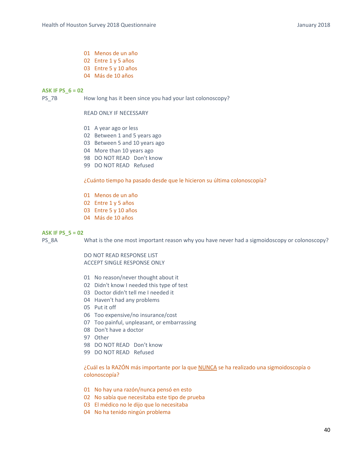- 01 Menos de un año
- 02 Entre 1 y 5 años
- 03 Entre 5 y 10 años
- 04 Más de 10 años

### **ASK IF PS\_6 = 02**

PS\_7B How long has it been since you had your last colonoscopy?

READ ONLY IF NECESSARY

- 01 A year ago or less
- 02 Between 1 and 5 years ago
- 03 Between 5 and 10 years ago
- 04 More than 10 years ago
- 98 DO NOT READ Don't know
- 99 DO NOT READ Refused

### ¿Cuánto tiempo ha pasado desde que le hicieron su última colonoscopía?

- 01 Menos de un año
- 02 Entre 1 y 5 años
- 03 Entre 5 y 10 años
- 04 Más de 10 años

### **ASK IF PS\_5 = 02**

PS\_8A What is the one most important reason why you have never had a sigmoidoscopy or colonoscopy?

DO NOT READ RESPONSE LIST ACCEPT SINGLE RESPONSE ONLY

- 01 No reason/never thought about it
- 02 Didn't know I needed this type of test
- 03 Doctor didn't tell me I needed it
- 04 Haven't had any problems
- 05 Put it off
- 06 Too expensive/no insurance/cost
- 07 Too painful, unpleasant, or embarrassing
- 08 Don't have a doctor
- 97 Other
- 98 DO NOT READ Don't know
- 99 DO NOT READ Refused

¿Cuál es la RAZÓN más importante por la que NUNCA se ha realizado una sigmoidoscopía o colonoscopía?

- 01 No hay una razón/nunca pensó en esto
- 02 No sabía que necesitaba este tipo de prueba
- 03 El médico no le dijo que lo necesitaba
- 04 No ha tenido ningún problema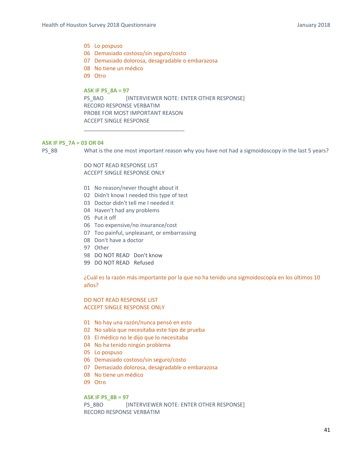# 05 Lo pospuso

- 06 Demasiado costoso/sin seguro/costo
- 07 Demasiado dolorosa, desagradable o embarazosa
- 08 No tiene un médico
- 09 Otro

### **ASK IF PS\_8A = 97**

PS\_8AO [INTERVIEWER NOTE: ENTER OTHER RESPONSE] RECORD RESPONSE VERBATIM PROBE FOR MOST IMPORTANT REASON ACCEPT SINGLE RESPONSE

### **ASK IF PS\_7A = 03 OR 04**

PS\_8B What is the one most important reason why you have not had a sigmoidoscopy in the last 5 years?

DO NOT READ RESPONSE LIST ACCEPT SINGLE RESPONSE ONLY

- 01 No reason/never thought about it
- 02 Didn't know I needed this type of test

\_\_\_\_\_\_\_\_\_\_\_\_\_\_\_\_\_\_\_\_\_\_\_\_\_\_\_\_\_\_\_\_\_

- 03 Doctor didn't tell me I needed it
- 04 Haven't had any problems
- 05 Put it off
- 06 Too expensive/no insurance/cost
- 07 Too painful, unpleasant, or embarrassing
- 08 Don't have a doctor
- 97 Other
- 98 DO NOT READ Don't know
- 99 DO NOT READ Refused

¿Cuál es la razón más importante por la que no ha tenido una sigmoidoscopía en los últimos 10 años?

DO NOT READ RESPONSE LIST ACCEPT SINGLE RESPONSE ONLY

- 01 No hay una razón/nunca pensó en esto
- 02 No sabía que necesitaba este tipo de prueba
- 03 El médico no le dijo que lo necesitaba
- 04 No ha tenido ningún problema
- 05 Lo pospuso
- 06 Demasiado costoso/sin seguro/costo
- 07 Demasiado dolorosa, desagradable o embarazosa
- 08 No tiene un médico
- 09 Otro

### **ASK IF PS\_8B = 97**

PS\_8BO [INTERVIEWER NOTE: ENTER OTHER RESPONSE] RECORD RESPONSE VERBATIM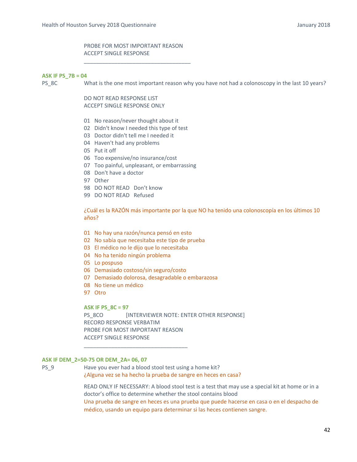# PROBE FOR MOST IMPORTANT REASON ACCEPT SINGLE RESPONSE

\_\_\_\_\_\_\_\_\_\_\_\_\_\_\_\_\_\_\_\_\_\_\_\_\_\_\_\_\_\_\_\_\_\_\_

#### **ASK IF PS\_7B = 04**

PS\_8C What is the one most important reason why you have not had a colonoscopy in the last 10 years?

DO NOT READ RESPONSE LIST ACCEPT SINGLE RESPONSE ONLY

- 01 No reason/never thought about it
- 02 Didn't know I needed this type of test
- 03 Doctor didn't tell me I needed it
- 04 Haven't had any problems
- 05 Put it off
- 06 Too expensive/no insurance/cost
- 07 Too painful, unpleasant, or embarrassing
- 08 Don't have a doctor
- 97 Other
- 98 DO NOT READ Don't know
- 99 DO NOT READ Refused

¿Cuál es la RAZÓN más importante por la que NO ha tenido una colonoscopía en los últimos 10 años?

- 01 No hay una razón/nunca pensó en esto
- 02 No sabía que necesitaba este tipo de prueba
- 03 El médico no le dijo que lo necesitaba
- 04 No ha tenido ningún problema
- 05 Lo pospuso
- 06 Demasiado costoso/sin seguro/costo

\_\_\_\_\_\_\_\_\_\_\_\_\_\_\_\_\_\_\_\_\_\_\_\_\_\_\_\_\_\_\_\_\_\_

- 07 Demasiado dolorosa, desagradable o embarazosa
- 08 No tiene un médico
- 97 Otro

### **ASK IF PS\_8C = 97**

PS\_8CO [INTERVIEWER NOTE: ENTER OTHER RESPONSE] RECORD RESPONSE VERBATIM PROBE FOR MOST IMPORTANT REASON ACCEPT SINGLE RESPONSE

### **ASK IF DEM\_2=50‐75 OR DEM\_2A= 06, 07**

PS 9 Have you ever had a blood stool test using a home kit? ¿Alguna vez se ha hecho la prueba de sangre en heces en casa?

> READ ONLY IF NECESSARY: A blood stool test is a test that may use a special kit at home or in a doctor's office to determine whether the stool contains blood Una prueba de sangre en heces es una prueba que puede hacerse en casa o en el despacho de médico, usando un equipo para determinar si las heces contienen sangre.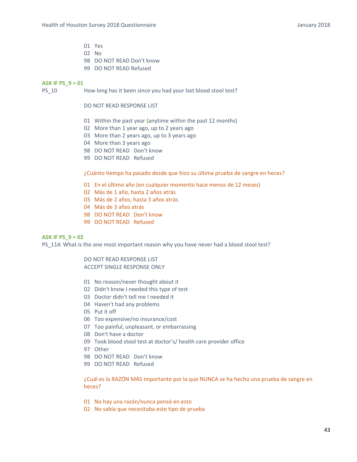- 01 Yes
- 02 No
- 98 DO NOT READ Don't know
- 99 DO NOT READ Refused

### **ASK IF PS\_9 = 01**

PS 10 How long has it been since you had your last blood stool test?

# DO NOT READ RESPONSE LIST

- 01 Within the past year **(**anytime within the past 12 months)
- 02 More than 1 year ago, up to 2 years ago
- 03 More than 2 years ago, up to 3 years ago
- 04 More than 3 years ago
- 98 DO NOT READ Don't know
- 99 DO NOT READ Refused

¿Cuánto tiempo ha pasado desde que hizo su última prueba de sangre en heces?

- 01 En el último año (en cualquier momento hace menos de 12 meses)
- 02 Más de 1 año, hasta 2 años atrás
- 03 Más de 2 años, hasta 3 años atrás
- 04 Más de 3 años atrás
- 98 DO NOT READ Don't know
- 99 DO NOT READ Refused

# **ASK IF PS\_9 = 02**

PS 11A What is the one most important reason why you have never had a blood stool test?

DO NOT READ RESPONSE LIST ACCEPT SINGLE RESPONSE ONLY

- 01 No reason/never thought about it
- 02 Didn't know I needed this type of test
- 03 Doctor didn't tell me I needed it
- 04 Haven't had any problems
- 05 Put it off
- 06 Too expensive/no insurance/cost
- 07 Too painful, unpleasant, or embarrassing
- 08 Don't have a doctor
- 09 Took blood stool test at doctor's/ health care provider office
- 97 Other
- 98 DO NOT READ Don't know
- 99 DO NOT READ Refused

¿Cuál es la RAZÓN MÁS importante por la que NUNCA se ha hecho una prueba de sangre en heces?

- 01 No hay una razón/nunca pensó en esto
- 02 No sabía que necesitaba este tipo de prueba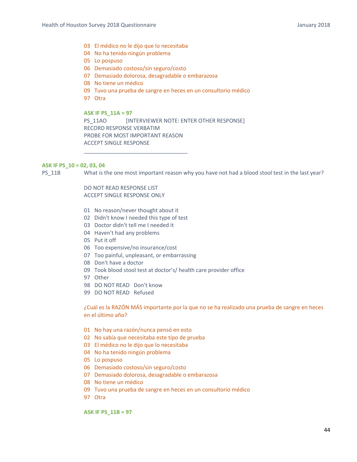- 03 El médico no le dijo que lo necesitaba
- 04 No ha tenido ningún problema
- 05 Lo pospuso
- 06 Demasiado costoso/sin seguro/costo
- 07 Demasiado dolorosa, desagradable o embarazosa
- 08 No tiene un médico
- 09 Tuvo una prueba de sangre en heces en un consultorio médico
- 97 Otra

**ASK IF PS\_11A = 97** 

PS\_11AO [INTERVIEWER NOTE: ENTER OTHER RESPONSE] RECORD RESPONSE VERBATIM PROBE FOR MOST IMPORTANT REASON ACCEPT SINGLE RESPONSE

### **ASK IF PS\_10 = 02, 03, 04**

PS\_11B What is the one most important reason why you have not had a blood stool test in the last year?

DO NOT READ RESPONSE LIST ACCEPT SINGLE RESPONSE ONLY

- 01 No reason/never thought about it
- 02 Didn't know I needed this type of test

\_\_\_\_\_\_\_\_\_\_\_\_\_\_\_\_\_\_\_\_\_\_\_\_\_\_\_\_\_\_\_\_\_\_

- 03 Doctor didn't tell me I needed it
- 04 Haven't had any problems
- 05 Put it off
- 06 Too expensive/no insurance/cost
- 07 Too painful, unpleasant, or embarrassing
- 08 Don't have a doctor
- 09 Took blood stool test at doctor's/ health care provider office
- 97 Other
- 98 DO NOT READ Don't know
- 99 DO NOT READ Refused

¿Cuál es la RAZÓN MÁS importante por la que no se ha realizado una prueba de sangre en heces en el último año?

- 01 No hay una razón/nunca pensó en esto
- 02 No sabía que necesitaba este tipo de prueba
- 03 El médico no le dijo que lo necesitaba
- 04 No ha tenido ningún problema
- 05 Lo pospuso
- 06 Demasiado costoso/sin seguro/costo
- 07 Demasiado dolorosa, desagradable o embarazosa
- 08 No tiene un médico
- 09 Tuvo una prueba de sangre en heces en un consultorio médico
- 97 Otra

**ASK IF PS\_11B = 97**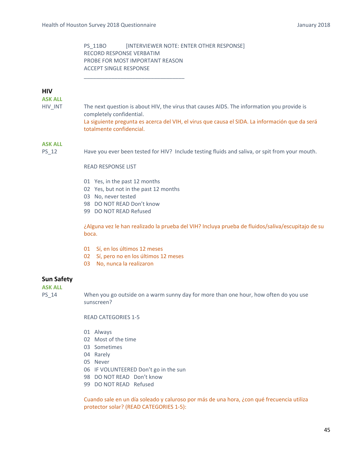# PS\_11BO [INTERVIEWER NOTE: ENTER OTHER RESPONSE] RECORD RESPONSE VERBATIM PROBE FOR MOST IMPORTANT REASON ACCEPT SINGLE RESPONSE

### **HIV**

**ASK ALL**

HIV INT The next question is about HIV, the virus that causes AIDS. The information you provide is completely confidential. La siguiente pregunta es acerca del VIH, el virus que causa el SIDA. La información que da será totalmente confidencial.

# **ASK ALL**

PS\_12 Have you ever been tested for HIV? Include testing fluids and saliva, or spit from your mouth.

READ RESPONSE LIST

- 01 Yes, in the past 12 months
- 02 Yes, but not in the past 12 months

\_\_\_\_\_\_\_\_\_\_\_\_\_\_\_\_\_\_\_\_\_\_\_\_\_\_\_\_\_\_\_\_\_

- 03 No, never tested
- 98 DO NOT READ Don't know
- 99 DO NOT READ Refused

¿Alguna vez le han realizado la prueba del VIH? Incluya prueba de fluidos/saliva/escupitajo de su boca.

- 01 Sí, en los últimos 12 meses
- 02 Sí, pero no en los últimos 12 meses
- 03 No, nunca la realizaron

# **Sun Safety**

**ASK ALL**

PS\_14 When you go outside on a warm sunny day for more than one hour, how often do you use sunscreen?

READ CATEGORIES 1‐5

- 01 Always
- 02 Most of the time
- 03 Sometimes
- 04 Rarely
- 05 Never
- 06 IF VOLUNTEERED Don't go in the sun
- 98 DO NOT READ Don't know
- 99 DO NOT READ Refused

Cuando sale en un día soleado y caluroso por más de una hora, ¿con qué frecuencia utiliza protector solar? (READ CATEGORIES 1‐5):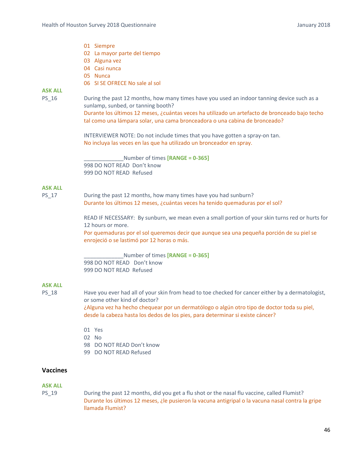- 01 Siempre
- 02 La mayor parte del tiempo
- 03 Alguna vez
- 04 Casi nunca
- 05 Nunca
- 06 SI SE OFRECE No sale al sol

# **ASK ALL**

PS\_16 During the past 12 months, how many times have you used an indoor tanning device such as a sunlamp, sunbed, or tanning booth?

> Durante los últimos 12 meses, ¿cuántas veces ha utilizado un artefacto de bronceado bajo techo tal como una lámpara solar, una cama bronceadora o una cabina de bronceado?

INTERVIEWER NOTE: Do not include times that you have gotten a spray‐on tan. No incluya las veces en las que ha utilizado un bronceador en spray.

\_\_\_\_\_\_\_\_\_\_\_\_\_Number of times **[RANGE = 0‐365]** 998 DO NOT READ Don't know 999 DO NOT READ Refused

## **ASK ALL**

PS 17 During the past 12 months, how many times have you had sunburn? Durante los últimos 12 meses, ¿cuántas veces ha tenido quemaduras por el sol?

> READ IF NECESSARY: By sunburn, we mean even a small portion of your skin turns red or hurts for 12 hours or more.

Por quemaduras por el sol queremos decir que aunque sea una pequeña porción de su piel se enrojeció o se lastimó por 12 horas o más.

\_\_\_\_\_\_\_\_\_\_\_\_\_Number of times **[RANGE = 0‐365]** 998 DO NOT READ Don't know 999 DO NOT READ Refused

# **ASK ALL**

PS 18 Have you ever had all of your skin from head to toe checked for cancer either by a dermatologist, or some other kind of doctor? ¿Alguna vez ha hecho chequear por un dermatólogo o algún otro tipo de doctor toda su piel, desde la cabeza hasta los dedos de los pies, para determinar si existe cáncer?

01 Yes

- 02 No
- 
- 98 DO NOT READ Don't know 99 DO NOT READ Refused

# **Vaccines**

## **ASK ALL**

PS\_19 During the past 12 months, did you get a flu shot or the nasal flu vaccine, called Flumist? Durante los últimos 12 meses, ¿le pusieron la vacuna antigripal o la vacuna nasal contra la gripe llamada Flumist?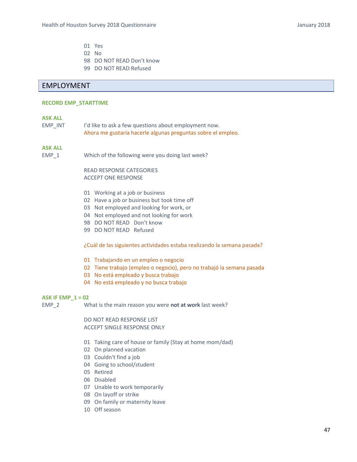- 01 Yes
- 02 No
- 98 DO NOT READ Don't know
- 99 DO NOT READ Refused

# EMPLOYMENT

### **RECORD EMP\_STARTTIME**

### **ASK ALL**

EMP INT I'd like to ask a few questions about employment now. Ahora me gustaría hacerle algunas preguntas sobre el empleo.

## **ASK ALL**

EMP\_1 Which of the following were you doing last week?

READ RESPONSE CATEGORIES ACCEPT ONE RESPONSE

- 01 Working at a job or business
- 02 Have a job or business but took time off
- 03 Not employed and looking for work, or
- 04 Not employed and not looking for work
- 98 DO NOT READ Don't know
- 99 DO NOT READ Refused

¿Cuál de las siguientes actividades estaba realizando la semana pasada?

- 01 Trabajando en un empleo o negocio
- 02 Tiene trabajo (empleo o negocio), pero no trabajó la semana pasada
- 03 No está empleado y busca trabajo
- 04 No está empleado y no busca trabajo

### **ASK IF EMP\_1 = 02**

EMP\_2 What is the main reason you were **not at work** last week?

DO NOT READ RESPONSE LIST ACCEPT SINGLE RESPONSE ONLY

- 01 Taking care of house or family (Stay at home mom/dad)
- 02 On planned vacation
- 03 Couldn't find a job
- 04 Going to school/student
- 05 Retired
- 06 Disabled
- 07 Unable to work temporarily
- 08 On layoff or strike
- 09 On family or maternity leave
- 10 Off season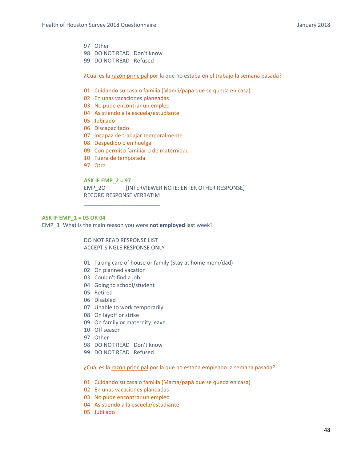- 97 Other
- 98 DO NOT READ Don't know
- 99 DO NOT READ Refused

¿Cuál es la razón principal por la que no estaba en el trabajo la semana pasada?

- 01 Cuidando su casa o familia (Mamá/papá que se queda en casa)
- 02 En unas vacaciones planeadas
- 03 No pude encontrar un empleo
- 04 Asistiendo a la escuela/estudiante
- 05 Jubilado
- 06 Discapacitado
- 07 Incapaz de trabajar temporalmente
- 08 Despedido o en huelga
- 09 Con permiso familiar o de maternidad
- 10 Fuera de temporada
- 97 Otra

### **ASK IF EMP\_2 = 97**

EMP\_2O [INTERVIEWER NOTE: ENTER OTHER RESPONSE] RECORD RESPONSE VERBATIM

### **ASK IF EMP\_1 = 03 OR 04**

EMP\_3 What is the main reason you were **not employed** last week?

\_\_\_\_\_\_\_\_\_\_\_\_\_\_\_\_\_\_\_\_\_\_\_\_\_

DO NOT READ RESPONSE LIST ACCEPT SINGLE RESPONSE ONLY

- 01 Taking care of house or family (Stay at home mom/dad)
- 02 On planned vacation
- 03 Couldn't find a job
- 04 Going to school/student
- 05 Retired
- 06 Disabled
- 07 Unable to work temporarily
- 08 On layoff or strike
- 09 On family or maternity leave
- 10 Off season
- 97 Other
- 98 DO NOT READ Don't know
- 99 DO NOT READ Refused

¿Cuál es la razón principal por la que no estaba empleado la semana pasada?

- 01 Cuidando su casa o familia (Mamá/papá que se queda en casa)
- 02 En unas vacaciones planeadas
- 03 No pude encontrar un empleo
- 04 Asistiendo a la escuela/estudiante
- 05 Jubilado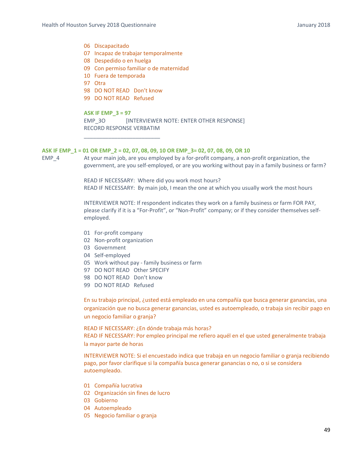# 06 Discapacitado

- 07 Incapaz de trabajar temporalmente
- 08 Despedido o en huelga
- 09 Con permiso familiar o de maternidad
- 10 Fuera de temporada
- 97 Otra
- 98 DO NOT READ Don't know

\_\_\_\_\_\_\_\_\_\_\_\_\_\_\_\_\_\_\_\_\_\_\_\_\_

99 DO NOT READ Refused

#### **ASK IF EMP\_3 = 97**

EMP\_3O [INTERVIEWER NOTE: ENTER OTHER RESPONSE] RECORD RESPONSE VERBATIM

### **ASK IF EMP\_1 = 01 OR EMP\_2 = 02, 07, 08, 09, 10 OR EMP\_3= 02, 07, 08, 09, OR 10**

EMP<sub>4</sub> At your main job, are you employed by a for-profit company, a non-profit organization, the government, are you self-employed, or are you working without pay in a family business or farm?

> READ IF NECESSARY: Where did you work most hours? READ IF NECESSARY: By main job, I mean the one at which you usually work the most hours

INTERVIEWER NOTE: If respondent indicates they work on a family business or farm FOR PAY, please clarify if it is a "For-Profit", or "Non-Profit" company; or if they consider themselves selfemployed.

- 01 For‐profit company
- 02 Non‐profit organization
- 03 Government
- 04 Self‐employed
- 05 Work without pay ‐ family business or farm
- 97 DO NOT READ Other SPECIFY
- 98 DO NOT READ Don't know
- 99 DO NOT READ Refused

En su trabajo principal, ¿usted está empleado en una compañía que busca generar ganancias, una organización que no busca generar ganancias, usted es autoempleado, o trabaja sin recibir pago en un negocio familiar o granja?

READ IF NECESSARY: ¿En dónde trabaja más horas? READ IF NECESSARY: Por empleo principal me refiero aquél en el que usted generalmente trabaja la mayor parte de horas

INTERVIEWER NOTE: Si el encuestado indica que trabaja en un negocio familiar o granja recibiendo pago, por favor clarifique si la compañía busca generar ganancias o no, o si se considera autoempleado.

- 01 Compañía lucrativa
- 02 Organización sin fines de lucro
- 03 Gobierno
- 04 Autoempleado
- 05 Negocio familiar o granja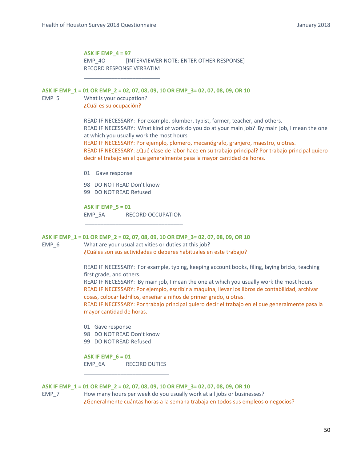### **ASK IF EMP\_4 = 97**

\_\_\_\_\_\_\_\_\_\_\_\_\_\_\_\_\_\_\_\_\_\_\_\_\_

EMP\_4O [INTERVIEWER NOTE: ENTER OTHER RESPONSE] RECORD RESPONSE VERBATIM

**ASK IF EMP\_1 = 01 OR EMP\_2 = 02, 07, 08, 09, 10 OR EMP\_3= 02, 07, 08, 09, OR 10**  EMP 5 What is your occupation? ¿Cuál es su ocupación?

> READ IF NECESSARY: For example, plumber, typist, farmer, teacher, and others. READ IF NECESSARY: What kind of work do you do at your main job? By main job, I mean the one at which you usually work the most hours

> READ IF NECESSARY: Por ejemplo, plomero, mecanógrafo, granjero, maestro, u otras. READ IF NECESSARY: ¿Qué clase de labor hace en su trabajo principal? Por trabajo principal quiero decir el trabajo en el que generalmente pasa la mayor cantidad de horas.

01 Gave response

98 DO NOT READ Don't know

99 DO NOT READ Refused

**ASK IF EMP\_5 = 01** 

EMP\_5A RECORD OCCUPATION \_\_\_\_\_\_\_\_\_\_\_\_\_\_\_\_\_\_\_\_\_\_\_\_\_\_\_\_\_\_\_\_

#### **ASK IF EMP\_1 = 01 OR EMP\_2 = 02, 07, 08, 09, 10 OR EMP\_3= 02, 07, 08, 09, OR 10**

EMP 6 What are your usual activities or duties at this job? ¿Cuáles son sus actividades o deberes habituales en este trabajo?

> READ IF NECESSARY: For example, typing, keeping account books, filing, laying bricks, teaching first grade, and others.

> READ IF NECESSARY: By main job, I mean the one at which you usually work the most hours READ IF NECESSARY: Por ejemplo, escribir a máquina, llevar los libros de contabilidad, archivar cosas, colocar ladrillos, enseñar a niños de primer grado, u otras.

READ IF NECESSARY: Por trabajo principal quiero decir el trabajo en el que generalmente pasa la mayor cantidad de horas.

- 01 Gave response
- 98 DO NOT READ Don't know
- 99 DO NOT READ Refused

**ASK IF EMP\_6 = 01**  EMP\_6A RECORD DUTIES

\_\_\_\_\_\_\_\_\_\_\_\_\_\_\_\_\_\_\_\_\_\_\_\_\_\_\_\_

### **ASK IF EMP\_1 = 01 OR EMP\_2 = 02, 07, 08, 09, 10 OR EMP\_3= 02, 07, 08, 09, OR 10**

EMP\_7 How many hours per week do you usually work at all jobs or businesses? ¿Generalmente cuántas horas a la semana trabaja en todos sus empleos o negocios?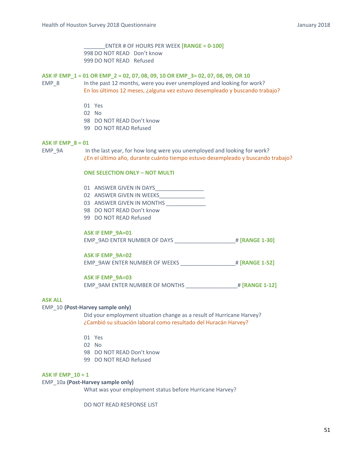\_\_\_\_\_\_\_ENTER # OF HOURS PER WEEK **[RANGE = 0‐100]** 998 DO NOT READ Don't know 999 DO NOT READ Refused

## **ASK IF EMP\_1 = 01 OR EMP\_2 = 02, 07, 08, 09, 10 OR EMP\_3= 02, 07, 08, 09, OR 10**

EMP\_8 In the past 12 months, were you ever unemployed and looking for work? En los últimos 12 meses, ¿alguna vez estuvo desempleado y buscando trabajo?

- 01 Yes
- 02 No
- 98 DO NOT READ Don't know
- 99 DO NOT READ Refused

### **ASK IF EMP\_8 = 01**

EMP\_9A In the last year, for how long were you unemployed and looking for work? ¿En el último año, durante cuánto tiempo estuvo desempleado y buscando trabajo?

# **ONE SELECTION ONLY – NOT MULTI**

| 01 |  | ANSWER GIVEN IN DAYS |  |  |  |
|----|--|----------------------|--|--|--|
|----|--|----------------------|--|--|--|

- 02 ANSWER GIVEN IN WEEKS\_\_\_\_\_\_\_\_\_\_\_\_\_\_\_\_\_\_
- 03 ANSWER GIVEN IN MONTHS
- 98 DO NOT READ Don't know
- 99 DO NOT READ Refused

# **ASK IF EMP\_9A=01**

EMP\_9AD ENTER NUMBER OF DAYS \_\_\_\_\_\_\_\_\_\_\_\_\_\_\_\_\_\_\_\_# **[RANGE 1‐30]**

## **ASK IF EMP\_9A=02**

EMP\_9AW ENTER NUMBER OF WEEKS \_\_\_\_\_\_\_\_\_\_\_\_\_\_\_\_\_\_# **[RANGE 1‐52]**

## **ASK IF EMP\_9A=03**

EMP\_9AM ENTER NUMBER OF MONTHS \_\_\_\_\_\_\_\_\_\_\_\_\_\_\_\_\_# **[RANGE 1‐12]**

## **ASK ALL**

### EMP 10 **(Post-Harvey sample only)**

 Did your employment situation change as a result of Hurricane Harvey? ¿Cambió su situación laboral como resultado del Huracán Harvey?

- 01 Yes
- 02 No
- 98 DO NOT READ Don't know
- 99 DO NOT READ Refused

### **ASK IF EMP\_10 = 1**

# EMP 10a (Post-Harvey sample only)

What was your employment status before Hurricane Harvey?

DO NOT READ RESPONSE LIST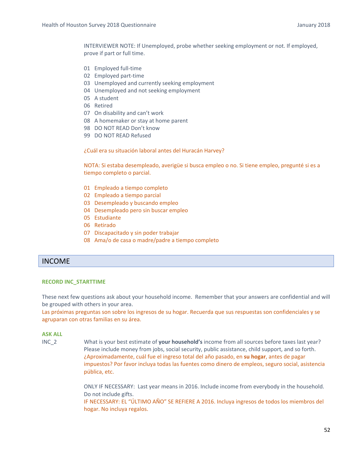INTERVIEWER NOTE: If Unemployed, probe whether seeking employment or not. If employed, prove if part or full time.

- 01 Employed full-time
- 02 Employed part-time
- 03 Unemployed and currently seeking employment
- 04 Unemployed and not seeking employment
- 05 A student
- 06 Retired
- 07 On disability and can't work
- 08 A homemaker or stay at home parent
- 98 DO NOT READ Don't know
- 99 DO NOT READ Refused

¿Cuál era su situación laboral antes del Huracán Harvey?

NOTA: Si estaba desempleado, averigüe si busca empleo o no. Si tiene empleo, pregunté si es a tiempo completo o parcial.

- 01 Empleado a tiempo completo
- 02 Empleado a tiempo parcial
- 03 Desempleado y buscando empleo
- 04 Desempleado pero sin buscar empleo
- 05 Estudiante
- 06 Retirado
- 07 Discapacitado y sin poder trabajar
- 08 Ama/o de casa o madre/padre a tiempo completo

# INCOME

### **RECORD INC\_STARTTIME**

These next few questions ask about your household income. Remember that your answers are confidential and will be grouped with others in your area.

Las próximas preguntas son sobre los ingresos de su hogar. Recuerda que sus respuestas son confidenciales y se agruparan con otras familias en su área.

## **ASK ALL**

INC\_2 What is your best estimate of **your household's** income from all sources before taxes last year? Please include money from jobs, social security, public assistance, child support, and so forth. ¿Aproximadamente, cuál fue el ingreso total del año pasado, en **su hogar**, antes de pagar impuestos? Por favor incluya todas las fuentes como dinero de empleos, seguro social, asistencia pública, etc.

> ONLY IF NECESSARY: Last year means in 2016. Include income from everybody in the household. Do not include gifts.

> IF NECESSARY: EL "ÚLTIMO AÑO" SE REFIERE A 2016. Incluya ingresos de todos los miembros del hogar. No incluya regalos.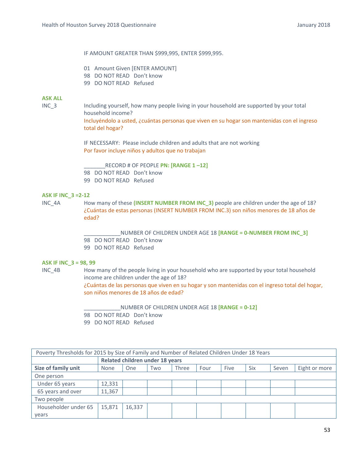### IF AMOUNT GREATER THAN \$999,995, ENTER \$999,995.

- 01 Amount Given [ENTER AMOUNT]
- 98 DO NOT READ Don't know
- 99 DO NOT READ Refused

# **ASK ALL**

INC\_3 Including yourself, how many people living in your household are supported by your total household income?

> Incluyéndolo a usted, ¿cuántas personas que viven en su hogar son mantenidas con el ingreso total del hogar?

IF NECESSARY: Please include children and adults that are not working Por favor incluye niños y adultos que no trabajan

\_\_\_\_\_\_\_RECORD # OF PEOPLE **PN: [RANGE 1 –12]** 98 DO NOT READ Don't know 99 DO NOT READ Refused

### **ASK IF INC\_3 =2‐12**

INC\_4A **How many of these (INSERT NUMBER FROM INC\_3)** people are children under the age of 18? ¿Cuántas de estas personas (INSERT NUMBER FROM INC.3) son niños menores de 18 años de edad?

> \_\_\_\_\_\_\_\_\_\_\_\_NUMBER OF CHILDREN UNDER AGE 18 **[RANGE = 0‐NUMBER FROM INC\_3]** 98 DO NOT READ Don't know 99 DO NOT READ Refused

# **ASK IF INC\_3 = 98, 99**

INC\_4B How many of the people living in your household who are supported by your total household income are children under the age of 18?

¿Cuántas de las personas que viven en su hogar y son mantenidas con el ingreso total del hogar, son niños menores de 18 años de edad?

\_\_\_\_\_\_\_\_\_\_\_\_NUMBER OF CHILDREN UNDER AGE 18 **[RANGE = 0‐12]**

98 DO NOT READ Don't know

99 DO NOT READ Refused

| Poverty Thresholds for 2015 by Size of Family and Number of Related Children Under 18 Years |                                 |        |     |              |      |      |            |       |               |
|---------------------------------------------------------------------------------------------|---------------------------------|--------|-----|--------------|------|------|------------|-------|---------------|
|                                                                                             | Related children under 18 years |        |     |              |      |      |            |       |               |
| Size of family unit                                                                         | None                            | One    | Two | <b>Three</b> | Four | Five | <b>Six</b> | Seven | Eight or more |
| One person                                                                                  |                                 |        |     |              |      |      |            |       |               |
| Under 65 years                                                                              | 12,331                          |        |     |              |      |      |            |       |               |
| 65 years and over                                                                           | 11,367                          |        |     |              |      |      |            |       |               |
| Two people                                                                                  |                                 |        |     |              |      |      |            |       |               |
| Householder under 65                                                                        | 15,871                          | 16,337 |     |              |      |      |            |       |               |
| vears                                                                                       |                                 |        |     |              |      |      |            |       |               |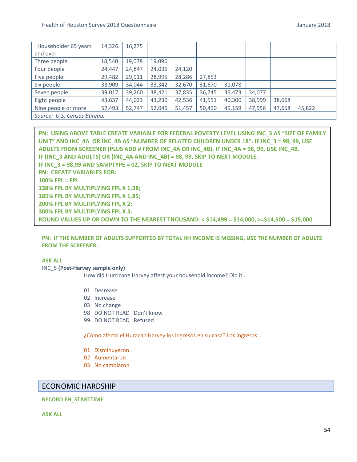| Householder 65 years        | 14,326 | 16,275 |        |        |        |        |        |        |        |
|-----------------------------|--------|--------|--------|--------|--------|--------|--------|--------|--------|
| and over                    |        |        |        |        |        |        |        |        |        |
| Three people                | 18,540 | 19,078 | 19,096 |        |        |        |        |        |        |
| Four people                 | 24,447 | 24,847 | 24,036 | 24,120 |        |        |        |        |        |
| Five people                 | 29,482 | 29,911 | 28,995 | 28,286 | 27,853 |        |        |        |        |
| Six people                  | 33,909 | 34,044 | 33,342 | 32,670 | 31,670 | 31,078 |        |        |        |
| Seven people                | 39,017 | 39,260 | 38,421 | 37,835 | 36,745 | 35,473 | 34,077 |        |        |
| Eight people                | 43,637 | 44,023 | 43,230 | 42,536 | 41,551 | 40,300 | 38,999 | 38,668 |        |
| Nine people or more         | 52,493 | 52,747 | 52,046 | 51,457 | 50,490 | 49,159 | 47,956 | 47,658 | 45,822 |
| Source: U.S. Census Bureau. |        |        |        |        |        |        |        |        |        |

**PN: USING ABOVE TABLE CREATE VARIABLE FOR FEDERAL POVERTY LEVEL USING INC\_3 AS "SIZE OF FAMILY UNIT" AND INC\_4A OR INC\_4B AS "NUMBER OF RELATED CHILDREN UNDER 18". IF INC\_3 = 98, 99, USE ADULTS FROM SCREENER (PLUS ADD # FROM INC\_4A OR INC\_4B). IF INC\_4A = 98, 99, USE INC\_4B. IF (INC\_3 AND ADULTS) OR (INC\_4A AND INC\_4B) = 98, 99, SKIP TO NEXT MODULE. IF INC\_3 = 98,99 AND SAMPTYPE = 02, SKIP TO NEXT MODULE PN: CREATE VARIABLES FOR: 100% FPL = FPL 138% FPL BY MULTIPLYING FPL X 1.38; 185% FPL BY MULTIPLYING FPL X 1.85; 200% FPL BY MULTIPLYING FPL X 2; 300% FPL BY MULTIPLYING FPL X 3. ROUND VALUES UP OR DOWN TO THE NEAREST THOUSAND: < \$14,499 = \$14,000, >=\$14,500 = \$15,000** 

# **PN: IF THE NUMBER OF ADULTS SUPPORTED BY TOTAL HH INCOME IS MISSING, USE THE NUMBER OF ADULTS FROM THE SCREENER.**

# **ASK ALL**

INC\_5 **(Post‐Harvey sample only)**  How did Hurricane Harvey affect your household income? Did it..

- 01 Decrease
- 02 Increase
- 03 No change
- 98 DO NOT READ Don't know
- 99 DO NOT READ Refused

¿Cómo afectó el Huracán Harvey los ingresos en su casa? Los ingresos…

- 01 Disminuyeron
- 02 Aumentaron
- 03 No cambiaron

# ECONOMIC HARDSHIP

## **RECORD EH\_STARTTIME**

**ASK ALL**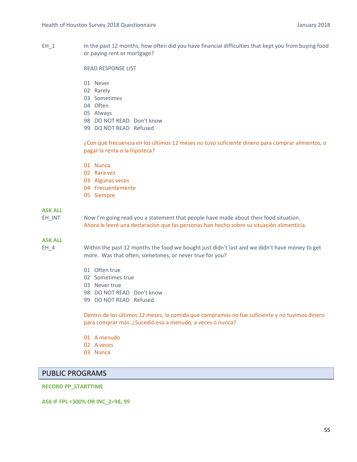EH 1 In the past 12 months, how often did you have financial difficulties that kept you from buying food or paying rent or mortgage?

### READ RESPONSE LIST

- 01 Never
- 02 Rarely
- 03 Sometimes
- 04 Often
- 05 Always
- 98 DO NOT READ Don't know
- 99 DO NOT READ Refused

¿Con qué frecuencia en los últimos 12 meses no tuvo suficiente dinero para comprar alimentos, o pagar la renta o la hipoteca?

- 01 Nunca
- 02 Rara vez
- 03 Algunas veces
- 04 Frecuentemente
- 05 Siempre

# **ASK ALL**

EH\_INT Now I'm going read you a statement that people have made about their food situation. Ahora le leeré una declaración que las personas han hecho sobre su situación alimenticia.

### **ASK ALL**

EH\_4 Within the past 12 months the food we bought just didn't last and we didn't have money to get more. Was that often, sometimes, or never true for you?

- 01 Often true
- 02 Sometimes true
- 03 Never true
- 98 DO NOT READ Don't know
- 99 DO NOT READ Refused

Dentro de los últimos 12 meses, la comida que compramos no fue suficiente y no tuvimos dinero para comprar más. ¿Sucedió eso a menudo, a veces o nunca?

- 01 A menudo
- 02 A veces
- 03 Nunca

# PUBLIC PROGRAMS

### **RECORD PP\_STARTTIME**

**ASK IF FPL <300% OR INC\_2=98, 99**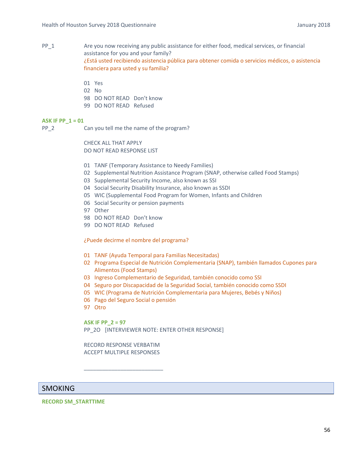- PP\_1 Are you now receiving any public assistance for either food, medical services, or financial assistance for you and your family? ¿Está usted recibiendo asistencia pública para obtener comida o servicios médicos, o asistencia financiera para usted y su familia?
	- 01 Yes
	- 02 No
	- 98 DO NOT READ Don't know
	- 99 DO NOT READ Refused

## **ASK IF PP\_1 = 01**

PP 2 Can you tell me the name of the program?

CHECK ALL THAT APPLY DO NOT READ RESPONSE LIST

- 01 TANF (Temporary Assistance to Needy Families)
- 02 Supplemental Nutrition Assistance Program (SNAP, otherwise called Food Stamps)
- 03 Supplemental Security Income, also known as SSI
- 04 Social Security Disability Insurance, also known as SSDI
- 05 WIC (Supplemental Food Program for Women, Infants and Children
- 06 Social Security or pension payments
- 97 Other
- 98 DO NOT READ Don't know
- 99 DO NOT READ Refused

¿Puede decirme el nombre del programa?

- 01 TANF (Ayuda Temporal para Familias Necesitadas)
- 02 Programa Especial de Nutrición Complementaria (SNAP), también llamados Cupones para Alimentos (Food Stamps)
- 03 Ingreso Complementario de Seguridad, también conocido como SSI
- 04 Seguro por Discapacidad de la Seguridad Social, también conocido como SSDI
- 05 WIC (Programa de Nutrición Complementaria para Mujeres, Bebés y Niños)
- 06 Pago del Seguro Social o pensión
- 97 Otro

**ASK IF PP\_2 = 97** 

PP\_2O [INTERVIEWER NOTE: ENTER OTHER RESPONSE]

RECORD RESPONSE VERBATIM ACCEPT MULTIPLE RESPONSES

\_\_\_\_\_\_\_\_\_\_\_\_\_\_\_\_\_\_\_\_\_\_\_\_\_\_

# SMOKING

**RECORD SM\_STARTTIME**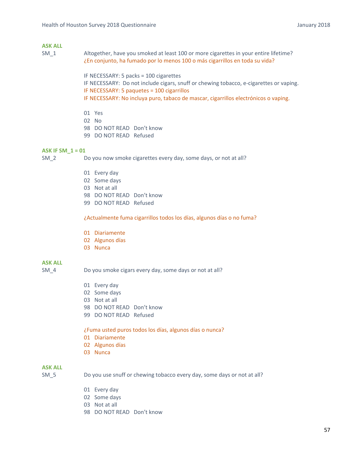# **ASK ALL**

SM 1 Altogether, have you smoked at least 100 or more cigarettes in your entire lifetime? ¿En conjunto, ha fumado por lo menos 100 o más cigarrillos en toda su vida?

> IF NECESSARY: 5 packs = 100 cigarettes IF NECESSARY: Do not include cigars, snuff or chewing tobacco, e-cigarettes or vaping. IF NECESSARY: 5 paquetes = 100 cigarrillos IF NECESSARY: No incluya puro, tabaco de mascar, cigarrillos electrónicos o vaping.

- 01 Yes
- 02 No
- 98 DO NOT READ Don't know
- 99 DO NOT READ Refused

## **ASK IF SM\_1 = 01**

SM 2 Do you now smoke cigarettes every day, some days, or not at all?

- 01 Every day
- 02 Some days
- 03 Not at all
- 98 DO NOT READ Don't know
- 99 DO NOT READ Refused

¿Actualmente fuma cigarrillos todos los días, algunos días o no fuma?

- 01 Diariamente
- 02 Algunos días
- 03 Nunca

# **ASK ALL**

- SM\_4 Do you smoke cigars every day, some days or not at all?
	- 01 Every day
	- 02 Some days
	- 03 Not at all
	- 98 DO NOT READ Don't know
	- 99 DO NOT READ Refused

### ¿Fuma usted puros todos los días, algunos días o nunca?

- 01 Diariamente
- 02 Algunos días
- 03 Nunca

# **ASK ALL**

SM 5 Do you use snuff or chewing tobacco every day, some days or not at all?

- 01 Every day
- 02 Some days
- 03 Not at all
- 98 DO NOT READ Don't know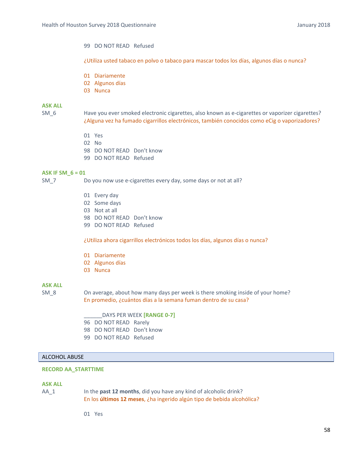## 99 DO NOT READ Refused

¿Utiliza usted tabaco en polvo o tabaco para mascar todos los días, algunos días o nunca?

- 01 Diariamente
- 02 Algunos días
- 03 Nunca

# **ASK ALL**

SM\_6 Have you ever smoked electronic cigarettes, also known as e-cigarettes or vaporizer cigarettes? ¿Alguna vez ha fumado cigarrillos electrónicos, también conocidos como eCig o vaporizadores?

- 01 Yes
- 02 No
- 98 DO NOT READ Don't know
- 99 DO NOT READ Refused

### **ASK IF SM\_6 = 01**

SM\_7 Do you now use e-cigarettes every day, some days or not at all?

- 01 Every day
- 02 Some days
- 03 Not at all
- 98 DO NOT READ Don't know
- 99 DO NOT READ Refused

¿Utiliza ahora cigarrillos electrónicos todos los días, algunos días o nunca?

- 01 Diariamente
- 02 Algunos días
- 03 Nunca

# **ASK ALL**

SM 8 On average, about how many days per week is there smoking inside of your home? En promedio, ¿cuántos días a la semana fuman dentro de su casa?

> \_\_\_\_\_\_DAYS PER WEEK **[RANGE 0‐7]** 96 DO NOT READ Rarely 98 DO NOT READ Don't know 99 DO NOT READ Refused

### ALCOHOL ABUSE

## **RECORD AA\_STARTTIME**

### **ASK ALL**

AA\_1 In the **past 12 months**, did you have any kind of alcoholic drink? En los **últimos 12 meses**, ¿ha ingerido algún tipo de bebida alcohólica?

01 Yes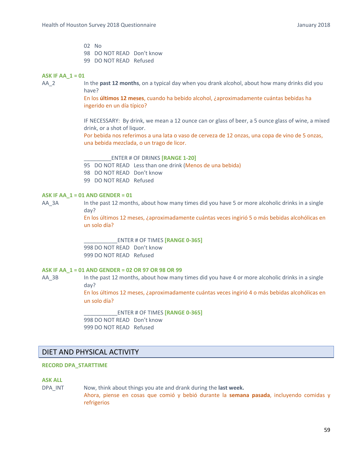02 No 98 DO NOT READ Don't know 99 DO NOT READ Refused

### **ASK IF AA\_1 = 01**

AA\_2 In the **past 12 months**, on a typical day when you drank alcohol, about how many drinks did you have?

> En los **últimos 12 meses**, cuando ha bebido alcohol, ¿aproximadamente cuántas bebidas ha ingerido en un día típico?

IF NECESSARY: By drink, we mean a 12 ounce can or glass of beer, a 5 ounce glass of wine, a mixed drink, or a shot of liquor.

Por bebida nos referimos a una lata o vaso de cerveza de 12 onzas, una copa de vino de 5 onzas, una bebida mezclada, o un trago de licor.

\_\_\_\_\_\_\_\_\_ENTER # OF DRINKS **[RANGE 1‐20]**

95 DO NOT READ Less than one drink (Menos de una bebida) 98 DO NOT READ Don't know

99 DO NOT READ Refused

### **ASK IF AA\_1 = 01 AND GENDER = 01**

AA 3A In the past 12 months, about how many times did you have 5 or more alcoholic drinks in a single day?

> En los últimos 12 meses, ¿aproximadamente cuántas veces ingirió 5 o más bebidas alcohólicas en un solo día?

\_\_\_\_\_\_\_\_\_\_\_ENTER # OF TIMES **[RANGE 0‐365]**  998 DO NOT READ Don't know 999 DO NOT READ Refused

# **ASK IF AA\_1 = 01 AND GENDER = 02 OR 97 OR 98 OR 99**

AA\_3B In the past 12 months, about how many times did you have 4 or more alcoholic drinks in a single day?

> En los últimos 12 meses, ¿aproximadamente cuántas veces ingirió 4 o más bebidas alcohólicas en un solo día?

\_\_\_\_\_\_\_\_\_\_\_ENTER # OF TIMES **[RANGE 0‐365]** 998 DO NOT READ Don't know 999 DO NOT READ Refused

# DIET AND PHYSICAL ACTIVITY

# **RECORD DPA\_STARTTIME**

### **ASK ALL**

DPA\_INT Now, think about things you ate and drank during the **last week.**

Ahora, piense en cosas que comió y bebió durante la **semana pasada**, incluyendo comidas y refrigerios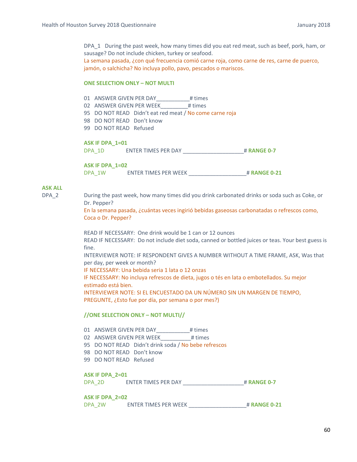DPA\_1 During the past week, how many times did you eat red meat, such as beef, pork, ham, or sausage? Do not include chicken, turkey or seafood.

La semana pasada, ¿con qué frecuencia comió carne roja, como carne de res, carne de puerco, jamón, o salchicha? No incluya pollo, pavo, pescados o mariscos.

### **ONE SELECTION ONLY - NOT MULTI**

01 ANSWER GIVEN PER DAY # times

- 02 ANSWER GIVEN PER WEEK # times
- 95 DO NOT READ Didn't eat red meat / No come carne roja
- 98 DO NOT READ Don't know
- 99 DO NOT READ Refused

# **ASK IF DPA\_1=01**

DPA\_1D ENTER TIMES PER DAY \_\_\_\_\_\_\_\_\_\_\_\_\_\_\_\_\_\_\_\_# **RANGE 0‐7**

**ASK IF DPA\_1=02** 

DPA\_1W ENTER TIMES PER WEEK \_\_\_\_\_\_\_\_\_\_\_\_\_\_\_\_\_\_\_# **RANGE 0‐21**

# **ASK ALL**

DPA\_2 During the past week, how many times did you drink carbonated drinks or soda such as Coke, or Dr. Pepper?

> En la semana pasada, ¿cuántas veces ingirió bebidas gaseosas carbonatadas o refrescos como, Coca o Dr. Pepper?

READ IF NECESSARY: One drink would be 1 can or 12 ounces READ IF NECESSARY: Do not include diet soda, canned or bottled juices or teas. Your best guess is fine. INTERVIEWER NOTE: IF RESPONDENT GIVES A NUMBER WITHOUT A TIME FRAME, ASK, Was that per day, per week or month?

IF NECESSARY: Una bebida seria 1 lata o 12 onzas

IF NECESSARY: No incluya refrescos de dieta, jugos o tés en lata o embotellados. Su mejor estimado está bien.

INTERVIEWER NOTE: SI EL ENCUESTADO DA UN NÚMERO SIN UN MARGEN DE TIEMPO, PREGUNTE, ¿Esto fue por día, por semana o por mes?)

### **//ONE SELECTION ONLY – NOT MULTI//**

01 ANSWER GIVEN PER DAY\_\_\_\_\_\_\_\_\_\_\_\_\_\_\_# times

02 ANSWER GIVEN PER WEEK # times

95 DO NOT READ Didn't drink soda / No bebe refrescos

- 98 DO NOT READ Don't know
- 99 DO NOT READ Refused

### **ASK IF DPA\_2=01**

DPA\_2D ENTER TIMES PER DAY \_\_\_\_\_\_\_\_\_\_\_\_\_\_\_\_\_\_\_\_# **RANGE 0‐7**

### **ASK IF DPA\_2=02**

DPA\_2W ENTER TIMES PER WEEK \_\_\_\_\_\_\_\_\_\_\_\_\_\_\_\_\_\_\_# **RANGE 0‐21**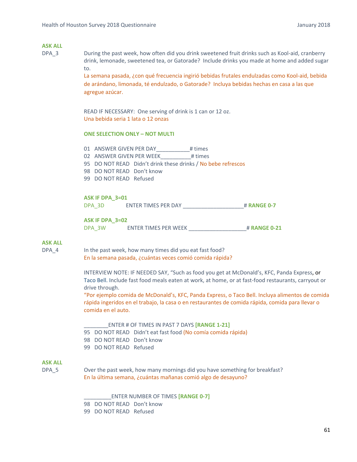# **ASK ALL**

DPA\_3 During the past week, how often did you drink sweetened fruit drinks such as Kool‐aid, cranberry drink, lemonade, sweetened tea, or Gatorade? Include drinks you made at home and added sugar to.

> La semana pasada, ¿con qué frecuencia ingirió bebidas frutales endulzadas como Kool‐aid, bebida de arándano, limonada, té endulzado, o Gatorade? Incluya bebidas hechas en casa a las que agregue azúcar.

READ IF NECESSARY: One serving of drink is 1 can or 12 oz. Una bebida seria 1 lata o 12 onzas

### **ONE SELECTION ONLY – NOT MULTI**

01 ANSWER GIVEN PER DAY # times 02 ANSWER GIVEN PER WEEK # times 95 DO NOT READ Didn't drink these drinks / No bebe refrescos 98 DO NOT READ Don't know 99 DO NOT READ Refused

#### **ASK IF DPA\_3=01**

DPA\_3D ENTER TIMES PER DAY \_\_\_\_\_\_\_\_\_\_\_\_\_\_\_\_\_\_\_\_# **RANGE 0‐7**

### **ASK IF DPA\_3=02**

DPA\_3W ENTER TIMES PER WEEK \_\_\_\_\_\_\_\_\_\_\_\_\_\_\_\_\_\_\_# **RANGE 0‐21**

### **ASK ALL**

DPA 4 In the past week, how many times did you eat fast food? En la semana pasada, ¿cuántas veces comió comida rápida?

> INTERVIEW NOTE: IF NEEDED SAY, "Such as food you get at McDonald's, KFC, Panda Express, or Taco Bell. Include fast food meals eaten at work, at home, or at fast‐food restaurants, carryout or drive through.

"Por ejemplo comida de McDonald's, KFC, Panda Express, o Taco Bell. Incluya alimentos de comida rápida ingeridos en el trabajo, la casa o en restaurantes de comida rápida, comida para llevar o comida en el auto.

#### \_\_\_\_\_\_\_\_ENTER # OF TIMES IN PAST 7 DAYS **[RANGE 1‐21]**

- 95 DO NOT READ Didn't eat fast food (No comía comida rápida)
- 98 DO NOT READ Don't know
- 99 DO NOT READ Refused

# **ASK ALL**

DPA 5 Over the past week, how many mornings did you have something for breakfast? En la última semana, ¿cuántas mañanas comió algo de desayuno?

\_\_\_\_\_\_\_\_\_ENTER NUMBER OF TIMES **[RANGE 0‐7]**

98 DO NOT READ Don't know

99 DO NOT READ Refused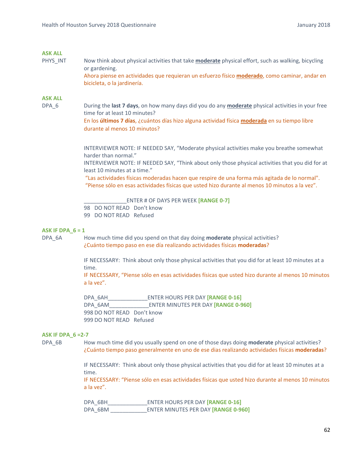# **ASK ALL**

PHYS\_INT Now think about physical activities that take **moderate** physical effort, such as walking, bicycling or gardening. Ahora piense en actividades que requieran un esfuerzo físico **moderado**, como caminar, andar en bicicleta, o la jardinería.

### **ASK ALL**

DPA\_6 During the **last 7 days**, on how many days did you do any **moderate** physical activities in your free time for at least 10 minutes?

En los **últimos 7 días**, ¿cuántos días hizo alguna actividad física **moderada** en su tiempo libre durante al menos 10 minutos? 

INTERVIEWER NOTE: IF NEEDED SAY, "Moderate physical activities make you breathe somewhat harder than normal."

INTERVIEWER NOTE: IF NEEDED SAY, "Think about only those physical activities that you did for at least 10 minutes at a time."

 "Las actividades físicas moderadas hacen que respire de una forma más agitada de lo normal". "Piense sólo en esas actividades físicas que usted hizo durante al menos 10 minutos a la vez".

\_\_\_\_\_\_\_\_\_\_\_\_\_\_ENTER # OF DAYS PER WEEK **[RANGE 0‐7]**

98 DO NOT READ Don't know

99 DO NOT READ Refused

### **ASK IF DPA\_6 = 1**

DPA\_6A How much time did you spend on that day doing **moderate** physical activities? ¿Cuánto tiempo paso en ese día realizando actividades físicas **moderadas**?

> IF NECESSARY: Think about only those physical activities that you did for at least 10 minutes at a time.

IF NECESSARY, "Piense sólo en esas actividades físicas que usted hizo durante al menos 10 minutos a la vez".

DPA\_6AH\_\_\_\_\_\_\_\_\_\_\_\_\_ENTER HOURS PER DAY **[RANGE 0‐16]** DPA\_6AM\_\_\_\_\_\_\_\_\_\_\_\_\_ENTER MINUTES PER DAY **[RANGE 0‐960]** 998 DO NOT READ Don't know 999 DO NOT READ Refused

### **ASK IF DPA\_6 =2‐7**

DPA\_6B **How much time did you usually spend on one of those days doing <b>moderate** physical activities? ¿Cuánto tiempo paso generalmente en uno de ese dias realizando actividades físicas **moderadas**?

> IF NECESSARY: Think about only those physical activities that you did for at least 10 minutes at a time.

IF NECESSARY: "Piense sólo en esas actividades físicas que usted hizo durante al menos 10 minutos a la vez".

DPA\_6BH\_\_\_\_\_\_\_\_\_\_\_\_\_ENTER HOURS PER DAY **[RANGE 0‐16]** DPA\_6BM \_\_\_\_\_\_\_\_\_\_\_\_ENTER MINUTES PER DAY **[RANGE 0‐960]**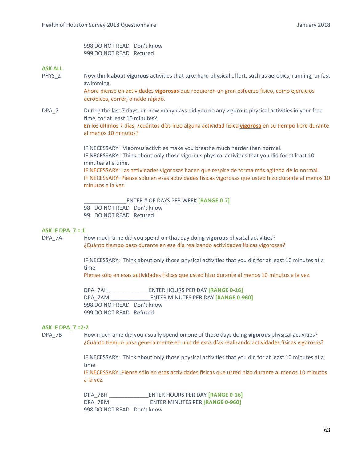998 DO NOT READ Don't know 999 DO NOT READ Refused

## **ASK ALL**

PHYS\_2 Now think about **vigorous** activities that take hard physical effort, such as aerobics, running, or fast swimming.

> Ahora piense en actividades **vigorosas** que requieren un gran esfuerzo físico, como ejercicios aeróbicos, correr, o nado rápido.

DPA<sub>7</sub> During the last 7 days, on how many days did you do any vigorous physical activities in your free time, for at least 10 minutes? En los últimos 7 días, ¿cuántos días hizo alguna actividad física **vigorosa** en su tiempo libre durante

al menos 10 minutos?

IF NECESSARY: Vigorous activities make you breathe much harder than normal. IF NECESSARY: Think about only those vigorous physical activities that you did for at least 10 minutes at a time.

IF NECESSARY: Las actividades vigorosas hacen que respire de forma más agitada de lo normal. IF NECESSARY: Piense sólo en esas actividades físicas vigorosas que usted hizo durante al menos 10 minutos a la vez.

\_\_\_\_\_\_\_\_\_\_\_\_\_\_ENTER # OF DAYS PER WEEK **[RANGE 0‐7]**

98 DO NOT READ Don't know

99 DO NOT READ Refused

### **ASK IF DPA\_7 = 1**

DPA\_7A How much time did you spend on that day doing **vigorous** physical activities? ¿Cuánto tiempo paso durante en ese día realizando actividades físicas vigorosas?

> IF NECESSARY: Think about only those physical activities that you did for at least 10 minutes at a time.

Piense sólo en esas actividades físicas que usted hizo durante al menos 10 minutos a la vez.

DPA\_7AH \_\_\_\_\_\_\_\_\_\_\_\_\_ENTER HOURS PER DAY **[RANGE 0‐16]** DPA\_7AM \_\_\_\_\_\_\_\_\_\_\_\_\_ENTER MINUTES PER DAY **[RANGE 0‐960]** 998 DO NOT READ Don't know 999 DO NOT READ Refused

### **ASK IF DPA\_7 =2‐7**

DPA\_7B How much time did you usually spend on one of those days doing **vigorous** physical activities? ¿Cuánto tiempo pasa generalmente en uno de esos días realizando actividades físicas vigorosas?

> IF NECESSARY: Think about only those physical activities that you did for at least 10 minutes at a time.

> IF NECESSARY: Piense sólo en esas actividades físicas que usted hizo durante al menos 10 minutos a la vez.

DPA\_7BH \_\_\_\_\_\_\_\_\_\_\_\_\_ENTER HOURS PER DAY **[RANGE 0‐16]** DPA\_7BM \_\_\_\_\_\_\_\_\_\_\_\_\_ENTER MINUTES PER **[RANGE 0‐960]** 998 DO NOT READ Don't know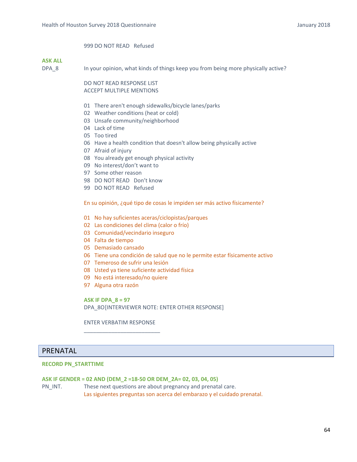# 999 DO NOT READ Refused

# **ASK ALL**

DPA\_8 In your opinion, what kinds of things keep you from being more physically active?

DO NOT READ RESPONSE LIST ACCEPT MULTIPLE MENTIONS

- 01 There aren't enough sidewalks/bicycle lanes/parks
- 02 Weather conditions (heat or cold)
- 03 Unsafe community/neighborhood
- 04 Lack of time
- 05 Too tired
- 06 Have a health condition that doesn't allow being physically active
- 07 Afraid of injury
- 08 You already get enough physical activity
- 09 No interest/don't want to
- 97 Some other reason
- 98 DO NOT READ Don't know
- 99 DO NOT READ Refused

En su opinión, ¿qué tipo de cosas le impiden ser más activo físicamente?

- 01 No hay suficientes aceras/ciclopistas/parques
- 02 Las condiciones del clima (calor o frío)
- 03 Comunidad/vecindario inseguro
- 04 Falta de tiempo
- 05 Demasiado cansado
- 06 Tiene una condición de salud que no le permite estar físicamente activo
- 07 Temeroso de sufrir una lesión
- 08 Usted ya tiene suficiente actividad física
- 09 No está interesado/no quiere
- 97 Alguna otra razón

**ASK IF DPA\_8 = 97**  DPA\_8O [INTERVIEWER NOTE: ENTER OTHER RESPONSE]

ENTER VERBATIM RESPONSE \_\_\_\_\_\_\_\_\_\_\_\_\_\_\_\_\_\_\_\_\_\_\_\_\_

# PRENATAL

# **RECORD PN\_STARTTIME**

### **ASK IF GENDER = 02 AND (DEM\_2 =18‐50 OR DEM\_2A= 02, 03, 04, 05)**

PN INT. These next questions are about pregnancy and prenatal care. Las siguientes preguntas son acerca del embarazo y el cuidado prenatal.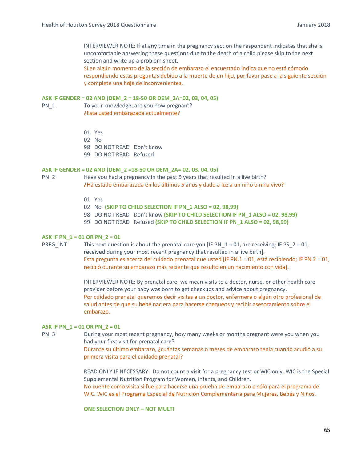INTERVIEWER NOTE: If at any time in the pregnancy section the respondent indicates that she is uncomfortable answering these questions due to the death of a child please skip to the next section and write up a problem sheet.

Si en algún momento de la sección de embarazo el encuestado indica que no está cómodo respondiendo estas preguntas debido a la muerte de un hijo, por favor pase a la siguiente sección y complete una hoja de inconvenientes.

### **ASK IF GENDER = 02 AND (DEM\_2 = 18‐50 OR DEM\_2A=02, 03, 04, 05)**

- PN\_1 To your knowledge, are you now pregnant? ¿Esta usted embarazada actualmente?
	- 01 Yes
	- 02 No
	- 98 DO NOT READ Don't know
	- 99 DO NOT READ Refused

### **ASK IF GENDER = 02 AND (DEM\_2 =18‐50 OR DEM\_2A= 02, 03, 04, 05)**

- PN 2 Have you had a pregnancy in the past 5 years that resulted in a live birth? ¿Ha estado embarazada en los últimos 5 años y dado a luz a un niño o niña vivo?
	- 01 Yes
	- 02 No **(SKIP TO CHILD SELECTION IF PN\_1 ALSO = 02, 98,99)**

98 DO NOT READ Don't know **(SKIP TO CHILD SELECTION IF PN\_1 ALSO = 02, 98,99)** 

99 DO NOT READ Refused **(SKIP TO CHILD SELECTION IF PN\_1 ALSO = 02, 98,99)** 

# **ASK IF PN\_1 = 01 OR PN\_2 = 01**

PREG INT This next question is about the prenatal care you [IF PN  $1 = 01$ , are receiving; IF PS  $2 = 01$ , received during your most recent pregnancy that resulted in a live birth]. Esta pregunta es acerca del cuidado prenatal que usted [IF PN.1 = 01, está recibiendo; IF PN.2 = 01, recibió durante su embarazo más reciente que resultó en un nacimiento con vida].

> INTERVIEWER NOTE: By prenatal care, we mean visits to a doctor, nurse, or other health care provider before your baby was born to get checkups and advice about pregnancy. Por cuidado prenatal queremos decir visitas a un doctor, enfermera o algún otro profesional de salud antes de que su bebé naciera para hacerse chequeos y recibir asesoramiento sobre el embarazo.

### **ASK IF PN\_1 = 01 OR PN\_2 = 01**

PN 3 During your most recent pregnancy, how many weeks or months pregnant were you when you had your first visit for prenatal care?

> Durante su último embarazo, ¿cuántas semanas o meses de embarazo tenía cuando acudió a su primera visita para el cuidado prenatal?

READ ONLY IF NECESSARY: Do not count a visit for a pregnancy test or WIC only. WIC is the Special Supplemental Nutrition Program for Women, Infants, and Children.

No cuente como visita si fue para hacerse una prueba de embarazo o sólo para el programa de WIC. WIC es el Programa Especial de Nutrición Complementaria para Mujeres, Bebés y Niños.

**ONE SELECTION ONLY – NOT MULTI**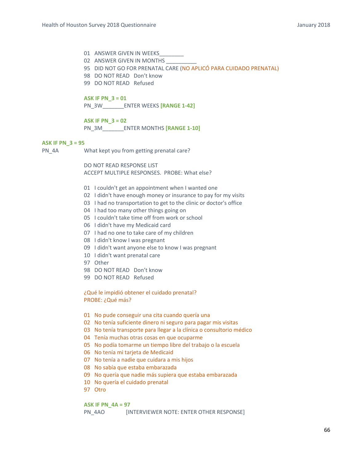- 01 ANSWER GIVEN IN WEEKS
- 02 ANSWER GIVEN IN MONTHS
- 95 DID NOT GO FOR PRENATAL CARE (NO APLICÓ PARA CUIDADO PRENATAL)
- 98 DO NOT READ Don't know
- 99 DO NOT READ Refused

#### **ASK IF PN\_3 = 01**

PN\_3W\_\_\_\_\_\_\_ENTER WEEKS **[RANGE 1‐42]** 

# **ASK IF PN\_3 = 02**

PN\_3M\_\_\_\_\_\_\_ENTER MONTHS **[RANGE 1‐10]** 

#### **ASK IF PN\_3 = 95**

PN\_4A What kept you from getting prenatal care?

DO NOT READ RESPONSE LIST ACCEPT MULTIPLE RESPONSES. PROBE: What else?

- 01 I couldn't get an appointment when I wanted one
- 02 I didn't have enough money or insurance to pay for my visits
- 03 I had no transportation to get to the clinic or doctor's office
- 04 I had too many other things going on
- 05 I couldn't take time off from work or school
- 06 I didn't have my Medicaid card
- 07 I had no one to take care of my children
- 08 I didn't know I was pregnant
- 09 I didn't want anyone else to know I was pregnant
- 10 I didn't want prenatal care
- 97 Other
- 98 DO NOT READ Don't know
- 99 DO NOT READ Refused

¿Qué le impidió obtener el cuidado prenatal? PROBE: ¿Qué más?

- 01 No pude conseguir una cita cuando quería una
- 02 No tenía suficiente dinero ni seguro para pagar mis visitas
- 03 No tenía transporte para llegar a la clínica o consultorio médico
- 04 Tenía muchas otras cosas en que ocuparme
- 05 No podía tomarme un tiempo libre del trabajo o la escuela
- 06 No tenía mi tarjeta de Medicaid
- 07 No tenía a nadie que cuidara a mis hijos
- 08 No sabía que estaba embarazada
- 09 No quería que nadie más supiera que estaba embarazada
- 10 No quería el cuidado prenatal
- 97 Otro

#### **ASK IF PN\_4A = 97**

PN\_4AO [INTERVIEWER NOTE: ENTER OTHER RESPONSE]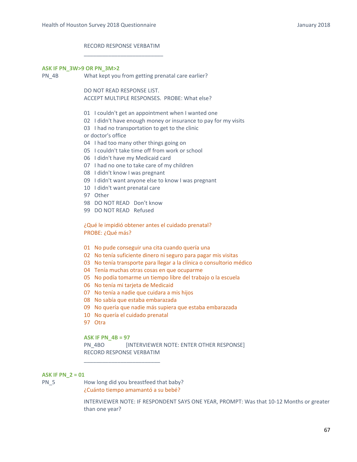# RECORD RESPONSE VERBATIM \_\_\_\_\_\_\_\_\_\_\_\_\_\_\_\_\_\_\_\_\_\_\_\_\_\_

#### **ASK IF PN\_3W>9 OR PN\_3M>2**

PN\_4B What kept you from getting prenatal care earlier?

DO NOT READ RESPONSE LIST. ACCEPT MULTIPLE RESPONSES. PROBE: What else?

- 01 I couldn't get an appointment when I wanted one
- 02 I didn't have enough money or insurance to pay for my visits

03 I had no transportation to get to the clinic

or doctor's office

- 04 I had too many other things going on
- 05 I couldn't take time off from work or school
- 06 I didn't have my Medicaid card
- 07 I had no one to take care of my children
- 08 I didn't know I was pregnant
- 09 I didn't want anyone else to know I was pregnant
- 10 I didn't want prenatal care
- 97 Other
- 98 DO NOT READ Don't know
- 99 DO NOT READ Refused

¿Qué le impidió obtener antes el cuidado prenatal? PROBE: ¿Qué más?

- 01 No pude conseguir una cita cuando quería una
- 02 No tenía suficiente dinero ni seguro para pagar mis visitas
- 03 No tenía transporte para llegar a la clínica o consultorio médico
- 04 Tenía muchas otras cosas en que ocuparme
- 05 No podía tomarme un tiempo libre del trabajo o la escuela
- 06 No tenía mi tarjeta de Medicaid
- 07 No tenía a nadie que cuidara a mis hijos
- 08 No sabía que estaba embarazada
- 09 No quería que nadie más supiera que estaba embarazada
- 10 No quería el cuidado prenatal
- 97 Otra

### **ASK IF PN\_4B = 97**

PN\_4BO [INTERVIEWER NOTE: ENTER OTHER RESPONSE] RECORD RESPONSE VERBATIM

### **ASK IF PN\_2 = 01**

PN 5 How long did you breastfeed that baby? ¿Cuánto tiempo amamantó a su bebé?

\_\_\_\_\_\_\_\_\_\_\_\_\_\_\_\_\_\_\_\_\_\_\_\_\_

INTERVIEWER NOTE: IF RESPONDENT SAYS ONE YEAR, PROMPT: Was that 10‐12 Months or greater than one year?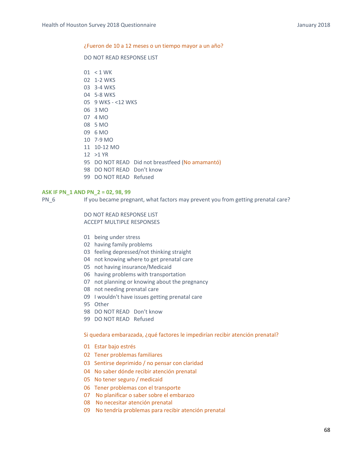#### ¿Fueron de 10 a 12 meses o un tiempo mayor a un año?

## DO NOT READ RESPONSE LIST

01 < 1 WK

- 02 1‐2 WKS
- 03 3‐4 WKS
- 04 5‐8 WKS
- 05 9 WKS ‐ <12 WKS
- 06 3 MO
- 07 4 MO
- 08 5 MO
- 09 6 MO
- 10 7‐9 MO
- 11 10‐12 MO
- 12 >1 YR
- 95 DO NOT READ Did not breastfeed (No amamantó)
- 98 DO NOT READ Don't know
- 99 DO NOT READ Refused

## **ASK IF PN\_1 AND PN\_2 = 02, 98, 99**

PN 6 If you became pregnant, what factors may prevent you from getting prenatal care?

DO NOT READ RESPONSE LIST ACCEPT MULTIPLE RESPONSES

- 01 being under stress
- 02 having family problems
- 03 feeling depressed/not thinking straight
- 04 not knowing where to get prenatal care
- 05 not having insurance/Medicaid
- 06 having problems with transportation
- 07 not planning or knowing about the pregnancy
- 08 not needing prenatal care
- 09 I wouldn't have issues getting prenatal care
- 95 Other
- 98 DO NOT READ Don't know
- 99 DO NOT READ Refused

## Si quedara embarazada, ¿qué factores le impedirían recibir atención prenatal?

- 01 Estar bajo estrés
- 02 Tener problemas familiares
- 03 Sentirse deprimido / no pensar con claridad
- 04 No saber dónde recibir atención prenatal
- 05 No tener seguro / medicaid
- 06 Tener problemas con el transporte
- 07 No planificar o saber sobre el embarazo
- 08 No necesitar atención prenatal
- 09 No tendría problemas para recibir atención prenatal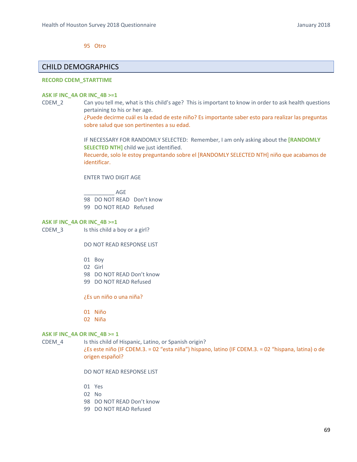95 Otro

# CHILD DEMOGRAPHICS

## **RECORD CDEM\_STARTTIME**

#### **ASK IF INC\_4A OR INC\_4B >=1**

CDEM\_2 Can you tell me, what is this child's age? This is important to know in order to ask health questions pertaining to his or her age.

¿Puede decirme cuál es la edad de este niño? Es importante saber esto para realizar las preguntas sobre salud que son pertinentes a su edad.

IF NECESSARY FOR RANDOMLY SELECTED: Remember, I am only asking about the **[RANDOMLY SELECTED NTH]** child we just identified.

Recuerde, solo le estoy preguntando sobre el [RANDOMLY SELECTED NTH] niño que acabamos de identificar.

ENTER TWO DIGIT AGE

\_\_\_\_\_\_\_\_\_\_ AGE 98 DO NOT READ Don't know 99 DO NOT READ Refused

#### **ASK IF INC\_4A OR INC\_4B >=1**

CDEM 3 Is this child a boy or a girl?

DO NOT READ RESPONSE LIST

- 01 Boy
- 02 Girl
- 98 DO NOT READ Don't know
- 99 DO NOT READ Refused

¿Es un niño o una niña?

- 01 Niño
- 02 Niña

### **ASK IF INC\_4A OR INC\_4B >= 1**

CDEM 4 Is this child of Hispanic, Latino, or Spanish origin? ¿Es este niño (IF CDEM.3. = 02 "esta niña") hispano, latino (IF CDEM.3. = 02 "hispana, latina) o de origen español?

DO NOT READ RESPONSE LIST

- 01 Yes
- 02 No
- 98 DO NOT READ Don't know
- 99 DO NOT READ Refused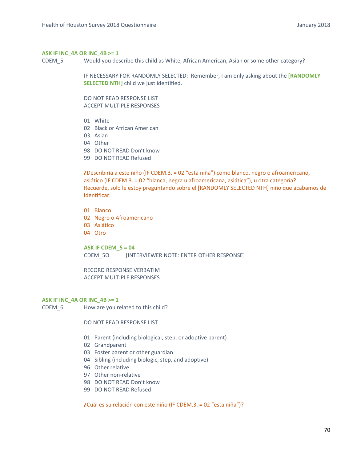# **ASK IF INC\_4A OR INC\_4B >= 1**

CDEM\_5 Would you describe this child as White, African American, Asian or some other category?

IF NECESSARY FOR RANDOMLY SELECTED: Remember, I am only asking about the **[RANDOMLY SELECTED NTH**] child we just identified.

DO NOT READ RESPONSE LIST ACCEPT MULTIPLE RESPONSES

- 01 White
- 02 Black or African American
- 03 Asian
- 04 Other
- 98 DO NOT READ Don't know
- 99 DO NOT READ Refused

¿Describiría a este niño (IF CDEM.3. = 02 "esta niña") como blanco, negro o afroamericano, asiático (IF CDEM.3. = 02 "blanca, negra u afroamericana, asiática"), u otra categoría? Recuerde, solo le estoy preguntando sobre el [RANDOMLY SELECTED NTH] niño que acabamos de identificar.

- 01 Blanco
- 02 Negro o Afroamericano
- 03 Asiático
- 04 Otro

**ASK IF CDEM\_5 = 04**  CDEM\_5O [INTERVIEWER NOTE: ENTER OTHER RESPONSE]

RECORD RESPONSE VERBATIM ACCEPT MULTIPLE RESPONSES

\_\_\_\_\_\_\_\_\_\_\_\_\_\_\_\_\_\_\_\_\_\_\_\_\_\_

### **ASK IF INC\_4A OR INC\_4B >= 1**

CDEM 6 How are you related to this child?

DO NOT READ RESPONSE LIST

- 01 Parent (including biological, step, or adoptive parent)
- 02 Grandparent
- 03 Foster parent or other guardian
- 04 Sibling (including biologic, step, and adoptive)
- 96 Other relative
- 97 Other non-relative
- 98 DO NOT READ Don't know
- 99 DO NOT READ Refused

¿Cuál es su relación con este niño (IF CDEM.3. = 02 "esta niña")?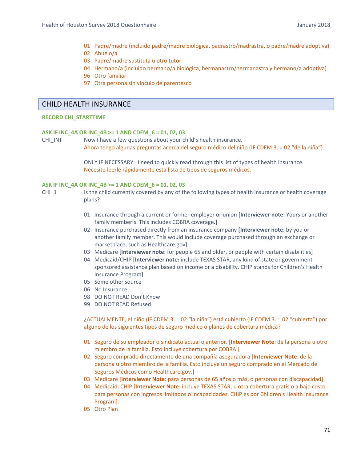- 01 Padre/madre (incluido padre/madre biológica, padrastro/madrastra, o padre/madre adoptiva)
- 02 Abuelo/a
- 03 Padre/madre sustituta u otro tutor
- 04 Hermano/a (incluido hermano/a biológica, hermanastro/hermanastra y hermano/a adoptiva)
- 96 Otro familiar
- 97 Otra persona sin vínculo de parentesco

# CHILD HEALTH INSURANCE

### **RECORD CHI\_STARTTIME**

### **ASK IF INC\_4A OR INC\_4B >= 1 AND CDEM\_6 = 01, 02, 03**

CHILINT Mow I have a few questions about your child's health insurance. Ahora tengo algunas preguntas acerca del seguro médico del niño (IF CDEM.3. = 02 "de la niña").

> ONLY IF NECESSARY: I need to quickly read through this list of types of health insurance. Necesito leerle rápidamente esta lista de tipos de seguros médicos.

### **ASK IF INC\_4A OR INC\_4B >= 1 AND CDEM\_6 = 01, 02, 03**

- CHI\_1 Is the child currently covered by any of the following types of health insurance or health coverage plans?
	- 01 Insurance through a current or former employer or union **[Interviewer note:** Yours or another family member's. This includes COBRA coverage**.]**
	- 02 Insurance purchased directly from an insurance company **[Interviewer note**: by you or another family member. This would include coverage purchased through an exchange or marketplace, such as Healthcare.gov]
	- 03 Medicare [**Interviewer note**: for people 65 and older, or people with certain disabilities]
	- 04 Medicaid/CHIP [**Interviewer note:** include TEXAS STAR, any kind of state or government‐ sponsored assistance plan based on income or a disability. CHIP stands for Children's Health Insurance Program]
	- 05 Some other source
	- 06 No Insurance
	- 98 DO NOT READ Don't Know
	- 99 DO NOT READ Refused

¿ACTUALMENTE, el niño (IF CDEM.3. = 02 "la niña") está cubierto (IF CDEM.3. = 02 "cubierta") por alguno de los siguientes tipos de seguro médico o planes de cobertura médica?

- 01 Seguro de su empleador o sindicato actual o anterior. [**Interviewer Note**: de la persona u otro miembro de la familia. Esto incluye cobertura por COBRA.]
- 02 Seguro comprado directamente de una compañía aseguradora [**Interviewer Note**: de la persona u otro miembro de la familia. Esto incluye un seguro comprado en el Mercado de Seguros Médicos como Healthcare.gov.]
- 03 Medicare [**Interviewer Note**: para personas de 65 años o más, o personas con discapacidad]
- 04 Medicaid, CHIP [**Interviewer Note**: incluye TEXAS STAR, u otra cobertura gratis o a bajo costo para personas con ingresos limitados o incapacidades. CHIP es por Children's Health Insurance Program].
- 05 Otro Plan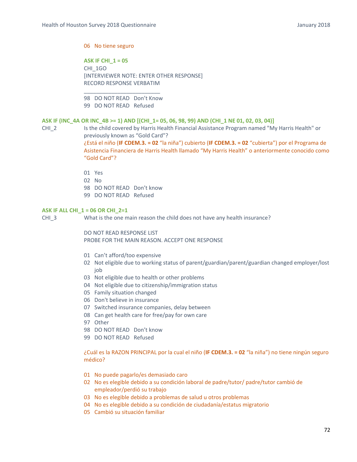### 06 No tiene seguro

**ASK IF CHI\_1 = 05**  CHI\_1GO [INTERVIEWER NOTE: ENTER OTHER RESPONSE] RECORD RESPONSE VERBATIM

\_\_\_\_\_\_\_\_\_\_\_\_\_\_\_\_\_\_\_\_\_\_\_\_\_ 98 DO NOT READ Don't Know 99 DO NOT READ Refused

### **ASK IF (INC\_4A OR INC\_4B >= 1) AND [(CHI\_1= 05, 06, 98, 99) AND (CHI\_1 NE 01, 02, 03, 04)]**

CHI\_2 **Is the child covered by Harris Health Financial Assistance Program named "My Harris Health" or** previously known as "Gold Card"? ¿Está el niño (**IF CDEM.3. = 02** "la niña") cubierto (**IF CDEM.3. = 02** "cubierta") por el Programa de

Asistencia Financiera de Harris Health llamado "My Harris Health" o anteriormente conocido como "Gold Card"?

- 01 Yes
- 02 No
- 98 DO NOT READ Don't know
- 99 DO NOT READ Refused

### **ASK IF ALL CHI\_1 = 06 OR CHI\_2=1**

CHI 3 What is the one main reason the child does not have any health insurance?

DO NOT READ RESPONSE LIST PROBE FOR THE MAIN REASON. ACCEPT ONE RESPONSE

- 01 Can't afford/too expensive
- 02 Not eligible due to working status of parent/guardian/parent/guardian changed employer/lost job
- 03 Not eligible due to health or other problems
- 04 Not eligible due to citizenship/immigration status
- 05 Family situation changed
- 06 Don't believe in insurance
- 07 Switched insurance companies, delay between
- 08 Can get health care for free/pay for own care
- 97 Other
- 98 DO NOT READ Don't know
- 99 DO NOT READ Refused

¿Cuál es la RAZON PRINCIPAL por la cual el niño (**IF CDEM.3. = 02** "la niña") no tiene ningún seguro médico?

- 01 No puede pagarlo/es demasiado caro
- 02 No es elegible debido a su condición laboral de padre/tutor/ padre/tutor cambió de empleador/perdió su trabajo
- 03 No es elegible debido a problemas de salud u otros problemas
- 04 No es elegible debido a su condición de ciudadanía/estatus migratorio
- 05 Cambió su situación familiar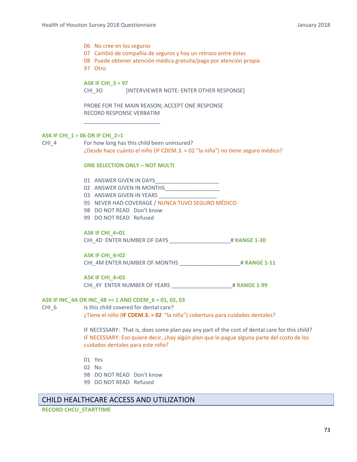- 06 No cree en los seguros
- 07 Cambió de compañía de seguros y hay un retraso entre éstas
- 08 Puede obtener atención médica gratuita/paga por atención propia

97 Otro

# **ASK IF CHI\_3 = 97**

CHI\_3O <sup>[INTERVIEWER NOTE: ENTER OTHER RESPONSE]</sup>

PROBE FOR THE MAIN REASON; ACCEPT ONE RESPONSE RECORD RESPONSE VERBATIM

# **ASK IF CHI\_1 = 06 OR IF CHI\_2=1**

CHI\_4 For how long has this child been uninsured? ¿Desde hace cuánto el niño (IF CDEM.3. = 02 "la niña") no tiene seguro médico?

#### **ONE SELECTION ONLY – NOT MULTI**

01 ANSWER GIVEN IN DAYS

\_\_\_\_\_\_\_\_\_\_\_\_\_\_\_\_\_\_\_\_\_\_\_\_\_

- 02 ANSWER GIVEN IN MONTHS
- 03 ANSWER GIVEN IN YEARS
- 95 NEVER HAD COVERAGE / NUNCA TUVO SEGURO MÉDICO
- 98 DO NOT READ Don't know
- 99 DO NOT READ Refused

#### **ASK IF CHI\_4=01**

CHI\_4D ENTER NUMBER OF DAYS \_\_\_\_\_\_\_\_\_\_\_\_\_\_\_\_\_\_\_\_# **RANGE 1‐30**

#### **ASK IF CHI\_4=02**

CHI\_4M ENTER NUMBER OF MONTHS \_\_\_\_\_\_\_\_\_\_\_\_\_\_\_\_\_\_\_\_# **RANGE 1‐11**

### **ASK IF CHI\_4=03**

CHI\_4Y ENTER NUMBER OF YEARS \_\_\_\_\_\_\_\_\_\_\_\_\_\_\_\_\_\_\_\_# **RANGE 1‐99**

# **ASK IF INC\_4A OR INC\_4B >= 1 AND CDEM\_6 = 01, 02, 03**

CHI 6 Is this child covered for dental care? ¿Tiene el niño (**IF CDEM.3. = 02** "la niña") cobertura para cuidados dentales?

> IF NECESSARY: That is, does some plan pay any part of the cost of dental care for this child? IF NECESSARY: Eso quiere decir, ¿hay algún plan que le pague alguna parte del costo de los cuidados dentales para este niño?

- 01 Yes
- 02 No
- 98 DO NOT READ Don't know
- 99 DO NOT READ Refused

# CHILD HEALTHCARE ACCESS AND UTILIZATION

**RECORD CHCU\_STARTTIME**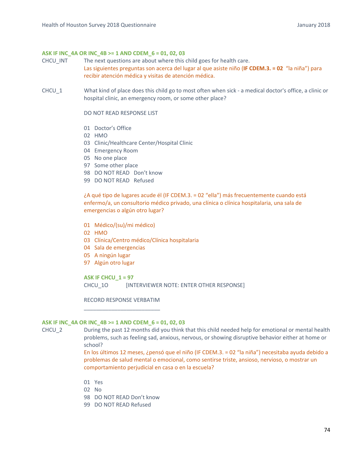### **ASK IF INC\_4A OR INC\_4B >= 1 AND CDEM\_6 = 01, 02, 03**

- CHCU\_INT The next questions are about where this child goes for health care. Las siguientes preguntas son acerca del lugar al que asiste niño (**IF CDEM.3. = 02** "la niña") para recibir atención médica y visitas de atención médica.
- CHCU<sub>1</sub> What kind of place does this child go to most often when sick a medical doctor's office, a clinic or hospital clinic, an emergency room, or some other place?

DO NOT READ RESPONSE LIST

- 01 Doctor's Office
- 02 HMO
- 03 Clinic/Healthcare Center/Hospital Clinic
- 04 Emergency Room
- 05 No one place
- 97 Some other place
- 98 DO NOT READ Don't know
- 99 DO NOT READ Refused

¿A qué tipo de lugares acude él (IF CDEM.3. = 02 "ella") más frecuentemente cuando está enfermo/a, un consultorio médico privado, una clínica o clínica hospitalaria, una sala de emergencias o algún otro lugar?

- 01 Médico/(su)/mi médico)
- 02 HMO
- 03 Clínica/Centro médico/Clínica hospitalaria
- 04 Sala de emergencias
- 05 A ningún lugar
- 97 Algún otro lugar

**ASK IF CHCU\_1 = 97**

CHCU 10 [INTERVIEWER NOTE: ENTER OTHER RESPONSE]

RECORD RESPONSE VERBATIM \_\_\_\_\_\_\_\_\_\_\_\_\_\_\_\_\_\_\_\_\_\_\_\_\_

### **ASK IF INC\_4A OR INC\_4B >= 1 AND CDEM\_6 = 01, 02, 03**

CHCU\_2 During the past 12 months did you think that this child needed help for emotional or mental health problems, such as feeling sad, anxious, nervous, or showing disruptive behavior either at home or school?

> En los últimos 12 meses, ¿pensó que el niño (IF CDEM.3. = 02 "la niña") necesitaba ayuda debido a problemas de salud mental o emocional, como sentirse triste, ansioso, nervioso, o mostrar un comportamiento perjudicial en casa o en la escuela?

- 01 Yes
- 02 No
- 98 DO NOT READ Don't know
- 99 DO NOT READ Refused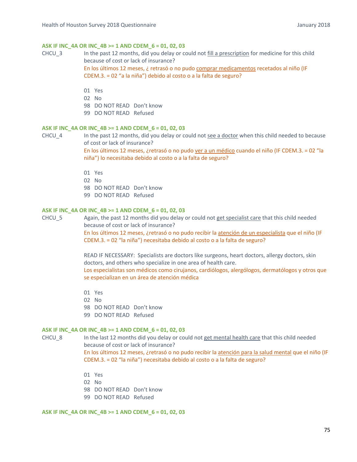# **ASK IF INC\_4A OR INC\_4B >= 1 AND CDEM\_6 = 01, 02, 03**

CHCU\_3 In the past 12 months, did you delay or could not fill a prescription for medicine for this child because of cost or lack of insurance? En los últimos 12 meses, ¿ retrasó o no pudo comprar medicamentos recetados al niño (IF CDEM.3. = 02 "a la niña") debido al costo o a la falta de seguro?

01 Yes

- 02 No
- 98 DO NOT READ Don't know
- 99 DO NOT READ Refused

# **ASK IF INC\_4A OR INC\_4B >= 1 AND CDEM\_6 = 01, 02, 03**

CHCU<sub>4</sub> In the past 12 months, did you delay or could not see a doctor when this child needed to because of cost or lack of insurance?

> En los últimos 12 meses, ¿retrasó o no pudo ver a un médico cuando el niño (IF CDEM.3. = 02 "la niña") lo necesitaba debido al costo o a la falta de seguro?

- 01 Yes
- 02 No
- 98 DO NOT READ Don't know
- 99 DO NOT READ Refused

#### **ASK IF INC\_4A OR INC\_4B >= 1 AND CDEM\_6 = 01, 02, 03**

CHCU 5 Again, the past 12 months did you delay or could not get specialist care that this child needed because of cost or lack of insurance?

En los últimos 12 meses, ¿retrasó o no pudo recibir la atención de un especialista que el niño (IF CDEM.3. = 02 "la niña") necesitaba debido al costo o a la falta de seguro?

READ IF NECESSARY: Specialists are doctors like surgeons, heart doctors, allergy doctors, skin doctors, and others who specialize in one area of health care. Los especialistas son médicos como cirujanos, cardiólogos, alergólogos, dermatólogos y otros que se especializan en un área de atención médica

- 01 Yes
- 02 No
- 98 DO NOT READ Don't know
- 99 DO NOT READ Refused

#### **ASK IF INC\_4A OR INC\_4B >= 1 AND CDEM\_6 = 01, 02, 03**

CHCU\_8 In the last 12 months did you delay or could not get mental health care that this child needed because of cost or lack of insurance?

> En los últimos 12 meses, ¿retrasó o no pudo recibir la atención para la salud mental que el niño (IF CDEM.3. = 02 "la niña") necesitaba debido al costo o a la falta de seguro?

- 01 Yes
- 02 No
- 98 DO NOT READ Don't know
- 99 DO NOT READ Refused

#### **ASK IF INC\_4A OR INC\_4B >= 1 AND CDEM\_6 = 01, 02, 03**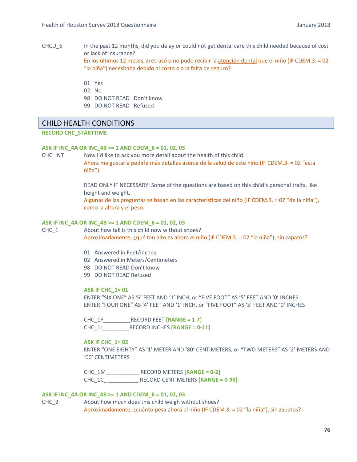- CHCU<sub>6</sub> In the past 12 months, did you delay or could not get dental care this child needed because of cost or lack of insurance? En los últimos 12 meses, ¿retrasó o no pudo recibir la atención dental que el niño (IF CDEM.3. = 02 "la niña") necesitaba debido al costo o a la falta de seguro?
	- 01 Yes
	- 02 No
	- 98 DO NOT READ Don't know
	- 99 DO NOT READ Refused

# CHILD HEALTH CONDITIONS

**RECORD CHC\_STARTTIME** 

## **ASK IF INC\_4A OR INC\_4B >= 1 AND CDEM\_6 = 01, 02, 03**

CHC\_INT Mow I'd like to ask you more detail about the health of this child.

Ahora me gustaría pedirle más detalles acerca de la salud de este niño (IF CDEM.3. = 02 "esta niña").

READ ONLY IF NECESSARY: Some of the questions are based on this child's personal traits, like height and weight.

Algunas de las preguntas se basan en las características del niño (IF CDEM.3. = 02 "de la niña"), como la altura y el peso.

### **ASK IF INC\_4A OR INC\_4B >= 1 AND CDEM\_6 = 01, 02, 03**

CHC 1 About how tall is this child now without shoes?

Aproximadamente, ¿qué tan alto es ahora el niño (IF CDEM.3. = 02 "la niña"), sin zapatos?

- 01 Answered in Feet/Inches
- 02 Answered in Meters/Centimeters
- 98 DO NOT READ Don't know
- 99 DO NOT READ Refused

### **ASK IF CHC\_1= 01**

ENTER "SIX ONE" AS '6' FEET AND '1' INCH, or "FIVE FOOT" AS '5' FEET AND '0' INCHES ENTER "FOUR ONE" AS '4' FEET AND '1' INCH, or "FIVE FOOT" AS '5' FEET AND '0' INCHES

CHC\_1F\_\_\_\_\_\_\_\_\_RECORD FEET **[RANGE = 1‐7]** CHC\_1I\_\_\_\_\_\_\_\_\_RECORD INCHES **[RANGE = 0‐11]** 

#### **ASK IF CHC\_1= 02**

ENTER "ONE EIGHTY" AS '1' METER AND '80' CENTIMETERS, or "TWO METERS" AS '2' METERS AND '00' CENTIMETERS

CHC\_1M\_\_\_\_\_\_\_\_\_\_\_ RECORD METERS **[RANGE = 0‐2]** CHC\_1C\_ \_\_\_\_\_\_\_\_\_\_ RECORD CENTIMETERS **[RANGE = 0‐99]**

### **ASK IF INC\_4A OR INC\_4B >= 1 AND CDEM\_6 = 01, 02, 03**

CHC\_2 About how much does this child weigh without shoes? Aproximadamente, ¿cuánto pesa ahora el niño (IF CDEM.3. = 02 "la niña"), sin zapatos?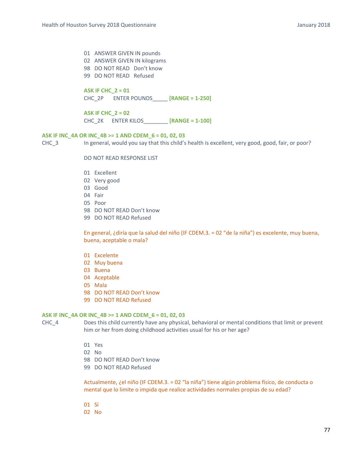01 ANSWER GIVEN IN pounds 02 ANSWER GIVEN IN kilograms 98 DO NOT READ Don't know 99 DO NOT READ Refused

# **ASK IF CHC\_2 = 01**

CHC\_2P ENTER POUNDS\_\_\_\_\_ **[RANGE = 1‐250]**

**ASK IF CHC\_2 = 02** CHC\_2K ENTER KILOS\_\_\_\_\_\_\_\_ **[RANGE = 1‐100]**

# **ASK IF INC\_4A OR INC\_4B >= 1 AND CDEM\_6 = 01, 02, 03**

CHC\_3 In general, would you say that this child's health is excellent, very good, good, fair, or poor?

DO NOT READ RESPONSE LIST

- 01 Excellent
- 02 Very good
- 03 Good
- 04 Fair
- 05 Poor
- 98 DO NOT READ Don't know
- 99 DO NOT READ Refused

En general, ¿diría que la salud del niño (IF CDEM.3. = 02 "de la niña") es excelente, muy buena, buena, aceptable o mala?

- 01 Excelente
- 02 Muy buena
- 03 Buena
- 04 Aceptable
- 05 Mala
- 98 DO NOT READ Don't know
- 99 DO NOT READ Refused

#### **ASK IF INC\_4A OR INC\_4B >= 1 AND CDEM\_6 = 01, 02, 03**

CHC\_4 Does this child currently have any physical, behavioral or mental conditions that limit or prevent him or her from doing childhood activities usual for his or her age?

- 01 Yes
- 02 No
- 98 DO NOT READ Don't know
- 99 DO NOT READ Refused

Actualmente, ¿el niño (IF CDEM.3. = 02 "la niña") tiene algún problema físico, de conducta o mental que lo limite o impida que realice actividades normales propias de su edad?

- 01 Sí
- 02 No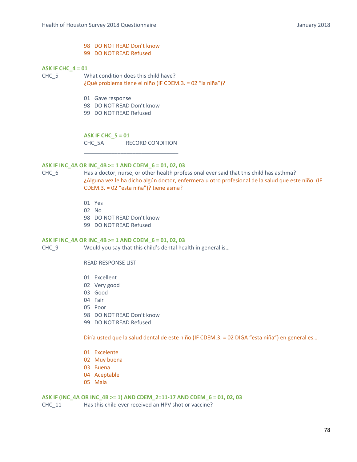- 98 DO NOT READ Don't know
- 99 DO NOT READ Refused

## **ASK IF CHC\_4 = 01**

CHC\_5 What condition does this child have? ¿Qué problema tiene el niño (IF CDEM.3. = 02 "la niña")?

- 01 Gave response
- 98 DO NOT READ Don't know
- 99 DO NOT READ Refused

**ASK IF CHC\_5 = 01** 

CHC\_5A RECORD CONDITION \_\_\_\_\_\_\_\_\_\_\_\_\_\_\_\_\_\_\_\_\_\_\_\_\_\_\_\_\_\_\_

# **ASK IF INC\_4A OR INC\_4B >= 1 AND CDEM\_6 = 01, 02, 03**

CHC\_6 Has a doctor, nurse, or other health professional ever said that this child has asthma? ¿Alguna vez le ha dicho algún doctor, enfermera u otro profesional de la salud que este niño (IF CDEM.3. = 02 "esta niña")? tiene asma?

- 01 Yes
- 02 No
- 98 DO NOT READ Don't know
- 99 DO NOT READ Refused

# **ASK IF INC\_4A OR INC\_4B >= 1 AND CDEM\_6 = 01, 02, 03**

CHC 9 Would you say that this child's dental health in general is...

READ RESPONSE LIST

- 01 Excellent
- 02 Very good
- 03 Good
- 04 Fair
- 05 Poor
- 98 DO NOT READ Don't know
- 99 DO NOT READ Refused

Diría usted que la salud dental de este niño (IF CDEM.3. = 02 DIGA "esta niña") en general es…

- 01 Excelente
- 02 Muy buena
- 03 Buena
- 04 Aceptable
- 05 Mala

**ASK IF (INC\_4A OR INC\_4B >= 1) AND CDEM\_2=11‐17 AND CDEM\_6 = 01, 02, 03** 

CHC 11 Has this child ever received an HPV shot or vaccine?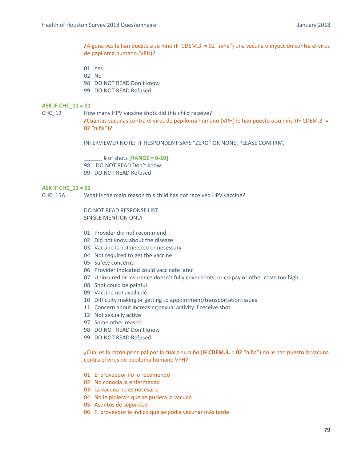¿Alguna vez le han puesto a su niño (IF CDEM.3. = 02 "niña") una vacuna o inyección contra el virus de papiloma humano (VPH)?

- 01 Yes
- 02 No
- 98 DO NOT READ Don't know
- 99 DO NOT READ Refused

### **ASK IF CHC\_11 = 01**

CHC 12 How many HPV vaccine shots did this child receive?

¿Cuántas vacunas contra el virus de papiloma humano (VPH) le han puesto a su niño (IF CDEM.3. = 02 "niña")?

INTERVIEWER NOTE: IF RESPONDENT SAYS "ZERO" OR NONE, PLEASE CONFIRM.

\_\_\_\_\_\_ # of shots **[RANGE = 0‐10]** 98 DO NOT READ Don't know 99 DO NOT READ Refused

#### **ASK IF CHC\_11 = 02**

CHC\_15A What is the main reason this child has not received HPV vaccine?

DO NOT READ RESPONSE LIST SINGLE MENTION ONLY

- 01 Provider did not recommend
- 02 Did not know about the disease
- 03 Vaccine is not needed or necessary
- 04 Not required to get the vaccine
- 05 Safety concerns
- 06 Provider indicated could vaccinate later
- 07 Uninsured or insurance doesn't fully cover shots, or co-pay or other costs too high
- 08 Shot could be painful
- 09 Vaccine not available
- 10 Difficulty making or getting to appointment/transportation issues
- 11 Concern about increasing sexual activity if receive shot
- 12 Not sexually active
- 97 Some other reason
- 98 DO NOT READ Don't know
- 99 DO NOT READ Refused

¿Cuál es la razón principal por la cual a su niño (**IF CDEM.3. = 02** "niña") no le han puesto la vacuna contra el virus de papiloma humano VPH?

- 01 El proveedor no lo recomendó
- 02 No conocía la enfermedad
- 03 La vacuna no es necesaria
- 04 No le pidieron que se pusiera la vacuna
- 05 Asuntos de seguridad
- 06 El proveedor le indicó que se podía vacunar más tarde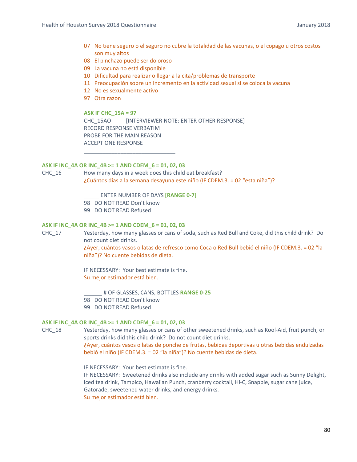- 07 No tiene seguro o el seguro no cubre la totalidad de las vacunas, o el copago u otros costos son muy altos
- 08 El pinchazo puede ser doloroso
- 09 La vacuna no está disponible
- 10 Dificultad para realizar o llegar a la cita/problemas de transporte
- 11 Preocupación sobre un incremento en la actividad sexual si se coloca la vacuna
- 12 No es sexualmente activo
- 97 Otra razon

# **ASK IF CHC\_15A = 97**

CHC\_15AO [INTERVIEWER NOTE: ENTER OTHER RESPONSE] RECORD RESPONSE VERBATIM PROBE FOR THE MAIN REASON ACCEPT ONE RESPONSE

# **ASK IF INC\_4A OR INC\_4B >= 1 AND CDEM\_6 = 01, 02, 03**

CHC\_16 How many days in a week does this child eat breakfast? ¿Cuántos días a la semana desayuna este niño (IF CDEM.3. = 02 "esta niña")?

\_\_\_\_\_ ENTER NUMBER OF DAYS **[RANGE 0‐7]**

98 DO NOT READ Don't know

\_\_\_\_\_\_\_\_\_\_\_\_\_\_\_\_\_\_\_\_\_\_\_\_\_\_\_\_\_\_

99 DO NOT READ Refused

# **ASK IF INC\_4A OR INC\_4B >= 1 AND CDEM\_6 = 01, 02, 03**

CHC\_17 Yesterday, how many glasses or cans of soda, such as Red Bull and Coke, did this child drink? Do not count diet drinks.

> ¿Ayer, cuántos vasos o latas de refresco como Coca o Red Bull bebió el niño (IF CDEM.3. = 02 "la niña")? No cuente bebidas de dieta.

IF NECESSARY: Your best estimate is fine. Su mejor estimador está bien.

\_\_\_\_\_\_ # OF GLASSES, CANS, BOTTLES **RANGE 0‐25** 98 DO NOT READ Don't know 99 DO NOT READ Refused

### **ASK IF INC\_4A OR INC\_4B >= 1 AND CDEM\_6 = 01, 02, 03**

CHC\_18 Yesterday, how many glasses or cans of other sweetened drinks, such as Kool‐Aid, fruit punch, or sports drinks did this child drink? Do not count diet drinks.

> ¿Ayer, cuántos vasos o latas de ponche de frutas, bebidas deportivas u otras bebidas endulzadas bebió el niño (IF CDEM.3. = 02 "la niña")? No cuente bebidas de dieta.

IF NECESSARY: Your best estimate is fine.

IF NECESSARY: Sweetened drinks also include any drinks with added sugar such as Sunny Delight, iced tea drink, Tampico, Hawaiian Punch, cranberry cocktail, Hi‐C, Snapple, sugar cane juice, Gatorade, sweetened water drinks, and energy drinks.

Su mejor estimador está bien.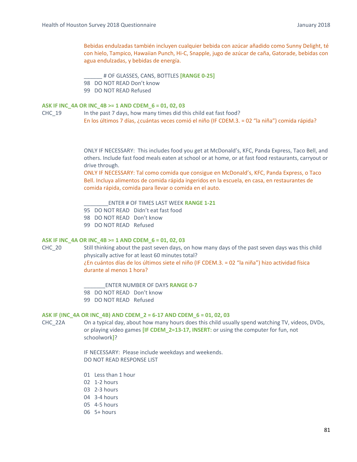Bebidas endulzadas también incluyen cualquier bebida con azúcar añadido como Sunny Delight, té con hielo, Tampico, Hawaiian Punch, Hi‐C, Snapple, jugo de azúcar de caña, Gatorade, bebidas con agua endulzadas, y bebidas de energía.

\_\_\_\_\_\_ # OF GLASSES, CANS, BOTTLES **[RANGE 0‐25]** 98 DO NOT READ Don't know 99 DO NOT READ Refused

### **ASK IF INC\_4A OR INC\_4B >= 1 AND CDEM\_6 = 01, 02, 03**

CHC\_19 In the past 7 days, how many times did this child eat fast food? En los últimos 7 días, ¿cuántas veces comió el niño (IF CDEM.3. = 02 "la niña") comida rápida?

> ONLY IF NECESSARY: This includes food you get at McDonald's, KFC, Panda Express, Taco Bell, and others. Include fast food meals eaten at school or at home, or at fast food restaurants, carryout or drive through.

ONLY IF NECESSARY: Tal como comida que consigue en McDonald's, KFC, Panda Express, o Taco Bell. Incluya alimentos de comida rápida ingeridos en la escuela, en casa, en restaurantes de comida rápida, comida para llevar o comida en el auto.

\_\_\_\_\_\_\_\_ENTER # OF TIMES LAST WEEK **RANGE 1‐21**

- 95 DO NOT READ Didn't eat fast food
- 98 DO NOT READ Don't know
- 99 DO NOT READ Refused

### **ASK IF INC\_4A OR INC\_4B >= 1 AND CDEM\_6 = 01, 02, 03**

CHC\_20 Still thinking about the past seven days, on how many days of the past seven days was this child physically active for at least 60 minutes total? ¿En cuántos días de los últimos siete el niño (IF CDEM.3. = 02 "la niña") hizo actividad física

durante al menos 1 hora?

\_\_\_\_\_\_\_ENTER NUMBER OF DAYS **RANGE 0‐7**

98 DO NOT READ Don't know

99 DO NOT READ Refused

#### **ASK IF (INC\_4A OR INC\_4B) AND CDEM\_2 = 6‐17 AND CDEM\_6 = 01, 02, 03**

CHC\_22A On a typical day, about how many hours does this child usually spend watching TV, videos, DVDs, or playing video games **[IF CDEM\_2=13‐17, INSERT:** or using the computer for fun, not schoolwork**]**?

> IF NECESSARY: Please include weekdays and weekends. DO NOT READ RESPONSE LIST

- 01 Less than 1 hour
- 02 1‐2 hours
- 03 2‐3 hours
- 04 3‐4 hours
- 05 4‐5 hours
- 06 5+ hours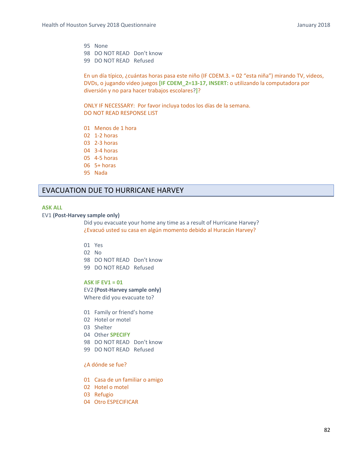95 None 98 DO NOT READ Don't know 99 DO NOT READ Refused

En un día típico, ¿cuántas horas pasa este niño (IF CDEM.3. = 02 "esta niña") mirando TV, videos, DVDs, o jugando video juegos **[IF CDEM\_2=13‐17, INSERT:** o utilizando la computadora por diversión y no para hacer trabajos escolares?**]**?

ONLY IF NECESSARY: Por favor incluya todos los días de la semana. DO NOT READ RESPONSE LIST

- 01 Menos de 1 hora
- 02 1‐2 horas
- 03 2‐3 horas
- 04 3‐4 horas
- 05 4‐5 horas
- 06 5+ horas
- 95 Nada

# EVACUATION DUE TO HURRICANE HARVEY

#### **ASK ALL**

# EV1 **(Post‐Harvey sample only)**

 Did you evacuate your home any time as a result of Hurricane Harvey? ¿Evacuó usted su casa en algún momento debido al Huracán Harvey?

- 01 Yes
- 02 No
- 98 DO NOT READ Don't know
- 99 DO NOT READ Refused

# **ASK IF EV1 = 01**

EV2 **(Post‐Harvey sample only)**  Where did you evacuate to?

- 01 Family or friend's home
- 02 Hotel or motel
- 03 Shelter
- 04 Other **SPECIFY**
- 98 DO NOT READ Don't know
- 99 DO NOT READ Refused

# ¿A dónde se fue?

- 01 Casa de un familiar o amigo
- 02 Hotel o motel
- 03 Refugio
- 04 Otro ESPECIFICAR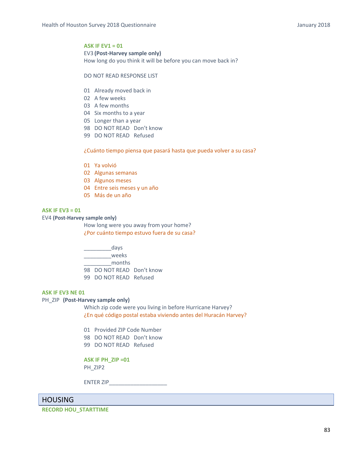# **ASK IF EV1 = 01**

EV3 **(Post‐Harvey sample only)** 

How long do you think it will be before you can move back in?

#### DO NOT READ RESPONSE LIST

- 01 Already moved back in
- 02 A few weeks
- 03 A few months
- 04 Six months to a year
- 05 Longer than a year
- 98 DO NOT READ Don't know
- 99 DO NOT READ Refused

## ¿Cuánto tiempo piensa que pasará hasta que pueda volver a su casa?

- 01 Ya volvió
- 02 Algunas semanas
- 03 Algunos meses
- 04 Entre seis meses y un año
- 05 Más de un año

#### **ASK IF EV3 = 01**

### EV4 **(Post‐Harvey sample only)**

 How long were you away from your home? ¿Por cuánto tiempo estuvo fuera de su casa?

\_\_\_\_\_\_\_\_\_days \_\_\_\_\_\_\_\_\_weeks \_\_\_\_\_\_\_\_\_months 98 DO NOT READ Don't know 99 DO NOT READ Refused

#### **ASK IF EV3 NE 01**

# PH\_ZIP (Post-Harvey sample only)

 Which zip code were you living in before Hurricane Harvey? ¿En qué código postal estaba viviendo antes del Huracán Harvey?

- 01 Provided ZIP Code Number
- 98 DO NOT READ Don't know
- 99 DO NOT READ Refused

**ASK IF PH\_ZIP =01** PH\_ZIP2

ENTER ZIP

# HOUSING

#### **RECORD HOU\_STARTTIME**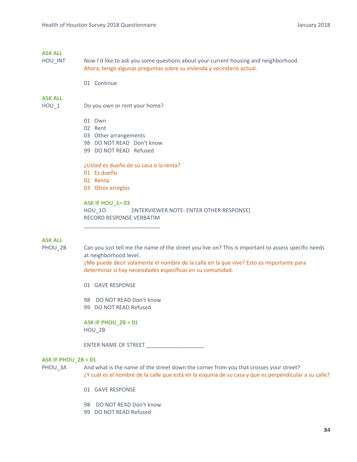# **ASK ALL**

- HOU\_INT Now I'd like to ask you some questions about your current housing and neighborhood. Ahora, tengo algunas preguntas sobre su vivienda y vecindario actual.
	- 01 Continue

## **ASK ALL**

HOU\_1 Do you own or rent your home?

- 01 Own
- 02 Rent
- 03 Other arrangements
- 98 DO NOT READ Don't know
- 99 DO NOT READ Refused

# ¿Usted es dueño de su casa o la renta?

- 01 Es dueño
- 02 Renta
- 03 Otros arreglos

# **ASK IF HOU\_1= 03**

HOU 10 **INTERVIEWER NOTE: ENTER OTHER RESPONSE**] RECORD RESPONSE VERBATIM

# **ASK ALL**

PHOU 2B Can you just tell me the name of the street you live on? This is important to assess specific needs at neighborhood level.

> ¿Me puede decir solamente el nombre de la calle en la que vive? Esto es importante para determinar si hay necesidades específicas en su comunidad.

01 GAVE RESPONSE

98 DO NOT READ Don't know

\_\_\_\_\_\_\_\_\_\_\_\_\_\_\_\_\_\_\_\_\_\_\_\_\_

99 DO NOT READ Refused

**ASK IF PHOU\_2B = 01**  HOU\_2B

ENTER NAME OF STREET **was also asset that the state of STREET** 

### **ASK IF PHOU\_2B = 01**

PHOU\_3A And what is the name of the street down the corner from you that crosses your street? ¿Y cuál es el nombre de la calle que está en la esquina de su casa y que es perpendicular a su calle?

- 01 GAVE RESPONSE
- 98 DO NOT READ Don't know
- 99 DO NOT READ Refused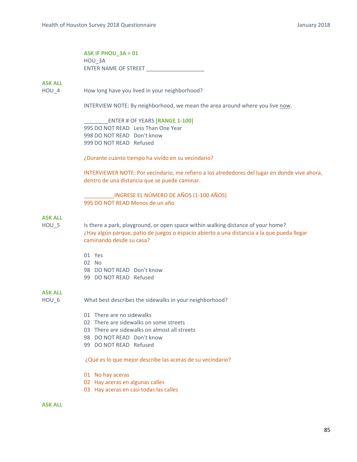# **ASK IF PHOU\_3A = 01**  HOU\_3A ENTER NAME OF STREET

## **ASK ALL**

HOU 4 How long have you lived in your neighborhood?

INTERVIEW NOTE: By neighborhood, we mean the area around where you live now.

\_\_\_\_\_\_\_\_ENTER # OF YEARS **[RANGE 1‐100]** 995 DO NOT READ Less Than One Year 998 DO NOT READ Don't know 999 DO NOT READ Refused

¿Durante cuánto tiempo ha vivido en su vecindario?

INTERVIEWER NOTE: Por vecindario, me refiero a los alrededores del lugar en donde vive ahora, dentro de una distancia que se puede caminar.

\_\_\_\_\_\_\_\_\_\_INGRESE EL NÚMERO DE AÑOS (1‐100 AÑOS) 995 DO NOT READ Menos de un año

# **ASK ALL**

HOU 5 Is there a park, playground, or open space within walking distance of your home? ¿Hay algún parque, patio de juegos o espacio abierto a una distancia a la que pueda llegar caminando desde su casa?

- 01 Yes
- 02 No
- 98 DO NOT READ Don't know
- 99 DO NOT READ Refused

# **ASK ALL**

HOU 6 What best describes the sidewalks in your neighborhood?

- 01 There are no sidewalks
- 02 There are sidewalks on some streets
- 03 There are sidewalks on almost all streets
- 98 DO NOT READ Don't know
- 99 DO NOT READ Refused

¿Qué es lo que mejor describe las aceras de su vecindario?

- 01 No hay aceras
- 02 Hay aceras en algunas calles
- 03 Hay aceras en casi todas las calles

### **ASK ALL**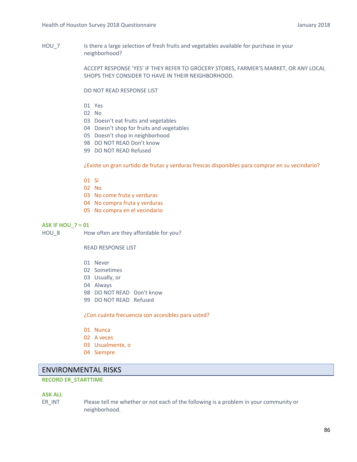HOU 7 Is there a large selection of fresh fruits and vegetables available for purchase in your neighborhood?

> ACCEPT RESPONSE 'YES' IF THEY REFER TO GROCERY STORES, FARMER'S MARKET, OR ANY LOCAL SHOPS THEY CONSIDER TO HAVE IN THEIR NEIGHBORHOOD.

DO NOT READ RESPONSE LIST

- 01 Yes
- 02 No
- 03 Doesn't eat fruits and vegetables
- 04 Doesn't shop for fruits and vegetables
- 05 Doesn't shop in neighborhood
- 98 DO NOT READ Don't know
- 99 DO NOT READ Refused

¿Existe un gran surtido de frutas y verduras frescas disponibles para comprar en su vecindario?

- 01 Sí
- 02 No
- 03 No come fruta y verduras
- 04 No compra fruta y verduras
- 05 No compra en el vecindario

# **ASK IF HOU\_7 = 01**

HOU\_8 How often are they affordable for you?

READ RESPONSE LIST

- 01 Never
- 02 Sometimes
- 03 Usually, or
- 04 Always
- 98 DO NOT READ Don't know
- 99 DO NOT READ Refused

¿Con cuánta frecuencia son accesibles para usted?

- 01 Nunca
- 02 A veces
- 03 Usualmente, o
- 04 Siempre

# ENVIRONMENTAL RISKS

# **RECORD ER\_STARTTIME**

# **ASK ALL**

ER\_INT Please tell me whether or not each of the following is a problem in your community or neighborhood.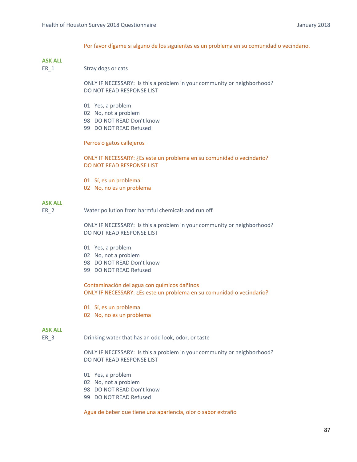Por favor dígame si alguno de los siguientes es un problema en su comunidad o vecindario.

# **ASK ALL**

ER\_1 Stray dogs or cats

ONLY IF NECESSARY: Is this a problem in your community or neighborhood? DO NOT READ RESPONSE LIST

- 01 Yes, a problem
- 02 No, not a problem
- 98 DO NOT READ Don't know
- 99 DO NOT READ Refused

#### Perros o gatos callejeros

ONLY IF NECESSARY: ¿Es este un problema en su comunidad o vecindario? DO NOT READ RESPONSE LIST

- 01 Sí, es un problema
- 02 No, no es un problema

# **ASK ALL**

ER 2 Water pollution from harmful chemicals and run off

ONLY IF NECESSARY: Is this a problem in your community or neighborhood? DO NOT READ RESPONSE LIST

- 01 Yes, a problem
- 02 No, not a problem
- 98 DO NOT READ Don't know
- 99 DO NOT READ Refused

Contaminación del agua con químicos dañinos ONLY IF NECESSARY: ¿Es este un problema en su comunidad o vecindario?

- 01 Sí, es un problema
- 02 No, no es un problema

# **ASK ALL**

ER 3 Drinking water that has an odd look, odor, or taste

ONLY IF NECESSARY: Is this a problem in your community or neighborhood? DO NOT READ RESPONSE LIST

- 01 Yes, a problem
- 02 No, not a problem
- 98 DO NOT READ Don't know
- 99 DO NOT READ Refused

Agua de beber que tiene una apariencia, olor o sabor extraño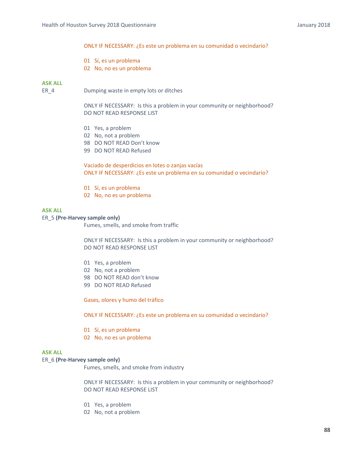### ONLY IF NECESSARY: ¿Es este un problema en su comunidad o vecindario?

- 01 Sí, es un problema
- 02 No, no es un problema

### **ASK ALL**

ER 4 Dumping waste in empty lots or ditches

ONLY IF NECESSARY: Is this a problem in your community or neighborhood? DO NOT READ RESPONSE LIST

- 01 Yes, a problem
- 02 No, not a problem
- 98 DO NOT READ Don't know
- 99 DO NOT READ Refused

Vaciado de desperdicios en lotes o zanjas vacías ONLY IF NECESSARY: ¿Es este un problema en su comunidad o vecindario?

- 01 Sí, es un problema
- 02 No, no es un problema

#### **ASK ALL**

#### ER\_5 **(Pre‐Harvey sample only)**

Fumes, smells, and smoke from traffic

 ONLY IF NECESSARY: Is this a problem in your community or neighborhood? DO NOT READ RESPONSE LIST

- 01 Yes, a problem
- 02 No, not a problem
- 98 DO NOT READ don't know
- 99 DO NOT READ Refused

Gases, olores y humo del tráfico

ONLY IF NECESSARY: ¿Es este un problema en su comunidad o vecindario?

- 01 Sí, es un problema
- 02 No, no es un problema

# **ASK ALL**

### ER\_6 **(Pre‐Harvey sample only)**

Fumes, smells, and smoke from industry

 ONLY IF NECESSARY: Is this a problem in your community or neighborhood? DO NOT READ RESPONSE LIST

- 01 Yes, a problem
- 02 No, not a problem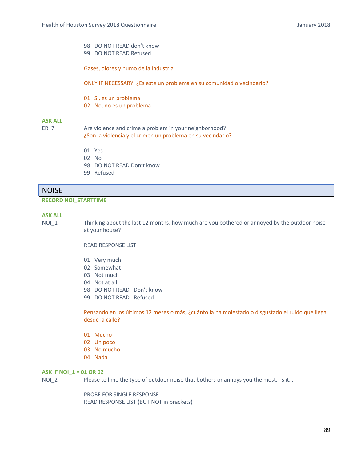- 98 DO NOT READ don't know
- 99 DO NOT READ Refused

Gases, olores y humo de la industria

ONLY IF NECESSARY: ¿Es este un problema en su comunidad o vecindario?

- 01 Sí, es un problema
- 02 No, no es un problema

# **ASK ALL**

ER 7 Are violence and crime a problem in your neighborhood? ¿Son la violencia y el crimen un problema en su vecindario?

- 01 Yes
- 02 No
- 98 DO NOT READ Don't know
- 99 Refused

# **NOISE**

# **RECORD NOI\_STARTTIME**

# **ASK ALL**

NOI 1 Thinking about the last 12 months, how much are you bothered or annoyed by the outdoor noise at your house?

## READ RESPONSE LIST

- 01 Very much
- 02 Somewhat
- 03 Not much
- 04 Not at all
- 98 DO NOT READ Don't know
- 99 DO NOT READ Refused

Pensando en los últimos 12 meses o más, ¿cuánto la ha molestado o disgustado el ruido que llega desde la calle?

- 01 Mucho
- 02 Un poco
- 03 No mucho
- 04 Nada

### **ASK IF NOI\_1 = 01 OR 02**

NOI 2 Please tell me the type of outdoor noise that bothers or annoys you the most. Is it...

PROBE FOR SINGLE RESPONSE READ RESPONSE LIST (BUT NOT in brackets)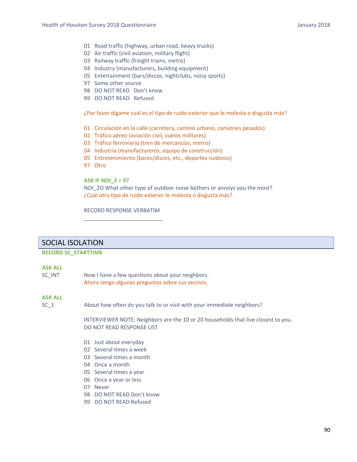- 01 Road traffic (highway, urban road, heavy trucks)
- 02 Air traffic (civil aviation, military flight)
- 03 Railway traffic (freight trains, metro)
- 04 Industry (manufacturers, building equipment)
- 05 Entertainment (bars/discos, nightclubs, noisy sports)
- 97 Some other source
- 98 DO NOT READ Don't know
- 99 DO NOT READ Refused

### ¿Por favor dígame cuál es el tipo de ruido exterior que le molesta o disgusta más?

- 01 Circulación en la calle (carretera, camino urbano, camiones pesados)
- 02 Tráfico aéreo (aviación civil, vuelos militares)
- 03 Tráfico ferroviario (tren de mercancías, metro)
- 04 Industria (manufactureros, equipo de construcción)
- 05 Entretenimiento (bares/discos, etc., deportes ruidosos)
- 97 Otro

## **ASK IF NOI\_2 = 97**

NOI 2O What other type of outdoor noise bothers or annoys you the most? ¿Cuál otro tipo de ruido exterior le molesta o disgusta más?

RECORD RESPONSE VERBATIM \_\_\_\_\_\_\_\_\_\_\_\_\_\_\_\_\_\_\_\_\_\_\_\_\_\_

# SOCIAL ISOLATION

#### **RECORD SC\_STARTTIME**

### **ASK ALL**

SC\_INT Mow I have a few questions about your neighbors. Ahora tengo algunas preguntas sobre sus vecinos.

# **ASK ALL**

SC 1 About how often do you talk to or visit with your immediate neighbors?

INTERVIEWER NOTE: Neighbors are the 10 or 20 households that live closest to you. DO NOT READ RESPONSE LIST

- 01 Just about everyday
- 02 Several times a week
- 03 Several times a month
- 04 Once a month
- 05 Several times a year
- 06 Once a year or less
- 07 Never
- 98 DO NOT READ Don't know
- 99 DO NOT READ Refused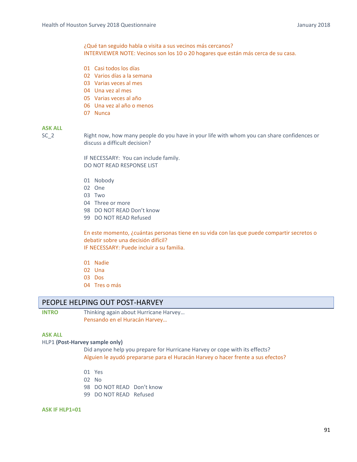¿Qué tan seguido habla o visita a sus vecinos más cercanos? INTERVIEWER NOTE: Vecinos son los 10 o 20 hogares que están más cerca de su casa.

- 01 Casi todos los días
- 02 Varios días a la semana
- 03 Varias veces al mes
- 04 Una vez al mes
- 05 Varias veces al año
- 06 Una vez al año o menos
- 07 Nunca

# **ASK ALL**

SC<sub>2</sub> Right now, how many people do you have in your life with whom you can share confidences or discuss a difficult decision?

> IF NECESSARY: You can include family. DO NOT READ RESPONSE LIST

- 01 Nobody
- 02 One
- 03 Two
- 04 Three or more
- 98 DO NOT READ Don't know
- 99 DO NOT READ Refused

En este momento, ¿cuántas personas tiene en su vida con las que puede compartir secretos o debatir sobre una decisión difícil? IF NECESSARY: Puede incluir a su familia.

- 01 Nadie
- 02 Una
- 03 Dos
- 04 Tres o más

# PEOPLE HELPING OUT POST‐HARVEY

**INTRO**  Thinking again about Hurricane Harvey… Pensando en el Huracán Harvey…

# **ASK ALL**

#### HLP1 **(Post‐Harvey sample only)**

Did anyone help you prepare for Hurricane Harvey or cope with its effects? Alguien le ayudó prepararse para el Huracán Harvey o hacer frente a sus efectos?

- 01 Yes
- 02 No
- 98 DO NOT READ Don't know
- 99 DO NOT READ Refused

#### **ASK IF HLP1=01**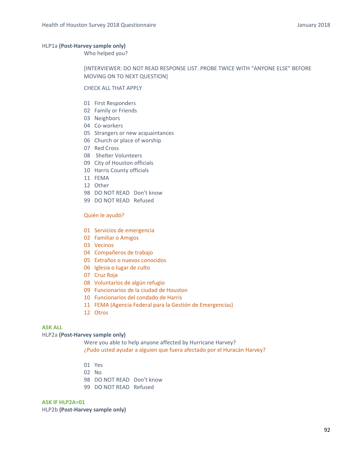#### HLP1a **(Post‐Harvey sample only)**

Who helped you?

# [INTERVIEWER: DO NOT READ RESPONSE LIST. PROBE TWICE WITH "ANYONE ELSE" BEFORE MOVING ON TO NEXT QUESTION]

#### CHECK ALL THAT APPLY

- 01 First Responders
- 02 Family or Friends
- 03 Neighbors
- 04 Co-workers
- 05 Strangers or new acquaintances
- 06 Church or place of worship
- 07 Red Cross
- 08 Shelter Volunteers
- 09 City of Houston officials
- 10 Harris County officials
- 11 FEMA
- 12 Other
- 98 DO NOT READ Don't know
- 99 DO NOT READ Refused

### Quién le ayudó?

- 01 Servicios de emergencia
- 02 Familiar o Amigos
- 03 Vecinos
- 04 Compañeros de trabajo
- 05 Extraños o nuevos conocidos
- 06 Iglesia o lugar de culto
- 07 Cruz Roja
- 08 Voluntarios de algún refugio
- 09 Funcionarios de la ciudad de Houston
- 10 Funcionarios del condado de Harris
- 11 FEMA (Agencia Federal para la Gestión de Emergencias)
- 12 Otros

# **ASK ALL**

### HLP2a **(Post‐Harvey sample only)**

 Were you able to help anyone affected by Hurricane Harvey? ¿Pudo usted ayudar a alguien que fuera afectado por el Huracán Harvey?

- 01 Yes
- 02 No
- 98 DO NOT READ Don't know
- 99 DO NOT READ Refused

#### **ASK IF HLP2A=01**

HLP2b **(Post‐Harvey sample only)**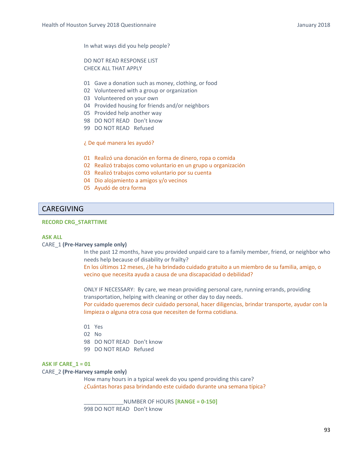In what ways did you help people?

DO NOT READ RESPONSE LIST CHECK ALL THAT APPLY

- 01 Gave a donation such as money, clothing, or food
- 02 Volunteered with a group or organization
- 03 Volunteered on your own
- 04 Provided housing for friends and/or neighbors
- 05 Provided help another way
- 98 DO NOT READ Don't know
- 99 DO NOT READ Refused

#### ¿ De qué manera les ayudó?

- 01 Realizó una donación en forma de dinero, ropa o comida
- 02 Realizó trabajos como voluntario en un grupo u organización
- 03 Realizó trabajos como voluntario por su cuenta
- 04 Dio alojamiento a amigos y/o vecinos
- 05 Ayudó de otra forma

# CAREGIVING

# **RECORD CRG\_STARTTIME**

#### **ASK ALL**

#### CARE\_1 **(Pre‐Harvey sample only)**

 In the past 12 months, have you provided unpaid care to a family member, friend, or neighbor who needs help because of disability or frailty?

En los últimos 12 meses, ¿le ha brindado cuidado gratuito a un miembro de su familia, amigo, o vecino que necesita ayuda a causa de una discapacidad o debilidad?

ONLY IF NECESSARY: By care, we mean providing personal care, running errands, providing transportation, helping with cleaning or other day to day needs. Por cuidado queremos decir cuidado personal, hacer diligencias, brindar transporte, ayudar con la limpieza o alguna otra cosa que necesiten de forma cotidiana.

- 01 Yes
- 02 No
- 98 DO NOT READ Don't know
- 99 DO NOT READ Refused

#### **ASK IF CARE\_1 = 01**

### CARE\_2 **(Pre‐Harvey sample only)**

How many hours in a typical week do you spend providing this care? ¿Cuántas horas pasa brindando este cuidado durante una semana típica?

\_\_\_\_\_\_\_\_\_\_\_\_\_NUMBER OF HOURS **[RANGE = 0‐150]** 998 DO NOT READ Don't know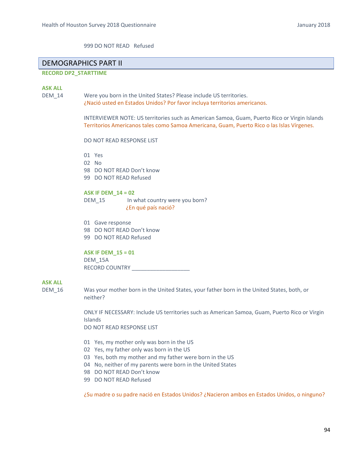999 DO NOT READ Refused

# DEMOGRAPHICS PART II

# **RECORD DP2\_STARTTIME**

**ASK ALL**

DEM 14 Were you born in the United States? Please include US territories. ¿Nació usted en Estados Unidos? Por favor incluya territorios americanos.

> INTERVIEWER NOTE: US territories such as American Samoa, Guam, Puerto Rico or Virgin Islands Territorios Americanos tales como Samoa Americana, Guam, Puerto Rico o las Islas Vírgenes.

DO NOT READ RESPONSE LIST

01 Yes

- 02 No
- 98 DO NOT READ Don't know
- 99 DO NOT READ Refused

# **ASK IF DEM\_14 = 02**

DEM 15 In what country were you born? ¿En qué país nació?

01 Gave response 98 DO NOT READ Don't know

99 DO NOT READ Refused

# **ASK IF DEM\_15 = 01**

DEM\_15A RECORD COUNTRY

# **ASK ALL**

DEM\_16 Was your mother born in the United States, your father born in the United States, both, or neither?

> ONLY IF NECESSARY: Include US territories such as American Samoa, Guam, Puerto Rico or Virgin Islands

DO NOT READ RESPONSE LIST

- 01 Yes, my mother only was born in the US
- 02 Yes, my father only was born in the US
- 03 Yes, both my mother and my father were born in the US
- 04 No, neither of my parents were born in the United States
- 98 DO NOT READ Don't know
- 99 DO NOT READ Refused

¿Su madre o su padre nació en Estados Unidos? ¿Nacieron ambos en Estados Unidos, o ninguno?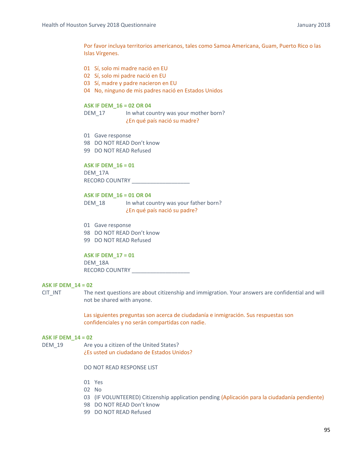Por favor incluya territorios americanos, tales como Samoa Americana, Guam, Puerto Rico o las Islas Vírgenes.

- 01 Sí, solo mi madre nació en EU
- 02 Sí, solo mi padre nació en EU
- 03 Sí, madre y padre nacieron en EU
- 04 No, ninguno de mis padres nació en Estados Unidos

# **ASK IF DEM\_16 = 02 OR 04**

DEM 17 In what country was your mother born? ¿En qué país nació su madre?

- 01 Gave response
- 98 DO NOT READ Don't know
- 99 DO NOT READ Refused

## **ASK IF DEM\_16 = 01**

DEM\_17A RECORD COUNTRY **EXECUTE** 

## **ASK IF DEM\_16 = 01 OR 04**

DEM 18 In what country was your father born? ¿En qué país nació su padre?

01 Gave response 98 DO NOT READ Don't know 99 DO NOT READ Refused

# **ASK IF DEM\_17 = 01**

DEM\_18A RECORD COUNTRY **\_\_\_\_\_\_\_\_\_\_\_\_\_\_\_\_\_** 

# **ASK IF DEM\_14 = 02**

CIT INT The next questions are about citizenship and immigration. Your answers are confidential and will not be shared with anyone.

> Las siguientes preguntas son acerca de ciudadanía e inmigración. Sus respuestas son confidenciales y no serán compartidas con nadie.

#### **ASK IF DEM\_14 = 02**

DEM 19 Are you a citizen of the United States? ¿Es usted un ciudadano de Estados Unidos?

# DO NOT READ RESPONSE LIST

- 01 Yes
- 02 No
- 03 (IF VOLUNTEERED) Citizenship application pending (Aplicación para la ciudadanía pendiente)
- 98 DO NOT READ Don't know
- 99 DO NOT READ Refused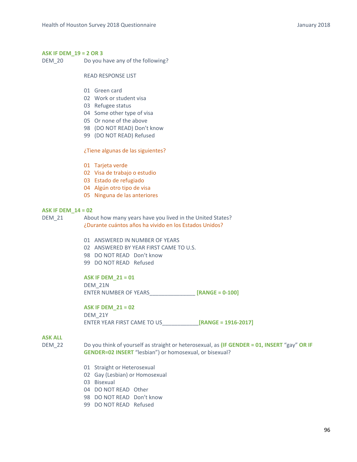# **ASK IF DEM\_19 = 2 OR 3**

DEM\_20 Do you have any of the following?

READ RESPONSE LIST

- 01 Green card
- 02 Work or student visa
- 03 Refugee status
- 04 Some other type of visa
- 05 Or none of the above
- 98 (DO NOT READ) Don't know
- 99 (DO NOT READ) Refused

#### ¿Tiene algunas de las siguientes?

- 01 Tarjeta verde
- 02 Visa de trabajo o estudio
- 03 Estado de refugiado
- 04 Algún otro tipo de visa
- 05 Ninguna de las anteriores

## **ASK IF DEM\_14 = 02**

DEM 21 About how many years have you lived in the United States? ¿Durante cuántos años ha vivido en los Estados Unidos?

- 01 ANSWERED IN NUMBER OF YEARS
- 02 ANSWERED BY YEAR FIRST CAME TO U.S.
- 98 DO NOT READ Don't know
- 99 DO NOT READ Refused

**ASK IF DEM\_21 = 01**  DEM\_21N ENTER NUMBER OF YEARS **[RANGE = 0-100]** 

**ASK IF DEM\_21 = 02** 

DEM\_21Y ENTER YEAR FIRST CAME TO US\_\_\_\_\_\_\_\_\_\_\_\_**[RANGE = 1916‐2017]**

# **ASK ALL**

- DEM\_22 Do you think of yourself as straight or heterosexual, as **(IF GENDER = 01, INSERT** "gay" **OR IF GENDER=02 INSERT** "lesbian") or homosexual, or bisexual?
	- 01 Straight or Heterosexual
	- 02 Gay (Lesbian) or Homosexual
	- 03 Bisexual
	- 04 DO NOT READ Other
	- 98 DO NOT READ Don't know
	- 99 DO NOT READ Refused